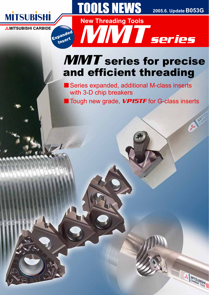2005.6. Update **B053G** 

**MITSUBISHI** 

# **MİTSUBİSHİ**

**AMITSUBISHI CARBIDE** 

Expanded Insert

# **MMT** series for precise and efficient threading MMTseries

**New Threading Tools**

**OOLS NEWS** 

■ Series expanded, additional M-class inserts with 3-D chip breakers

■ Tough new grade, VP15TF for G-class inserts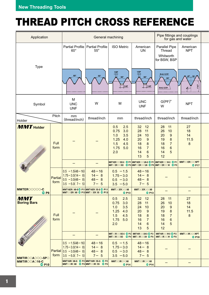# THREAD PITCH CROSS REFERENCE

| Application                                                                                                                               |                        | Pipe fittings and couplings<br>General machining<br>for gas and water                                              |                                              |                                                                                            |                                                                                                      |                                                                                                                    |                                             |  |
|-------------------------------------------------------------------------------------------------------------------------------------------|------------------------|--------------------------------------------------------------------------------------------------------------------|----------------------------------------------|--------------------------------------------------------------------------------------------|------------------------------------------------------------------------------------------------------|--------------------------------------------------------------------------------------------------------------------|---------------------------------------------|--|
|                                                                                                                                           |                        | <b>Partial Profile</b><br>$60^\circ$                                                                               | <b>Partial Profile</b><br>$55^{\circ}$       | <b>ISO Metric</b>                                                                          | American<br><b>UN</b>                                                                                | Parallel Pipe<br><b>Thread</b><br>Whitworth<br>for BSW, BSP                                                        | American<br><b>NPT</b>                      |  |
| <b>Type</b>                                                                                                                               |                        | $60^\circ$                                                                                                         |                                              | 1/8P<br>$60^\circ$<br>1/4P                                                                 | 1/8P<br>$60^\circ$<br>1/4P                                                                           | R=0.137P<br>R=0.137P                                                                                               | $30^\circ$<br>30°                           |  |
| Symbol                                                                                                                                    |                        | M<br><b>UNC</b><br><b>UNF</b>                                                                                      | W                                            | M                                                                                          | <b>UNC</b><br><b>UNF</b>                                                                             | $G(PF)^*$<br>W                                                                                                     | <b>NPT</b>                                  |  |
| Holder                                                                                                                                    | Pitch                  | mm<br>(thread/inch)                                                                                                | thread/inch                                  | mm                                                                                         | thread/inch                                                                                          | thread/inch                                                                                                        | thread/inch                                 |  |
| <b>MMT</b> Holder<br><b>Contract Contract Contract Contract Contract Contract Contract Contract Contract Contract Contract Contract C</b> | Full<br>form           |                                                                                                                    |                                              | 2.5<br>0.5<br>0.75<br>3.0<br>1.0<br>3.5<br>1.25<br>4.0<br>1.5<br>4.5<br>1.75<br>5.0<br>2.0 | 32<br>12<br>28<br>11<br>24<br>10<br>20<br>9<br>18<br>8<br>16<br>$\overline{7}$<br>6<br>14<br>13<br>5 | 28<br>11<br>10<br>26<br>$9$<br>20<br>19<br>8<br>$\overline{7}$<br>18<br>16<br>$6\phantom{1}6$<br>5<br>14<br>12     | 27<br>18<br>14<br>11.5<br>$\boldsymbol{8}$  |  |
|                                                                                                                                           |                        |                                                                                                                    |                                              | MMT16EROOCISO-S © P11 MMT16EROOCUN-S © P11 MMT16EROOCW-S © P11                             |                                                                                                      | MMTOGEROOGISO   13 MMTOGEROOGUN   15 MMTOGEROOGW   15                                                              | <b>MMTOOEROOONPT</b><br>$Q$ P17             |  |
|                                                                                                                                           | <b>Partial</b><br>form | $0.5 - 1.5(48 - 16)$<br>$1.75 - 3.0(14 - 8)$<br>$0.5 - 3.0(48 - 8)$<br>$3.5 - 5.0(7 - 5)$                          | $48 - 16$<br>$14 - 8$<br>$48 - 8$<br>$7 - 5$ | $0.5 - 1.5$<br>$1.75 - 3.0$<br>$0.5 - 3.0$<br>$3.5 - 5.0$                                  | $48 - 16$<br>$14 - 8$<br>$48 - 8$<br>$7 - 5$                                                         |                                                                                                                    |                                             |  |
| MMTEROOOO-C<br>$O$ P9                                                                                                                     |                        | MMT16ER 60-S P11 MMT16ER 55-S P11<br>MMTOCER060 O P13 MMTOCER055 O P13                                             |                                              | <b>MMTOOEROOO60</b><br>QP13                                                                | <b>MMTOOEROOO60</b><br>QP13                                                                          |                                                                                                                    |                                             |  |
| <b>MMT</b><br><b>Boring Bars</b>                                                                                                          | <b>Full</b><br>form    |                                                                                                                    |                                              | 0.5<br>2.5<br>3.0<br>0.75<br>3.5<br>1.0<br>1.25<br>4.0<br>1.5<br>4.5<br>1.75<br>5.0<br>2.0 | 12<br>32<br>28<br>11<br>24<br>10<br>20<br>9<br>18<br>8<br>16<br>$\overline{7}$<br>6<br>14<br>13<br>5 | 28<br>11<br>10<br>26<br>20<br>9<br>$\bf 8$<br>19<br>18<br>$\overline{7}$<br>$6\phantom{1}6$<br>16<br>14<br>5<br>12 | 27<br>18<br>14<br>11.5<br>8                 |  |
|                                                                                                                                           |                        |                                                                                                                    |                                              | MMTODIROODISO-S P12 MMT16IROODIN-S P12<br>MMTOOIROOOISO O P14 MMTOOIROOOUN O P16           |                                                                                                      | MMT16IROOW-S P12<br><b>MMTOOIROOOW OP16</b>                                                                        | <b>MMTOOIROOONPT</b><br>$O$ P <sub>18</sub> |  |
| <b>MMTIROOAOOO-SPO</b>                                                                                                                    | form                   | $\vert 0.5 \vert -1.5(48-16) \vert$<br>$1.75 - 3.0(14 - 8)$<br>Partial $(0.5 - 3.0(48 - 8))$<br>$3.5 - 5.0(7 - 5)$ | $48 - 16$<br>$14 - 8$<br>$48 - 8$<br>$7 - 5$ | $0.5 - 1.5$<br>$1.75 - 3.0$<br>$0.5 - 3.0$<br>$3.5 - 5.0$                                  | $48 - 16$<br>$14 - 8$<br>$48 - 8$<br>$7 - 5$                                                         |                                                                                                                    |                                             |  |
| <b>MMTIROOA016-C</b><br>$O$ P10                                                                                                           |                        | MMT16IR 60-S P12 MMT16IR 55-S P12<br>MMTOOIRG60 O P14 MMTOOIRG55 O P14                                             |                                              | <b>MMTOOIROOG0</b><br>$O$ P <sub>14</sub>                                                  | <b>MMTOOIROOG0</b><br>$O$ P14                                                                        |                                                                                                                    |                                             |  |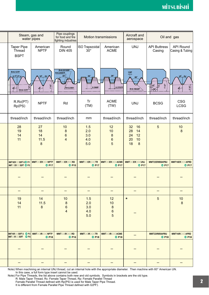| Steam, gas and<br>water pipes                                   |                                            | Pipe couplings<br>for food and fire<br>fighting industries  | <b>Motion transmissions</b>                                            |                                              | Aircraft and<br>aerospace                                              | Oil and gas                                                      |                                                            |
|-----------------------------------------------------------------|--------------------------------------------|-------------------------------------------------------------|------------------------------------------------------------------------|----------------------------------------------|------------------------------------------------------------------------|------------------------------------------------------------------|------------------------------------------------------------|
| <b>Taper Pipe</b><br>Thread<br><b>BSPT</b>                      | American<br><b>NPTF</b>                    | Round<br><b>DIN 405</b>                                     | <b>ISO Trapezoidal</b><br>$30^\circ$                                   | American<br><b>ACME</b>                      | <b>UNJ</b>                                                             | <b>API Buttress</b><br>Casing                                    | <b>API Round</b><br>Casing & Tubing                        |
| R=0.137P<br>$27.5^{\circ}$ 27.5<br>ಀೢೢ<br>$R = 0.137P$          | $30^\circ$<br>$_{.30^{\circ}}$<br>47       | R=0.22105P<br>R=0.25597P<br>$30^\circ$<br>R=0.23851         | $30^\circ$<br>0.366P                                                   | $29^\circ$<br>0.3707P                        | 1/8P<br>$60^\circ$<br>R=0.18042P                                       | 1°1<br>$\mathbf{v}$<br>$\downarrow 3^\circ$<br>$\mathbb{R}^{90}$ | $30^\circ - 30^\circ$<br>$\left(\frac{47}{4}\right)$<br>ಀೢ |
| R.Rc(PT)<br>Rp(PS)                                              | <b>NPTF</b>                                | Rd                                                          | <b>ACME</b><br>Tr<br>(TM)<br>(TW)                                      |                                              | <b>UNJ</b>                                                             | <b>BCSG</b>                                                      | <b>CSG</b><br><b>LCSG</b>                                  |
| thread/inch                                                     | thread/inch                                | thread/inch                                                 | mm                                                                     | thread/inch                                  | thread/inch                                                            | thread/inch                                                      | thread/inch                                                |
| 28<br>19<br>14<br>11                                            | 27<br>18<br>14<br>11.5<br>$\boldsymbol{8}$ | 10<br>$\boldsymbol{8}$<br>$6\phantom{1}6$<br>$\overline{4}$ | 12<br>1.5<br>2.0<br>10<br>3.0<br>$\bf 8$<br>4.0<br>$\,6\,$<br>5.0<br>5 |                                              | 32<br>16<br>28<br>14<br>12<br>24<br>10<br>20<br>18<br>$\boldsymbol{8}$ | $\overline{5}$                                                   | 10<br>8                                                    |
| MMT16EROOGBSPT-SO P11<br><b>MMTOOEROOOBSPT OP15</b>             | <b>MMTOOEROOONPTF</b><br>$Q$ P17           | <b>MMTOOEROOORD</b><br>QP15                                 | <b>MMTOOEROOOTR</b><br>$Q$ P17                                         | <b>MMTODEROODACME</b><br>$Q$ P17             | <b>MMTOOEROOOUNJ</b><br>$Q$ P17                                        | MMT22ER050APBU<br>O P17                                          | MMT16EROOGAPRD<br>O P17                                    |
|                                                                 |                                            |                                                             |                                                                        |                                              |                                                                        |                                                                  |                                                            |
|                                                                 |                                            |                                                             |                                                                        |                                              |                                                                        |                                                                  |                                                            |
| 19<br>14<br>11                                                  | 14<br>$11.5$<br>$\bf 8$                    | 10<br>$\bf 8$<br>$\,6$<br>$\overline{4}$                    | 1.5<br>2.0<br>3.0<br>4.0<br>5.0                                        | 12<br>10<br>$\bf 8$<br>$\boldsymbol{6}$<br>5 | $\star$                                                                | 5                                                                | 10<br>8                                                    |
| MMT16IROOBSPT-S P12 MMTOOIROONPTF<br><b>MMTOOIROODBSPT OP16</b> | QP18                                       | <b>MMTOOIROOORD</b><br>$O$ P <sub>16</sub>                  | <b>MMTOOIROOOTR</b><br>QP18                                            | <b>MMTOOIROOOACME</b><br>$O$ P <sub>18</sub> |                                                                        | MMT22IR050APBU<br>$O$ P18                                        | MMT16IROOQAPRD<br>QP18                                     |
|                                                                 |                                            |                                                             |                                                                        |                                              |                                                                        |                                                                  |                                                            |
|                                                                 |                                            |                                                             |                                                                        |                                              |                                                                        |                                                                  |                                                            |

Note) When machining an internal UNJ thread, cut an internal hole with the appropriate diameter. Then machine with 60° American UN. In this case, a full form type insert cannot be used.

Note) For Pipe Threads, the list above contains both new and old symbols. Symbols in brackets are the old type. R: Male Taper Thread, Rc: Female Taper Thread, Rp: Female Parallel Thread Female Parallel Thread defined with Rp(PS) is used for Male Taper Pipe Thread.

It is different from Female Parallel Pipe Thread defined with G(PF).

l,

l,

 $\overline{a}$ L,

 $\overline{a}$ 

l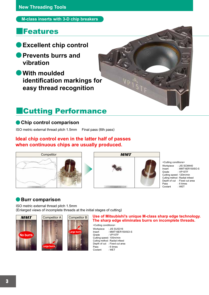**M-class inserts with 3-D chip breakers**

## **<u>IFeatures</u>**

- **●Excellent chip control**
- **●Prevents burrs and vibration**
- **●With moulded identification markings for easy thread recognition**

# ǗCutting Performance

## **●Chip control comparison**

ISO metric external thread pitch 1.5mm Final pass (6th pass)

## **Ideal chip control even in the latter half of passes when continuous chips are usually produced.**





<Cutting conditions> Workpiece : JIS SCM440 Insert : MMT16ER150ISO-S<br>Grade : VP15TE  $\cdot$  VP15TF Cutting speed : 120m/min Cutting method : Radial infeed Depth of cut : Fixed cut area Pass : 6 times<br>Coolant : WET Coolant

## **●Burr comparison**

ISO metric external thread pitch 1.5mm (Enlarged views of incomplete threads at the initial stages of cutting)







## **Use of Mitsubishi's unique M-class sharp edge technology. The sharp edge eliminates burrs on incomplete threads.**

<Cutting conditions> Workpiece : JIS SUS316<br>Insert : MMT16ER1 : MMT16ER150ISO-S Grade : VP15TF Cutting speed : 100m/min Cutting method : Radial infeed Depth of cut : Fixed cut area<br>Pass : 6 times : 6 times<br>: WET Coolant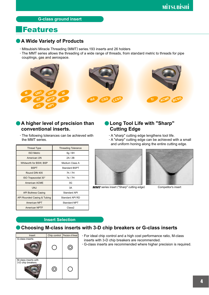## **G-class ground insert**

# **Features**

## **●A Wide Variety of Products**

- **·** Mitsubishi Miracle Threading (MMT) series.193 inserts and 26 holders
- **·** The MMT series allows the threading of a wide range of threads, from standard metric to threads for pipe couplings, gas and aerospace.



## **●A higher level of precision than conventional inserts.**

**·** The following tolerances can be achieved with the MMT series.

| <b>Thread Type</b>          | <b>Threading Tolerance</b> |
|-----------------------------|----------------------------|
| <b>ISO Metric</b>           | 6g / 6H                    |
| American UN                 | 2A/2B                      |
| Whitworth for BSW, BSP      | Medium Class A             |
| <b>BSPT</b>                 | Standard BSPT              |
| Round DIN 405               | 7h / 7H                    |
| ISO Trapezoidal 30°         | 7e / 7H                    |
| American ACME               | 3G                         |
| <b>UNJ</b>                  | 3A                         |
| <b>API Buttress Casing</b>  | Standard API               |
| API Rounded Casing & Tubing | Standard API RD            |
| American NPT                | Standard NPT               |
| <b>American NPTF</b>        | Class2                     |

## **●Long Tool Life with "Sharp" Cutting Edge**

- **·** A "sharp" cutting edge lengthens tool life.
- **·** A "sharp" cutting edge can be achieved with a small and uniform honing along the entire cutting edge.



**MMT** series insert ("Sharp" cutting edge) Competitor's insert



## **Insert Selection**

## **●Choosing M-class inserts with 3-D chip breakers or G-class inserts**

| Insert                                    | Chip control | Precision of thread |
|-------------------------------------------|--------------|---------------------|
| G-class inserts                           |              |                     |
| M-class inserts with<br>3-D chip breakers |              |                     |

- **·** For ideal chip control and a high cost performance ratio, M-class inserts with 3-D chip breakers are recommended.
- **·** G-class inserts are recommended where higher precision is required.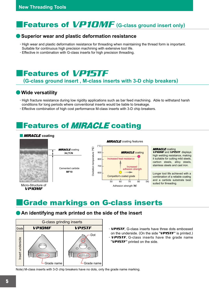# **Features of VP10MF** (G-class ground insert only)

## **●Superior wear and plastic deformation resistance**

- **·** High wear and plastic deformation resistance for threading when maintaining the thread form is important. Suitable for continuous high precision machining with extensive tool life.
- **·** Effective in combination with G-class inserts for high precision threading.

# **Features of VP15TF**

## **(G-class ground insert , M-class inserts with 3-D chip breakers)**

## **●Wide versatility**

- **·** High fracture resistance during low rigidity applications such as bar feed machining. Able to withstand harsh conditions for long periods where conventional inserts would be liable to breakage.
- **·** Effective combination of high cost performance M-class inserts with 3-D chip breakers.

# **Features of** *MIRACLE* coating

### **MIRACLE** coating



# **Endemarkings on G-class inserts**

## **●An identifying mark printed on the side of the insert**



- **·** VP15TF, G-class inserts have three dots embossed on the underside. (On the side " $VP$ 15TF" is printed.)
- **·** VP15TF, G-class inserts have the grade name "VP15TF" printed on the side.

Note) M-class inserts with 3-D chip breakers have no dots, only the grade name marking.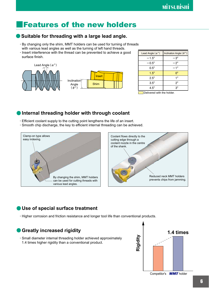# ǗFeatures of the new holders

## **●Suitable for threading with a large lead angle.**

- **·** By changing only the shim, MMT holders can be used for turning of threads with various lead angles as well as the turning of left hand threads.
- **·** Insert interference with the thread can be prevented to achieve a good surface finish.



| Lead Angle $(\alpha^{\circ})$ | Inclination Angle $(\theta^{\circ})$ |
|-------------------------------|--------------------------------------|
| $-1.5^\circ$                  | $-3^\circ$                           |
| $-0.5^{\circ}$                | $-2^{\circ}$                         |
| $0.5^\circ$                   | $-1^{\circ}$                         |
| $1.5^\circ$                   | n°                                   |
| $2.5^\circ$                   | $1^{\circ}$                          |
| $3.5^\circ$                   | $2^{\circ}$                          |
| $4.5^\circ$                   | 3°.                                  |

Delivered with the holder.

## **• Internal threading holder with through coolant**

- **·** Efficient coolant supply to the cutting point lengthens the life of an insert.
- **·** Smooth chip discharge, the key to efficient internal threading can be achieved.





## **●Use of special surface treatment**

**·** Higher corrosion and friction resistance and longer tool life than conventional products.

## **●Greatly increased rigidity 1.4 times**

**·** Small diameter internal threading holder achieved approximately 1.4 times higher rigidity than a conventional product.



Competitor's MMT holder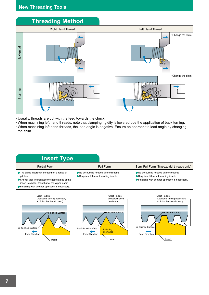

- **·** Usually, threads are cut with the feed towards the chuck.
- **·** When machining left hand threads, note that clamping rigidity is lowered due the application of back turning. **·** When machining left hand threads, the lead angle is negative. Ensure an appropriate lead angle by changing the shim.

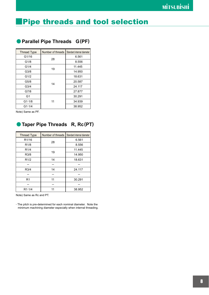# **Pipe threads and tool selection**

| <b>Thread Type</b> | Number of threads | Standard internal diameter |
|--------------------|-------------------|----------------------------|
| G1/16              | 28                | 6.561                      |
| G1/8               |                   | 8.556                      |
| G1/4               | 19                | 11.445                     |
| G <sub>3/8</sub>   |                   | 14.950                     |
| G1/2               |                   | 18.631                     |
| G5/8               | 14                | 20.587                     |
| G <sub>3/4</sub>   |                   | 24.117                     |
| G7/8               |                   | 27.877                     |
| G <sub>1</sub>     |                   | 30.291                     |
| $G1 \cdot 1/8$     | 11                | 34.939                     |
| G1.1/4             |                   | 38.952                     |

## **●Parallel Pipe Threads G(PF)**

Note) Same as PF.

## **●Taper Pipe Threads R, Rc(PT)**

| <b>Thread Type</b> | Number of threads | Standard internal diameter |
|--------------------|-------------------|----------------------------|
| R <sub>1</sub> /16 | 28                | 6.561                      |
| R <sub>1/8</sub>   |                   | 8.556                      |
| R <sub>1</sub> /4  |                   | 11.445                     |
| R3/8               | 19                | 14.950                     |
| R1/2               | 14                | 18.631                     |
|                    |                   |                            |
| R3/4               | 14                | 24.117                     |
|                    |                   |                            |
| R <sub>1</sub>     | 11                | 30.291                     |
|                    |                   |                            |
| R1.1/4             |                   | 38.952                     |

Note) Same as Rc and PT.

**·** The pitch is pre-determined for each nominal diameter. Note the minimum machining diameter especially when internal threading.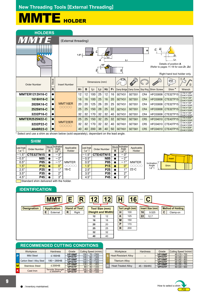# MMTE HOLDER

| <b>HOLDERS</b>        |             |                      |                |    |                 |                |                |                |                |                          |                 |                   |                                                                                                 |                     |
|-----------------------|-------------|----------------------|----------------|----|-----------------|----------------|----------------|----------------|----------------|--------------------------|-----------------|-------------------|-------------------------------------------------------------------------------------------------|---------------------|
| WMTE                  |             | (External threading) |                |    |                 |                |                |                |                |                          |                 |                   |                                                                                                 |                     |
|                       |             |                      | $1.5^\circ$    |    | 고               |                | 8<br>l 2       |                | L <sub>1</sub> |                          | w               | ผิ<br>T           | Z <sub>1</sub><br>L1                                                                            |                     |
|                       |             |                      |                |    |                 | £              |                |                | £              |                          |                 |                   | Details of position A<br>(Refer to pages 11-18 for size Z1, Z2)<br>Right hand tool holder only. |                     |
| Order Number          | Stock       | <b>Insert Number</b> |                |    | Dimensions (mm) |                |                |                |                |                          |                 |                   |                                                                                                 |                     |
|                       | $\mathbf R$ |                      | H <sub>1</sub> | B  | L <sub>1</sub>  | L <sub>2</sub> | H <sub>2</sub> | F <sub>1</sub> |                | Clamp Bridge Clamp Screw | Stop Ring       | <b>Shim Screw</b> | Shim <sup>*</sup>                                                                               | Wrench              |
| <b>MMTER1212H16-C</b> |             |                      | 12             | 12 | 100             | 25             | 12             | 16             | SETK51         | SETS51                   | CR4             | <b>HFC03008</b>   | CTE32TP15                                                                                       | 1TKY15F<br>2HKY20R  |
| 1616H16-C             |             |                      | 16             | 16 | 100             | 25             | 16             | 20             | SETK51         | SETS51                   | CR4             | <b>HFC03008</b>   | CTE32TP15                                                                                       | 1TKY15F<br>2HKY20R  |
| 2020K16-C             |             | MMT16ER              | 20             | 20 | 125             | 26             | 20             | 25             | SETK51         | SETS51                   | CR4             | <b>HFC03008</b>   | CTE32TP15                                                                                       | 10TKY15F<br>2HKY20R |
| 2525M16-C             |             | 00000                | 25             | 25 | 150             | 28             | 25             | 32             | SETK51         | SETS51                   | CR4             | <b>HFC03008</b>   | CTE32TP15                                                                                       | 1TKY15F<br>2HKY20R  |
| 3232P16-C             |             |                      | 32             | 32 | 170             | 32             | 32             | 40             | SETK51         | SETS51                   | CR4             | <b>HFC03008</b>   | CTE32TP15                                                                                       | 10TKY15F<br>2HKY20R |
| <b>MMTER2525M22-C</b> |             |                      | 25             | 25 | 150             | 32             | 25             | 32             | SETK61         | SETS61                   | CR <sub>5</sub> | <b>HFC04010</b>   | CTE43TP15                                                                                       | 1TKY20F<br>2HKY25R  |
| 3232P22-C             |             | MMT22ER<br>00000     | 32             | 32 | 170             | 32             | 32             | 40             | SETK61         | SETS61                   | CR <sub>5</sub> | HFC04010          | CTE43TP15                                                                                       | 1TKY20F<br>2HKY25R  |
| 4040R22-C             |             |                      | 40             | 40 | 200             | 38             | 40             | 50             | SETK61         | SETS61                   | CR <sub>5</sub> | <b>HFC04010</b>   | CTE43TP15                                                                                       | 1TKY20F<br>2HKY25R  |

Select and use a shim as shown below (sold separately), dependant on the lead angle.

## **SHIM**

| Lead Angle         |                     |   | Stock Inclination<br>Angle | Applicable   | Lead Angle         |                     | <b>Sto</b> |
|--------------------|---------------------|---|----------------------------|--------------|--------------------|---------------------|------------|
| $(\alpha^{\circ})$ | <b>Order Number</b> | R | $\theta$ °                 | Holder       | $(\alpha^{\circ})$ | <b>Order Number</b> | R          |
| $-1.5^{\circ}$     | <b>CTE32TN15</b>    |   | $-3^\circ$                 |              | $-1.5^{\circ}$     | <b>CTE43TN15</b>    |            |
| $-0.5^{\circ}$     | <b>N05</b>          |   | $-2^\circ$                 |              | $-0.5^\circ$       | <b>N05</b>          |            |
| $0.5^\circ$        | <b>P05</b>          |   | $-1^\circ$                 | <b>MMTER</b> | $0.5^\circ$        | <b>P05</b>          |            |
| $1.5^\circ$        | P <sub>15</sub>     |   | 0°                         | OOOOO        | $1.5^\circ$        | <b>P15</b>          |            |
| $2.5^\circ$        | P <sub>25</sub>     |   | $1^{\circ}$                | $16-C$       | $2.5^\circ$        | P <sub>25</sub>     |            |
| $3.5^\circ$        | P35                 |   | $2^{\circ}$                |              | $3.5^\circ$        | P35                 |            |
| $4.5^\circ$        | <b>P45</b>          |   | $3^\circ$                  |              | $4.5^\circ$        | <b>P45</b>          |            |

| Lead Angle<br>$(\alpha^{\circ})$ | <b>Order Number</b> | R | Stock Inclination<br>Angle<br>$\theta^{\circ}$ | Applicable<br>Holder |
|----------------------------------|---------------------|---|------------------------------------------------|----------------------|
| $-1.5^\circ$                     | CTE43TN15           |   | $-3^\circ$                                     |                      |
| $-0.5^\circ$                     | <b>N05</b>          |   | $-2^{\circ}$                                   |                      |
| $0.5^\circ$                      | <b>P05</b>          |   | $1^{\circ}$                                    | <b>MMTER</b>         |
| $1.5^\circ$                      | P <sub>15</sub>     |   | 0°                                             | 00000                |
| $2.5^\circ$                      | P <sub>25</sub>     |   | $1^{\circ}$                                    | $22-C$               |
| $3.5^\circ$                      | P35                 |   | 2°                                             |                      |
| $4.5^\circ$                      | P45                 |   | $3^\circ$                                      |                      |



Standard shim delivered with the holder.

### **IDENTIFICATION**



| <b>Tool Size (mm)</b><br>(Height and Width) |    |  |  |  |  |
|---------------------------------------------|----|--|--|--|--|
|                                             |    |  |  |  |  |
| 12                                          | 12 |  |  |  |  |
| 16                                          | 16 |  |  |  |  |
| 20                                          | 20 |  |  |  |  |
| 25                                          | 25 |  |  |  |  |
| 32                                          | 32 |  |  |  |  |
| 40                                          | 40 |  |  |  |  |

| <b>Tool Length (mm)</b> |     |  |  |  |  |  |
|-------------------------|-----|--|--|--|--|--|
| н                       | 100 |  |  |  |  |  |
| κ                       | 125 |  |  |  |  |  |
| M                       | 150 |  |  |  |  |  |
|                         | 170 |  |  |  |  |  |
| R                       | 200 |  |  |  |  |  |
|                         |     |  |  |  |  |  |

| R                   | 12 | $12 \,$               | ц | $\mathbf{C}$     |    |                  |   |                          |
|---------------------|----|-----------------------|---|------------------|----|------------------|---|--------------------------|
| <b>Hand of Tool</b> |    | <b>Tool Size (mm)</b> |   | Tool Length (mm) |    | Insert Size (mm) |   | <b>Method of Holding</b> |
| l R<br>Right        |    | (Height and Width)    | н | 100              | 16 | 9.525            | C | Clamp-on                 |
|                     | 12 | 12                    | ĸ | 125              | 22 | 12.7             |   |                          |
|                     | 16 | 16                    | M | 150              |    |                  |   |                          |
|                     |    |                       |   |                  |    |                  |   |                          |

## **RECOMMENDED CUTTING CONDITIONS**

|   | Workpiece                  | <b>Hardness</b>                          | Grade                         | Cutting Speed (m/min)                   |  |  |  |
|---|----------------------------|------------------------------------------|-------------------------------|-----------------------------------------|--|--|--|
| P | <b>Mild Steel</b>          | ≤180HB                                   | VP10MF<br>VP15TF              | $70 - 230$<br>150(<br>$60 - 140$<br>100 |  |  |  |
|   | Carbon Steel / Alloy Steel | $180 - 280$ HB                           | VP10MF<br><b>VP15TF</b>       | $80 - 200$<br>140<br>$60 - 140$<br>100  |  |  |  |
| м | <b>Stainless Steel</b>     | $≤$ 200HB                                | VP10MF<br>VP <sub>15</sub> TF | $80 - 180$<br>130<br>$40 - 120$<br>80   |  |  |  |
| K | Cast Iron                  | <b>Tensile Strength</b><br>$\leq$ 350MPa | VP10MF<br>VP15TF              | $80 - 200$<br>140<br>$60 - 120$<br>90   |  |  |  |

| Workpiece              | <b>Hardness</b> | Grade         | Cutting Speed (m/min)                          | Workpiece                   | <b>Hardness</b> | Grade               | Cutting Speed (m/min) |
|------------------------|-----------------|---------------|------------------------------------------------|-----------------------------|-----------------|---------------------|-----------------------|
| <b>Mild Steel</b>      | ≤180HB          | VP10MF        | $70 - 230$<br>150 (                            | <b>Heat-Resistant Alloy</b> |                 | VP10MF              | $45(15 - 70)$         |
|                        |                 | <b>VP15TF</b> | 100 (<br>$60 - 140$                            |                             |                 | <b>VP15TF</b>       | $30(20-40)$           |
| on Steel / Alloy Steel | 180-280HB       | VP10MF        | $80 - 200$<br>140 (                            | <b>Titanium Allov</b>       |                 | VP10MF              | $60(40-80)$           |
|                        |                 | <b>VP15TF</b> | 100<br>$60 - 140$                              |                             |                 | VP <sub>15</sub> TF | $45(25-65)$           |
| <b>Stainless Steel</b> | $≤$ 200HB       | VP10MF        | $80 - 180$<br>130                              |                             |                 | VP10MF              | $50(30-70)$           |
|                        |                 | <b>VP15TF</b> | $40 - 120$<br>80 <sub>1</sub>                  | <b>Heat-Treated Allov</b>   | $45 - 55$ HRC   | VP15TF              | $40(20-60)$           |
|                        |                 | 110101000     | $\cdots$<br>$\sim$ $\sim$ $\sim$ $\sim$ $\sim$ |                             |                 |                     |                       |

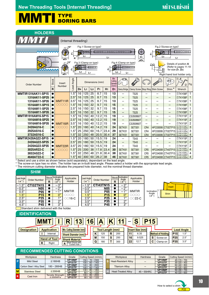## **MMTI** FYPE BORING BARS

| <b>HOLDERS</b>                                                                                                                                                                                                                                                                                                                                                                                                                                                                  |                             |                  |                            |                |                |                |                                   |                |                                                      |                          |                                  |                          |                                    |                           |                               |                     |
|---------------------------------------------------------------------------------------------------------------------------------------------------------------------------------------------------------------------------------------------------------------------------------------------------------------------------------------------------------------------------------------------------------------------------------------------------------------------------------|-----------------------------|------------------|----------------------------|----------------|----------------|----------------|-----------------------------------|----------------|------------------------------------------------------|--------------------------|----------------------------------|--------------------------|------------------------------------|---------------------------|-------------------------------|---------------------|
| <b>MMTI</b>                                                                                                                                                                                                                                                                                                                                                                                                                                                                     | (Internal threading)        |                  |                            |                |                |                |                                   |                |                                                      |                          |                                  |                          |                                    |                           |                               |                     |
| Fig.2 (Screw-on type)<br>Fig.1 (Screw-on type)<br>$15^\circ$<br>စု<br>고<br>ô.<br>ù.<br>L <sub>3</sub><br>L <sub>3</sub><br>H <sub>1</sub><br>L1<br>L1<br>$\overline{6D1}$<br>øD4<br>.15°<br>Fig.4 (Clamp-on type)<br>Fig.3 (Clamp-on type)<br>Details of position A<br>0<br>꼬<br>OO<br>(Refer to pages 11-18<br>군<br>Z <sub>2</sub><br>for size $Z_1$ , $Z_2$ )<br>L <sub>3</sub><br>L <sub>3</sub><br>L <sub>1</sub><br>L1<br>6D1<br>Right hand tool holder only.<br>Min.<br>8 |                             |                  |                            |                |                |                |                                   |                |                                                      |                          |                                  |                          |                                    |                           |                               |                     |
| <b>Order Number</b>                                                                                                                                                                                                                                                                                                                                                                                                                                                             | <b>Stock</b><br>$\mathbf R$ | Insert<br>Number | Angle<br>Lead              | D <sub>4</sub> | L <sub>1</sub> | L <sub>3</sub> | Dimensions (mm)<br>F <sub>1</sub> | H <sub>1</sub> | Cutting<br><b>Diameter</b><br>(mm)<br>D <sub>1</sub> | Clamp Bridge             | Clamp Screw Stop Ring Shim Screw |                          |                                    | B<br>Shim <sup>*</sup>    | (2)<br>Wrench                 | Fig.                |
| <b>MMTIR1316AK11-SP15</b>                                                                                                                                                                                                                                                                                                                                                                                                                                                       |                             |                  | $1.5^\circ$                | 16             | 125            | 25             | 8.7                               | 15             | 13                                                   |                          | <b>TS25</b>                      |                          |                                    | —                         | 1TKY08F                       | 1                   |
| 1316AK11-SP25                                                                                                                                                                                                                                                                                                                                                                                                                                                                   |                             |                  | $2.5^\circ$                | 16             | 125            | 25             | 8.7                               | 15             | 13                                                   | $\overline{\phantom{0}}$ | <b>TS25</b>                      |                          |                                    | -                         | 1TKY08F                       | -1                  |
| 1316AK11-SP35                                                                                                                                                                                                                                                                                                                                                                                                                                                                   |                             | MMT11IR          | $3.5^\circ$                | 16             | 125            | 25             | 8.7                               | 15             | 13                                                   | $\overline{\phantom{0}}$ | <b>TS25</b>                      | -                        |                                    | $\overline{\phantom{0}}$  | 1TKY08F                       | -1                  |
| 1516AM11-SP15                                                                                                                                                                                                                                                                                                                                                                                                                                                                   |                             | 00000            | $1.5^\circ$                | 16             | 150            | 32             | 9.7                               | 15             | 15                                                   | —<br>—                   | <b>TS25</b>                      |                          |                                    | —                         | 1TKY08F                       | $\mathbf 1$         |
| 1516AM11-SP25                                                                                                                                                                                                                                                                                                                                                                                                                                                                   |                             |                  | $2.5^\circ$                | 16             | 150            | 32             | 9.7                               | 15             | 15                                                   | —                        | <b>TS25</b>                      |                          |                                    | —                         | 1TKY08F                       | 1                   |
| 1516AM11-SP35                                                                                                                                                                                                                                                                                                                                                                                                                                                                   |                             |                  | $3.5^\circ$                | 16             | 150            | 32             | 9.7                               | 15             | 15                                                   | -                        | <b>TS25</b>                      | -                        | -                                  | -                         | 1TKY08F                       | -1                  |
| MMTIR1916AM16-SP15                                                                                                                                                                                                                                                                                                                                                                                                                                                              |                             |                  | $1.5^\circ$                | 16             | 150            | 40             | 12.2                              | 15             | 19                                                   | $\overline{\phantom{0}}$ | CS350860T                        |                          | —                                  |                           | 1TKY15F                       | $\overline{2}$      |
| 1916AM16-SP25                                                                                                                                                                                                                                                                                                                                                                                                                                                                   |                             |                  | $2.5^\circ$                | 16             | 150            | 40             | 12.2                              | 15             | 19                                                   | $\overline{\phantom{0}}$ | CS350860T                        | —                        |                                    | —                         | 1TKY15F                       | $\overline{2}$      |
| 1916AM16-SP35<br>2420AQ16-C                                                                                                                                                                                                                                                                                                                                                                                                                                                     |                             | MMT16IR<br>00000 | $3.5^\circ$<br>$1.5^\circ$ | 16             | 150<br>180     | 40<br>40       | 12.2<br>14.2                      | 15<br>19       | 19<br>24                                             |                          | CS350860T                        | $\overline{\phantom{0}}$ |                                    |                           | 1TKY15F<br>DTKY15F            | $\overline{2}$<br>3 |
| 2925AS16-C                                                                                                                                                                                                                                                                                                                                                                                                                                                                      |                             |                  | $1.5^\circ$                | 20<br>25       | 250            | 60             | 16.7                              | 23.4           | 29                                                   | SETK51<br>SETK51         | SETS51<br>SETS51                 | CR4<br>CR4               | <b>HFC03006</b><br><b>HFC03006</b> | CTI32TP15<br>CTI32TP15    | 2HKY20R<br>1TKY15F<br>2HKY20R | 3                   |
| 3732AS16-C                                                                                                                                                                                                                                                                                                                                                                                                                                                                      |                             |                  | $1.5^\circ$                | 32             | 250            | 48             | 20.5                              | 30.4           | 37                                                   | SETK51                   | SETS51                           | CR4                      |                                    | HFC03006 CTI32TP15        | 1TKY15F                       | 4                   |
| MMTIR2420AQ22-SP15                                                                                                                                                                                                                                                                                                                                                                                                                                                              | 0                           |                  | $1.5^\circ$                | 20             | 180            | 50             | 15.5                              | 19             | 24                                                   | —                        | <b>TS43</b>                      | $\overline{\phantom{0}}$ |                                    | —                         | 2HKY20R<br>1TKY15F            | $\overline{2}$      |
| 2420AQ22-SP25                                                                                                                                                                                                                                                                                                                                                                                                                                                                   |                             |                  | $2.5^\circ$                | 20             | 180            | 50             | 15.5                              | 19             | 24                                                   | $\overline{\phantom{0}}$ | <b>TS43</b>                      | -                        | —                                  | —                         | 1TKY15F                       | $\overline{2}$      |
| 2420AQ22-SP35                                                                                                                                                                                                                                                                                                                                                                                                                                                                   |                             | MMT22IR          | $3.5^\circ$                | 20             | 180            | 50             | 15.5                              | 19             | 24                                                   | $\overline{\phantom{0}}$ | <b>TS43</b>                      |                          |                                    |                           | 1TKY15F                       | 2                   |
| 3025AR22-C                                                                                                                                                                                                                                                                                                                                                                                                                                                                      |                             | 00000            | $1.5^\circ$                | 25             | 200            | 38             | 17.8                              | 23.4           | 30                                                   | SETK61                   | SETS61                           | CR <sub>5</sub>          |                                    | <b>HFC04008 CTI43TP15</b> | <b>DTKY20F</b><br>2HKY25R     | $\overline{4}$      |
| 3832AS22-C                                                                                                                                                                                                                                                                                                                                                                                                                                                                      | c                           |                  | $1.5^\circ$                | 32             | 250            | 48             | 21.8                              | 30.4           | 38                                                   | SETK61                   | SETS61                           | CR <sub>5</sub>          |                                    | HFC04008 CTI43TP15        | <b>1TKY20F</b><br>2HKY25R     | 4                   |
| 4640AT22-C                                                                                                                                                                                                                                                                                                                                                                                                                                                                      |                             |                  | $1.5^\circ$                | 40             | 300            | 60             | 26.2                              | 38             | 46                                                   | SETK61                   | SETS61                           | CR <sub>5</sub>          |                                    | <b>HFC04008 CTI43TP15</b> | 1TKY20F<br>2HKY25R            | 4                   |

\* Select and use a shim as shown below (sold separately), dependant on the lead angle.

\* The screw-on type has no shim. The holder has an in-built lead angle. Please select a holder with the appropriate lead angle.

\* The minimum cutting diameter indicates the prepared hole diameter, not the nominal thread diameter.

|                    | эпім                |   |                            |                 |                  |                     |              |                     |
|--------------------|---------------------|---|----------------------------|-----------------|------------------|---------------------|--------------|---------------------|
| Lead Angle         |                     |   | Stock Inclination<br>Angle | Applicable      | Lead Angle       |                     | <b>Stock</b> | Inclinatio<br>Angle |
| $(\alpha^{\circ})$ | <b>Order Number</b> | R | $\theta^{\circ}$           | Holder          | $\alpha^{\circ}$ | <b>Order Number</b> | R            | $\theta$ °          |
| $-1.5^\circ$       | <b>CTI32TN15</b>    |   | $-3^\circ$                 |                 | $1.5^\circ$      | <b>CTI43TN15</b>    |              | - 3°                |
| $-0.5^\circ$       | N05                 |   | $-\overline{2^{\circ}}$    |                 | $-0.5^{\circ}$   | <b>N05</b>          |              | $-2^{\circ}$        |
| $0.5^\circ$        | P05                 |   | $\circ$                    | <b>MMTIR</b>    | $0.5^\circ$      | <b>P05</b>          |              |                     |
| $1.5^\circ$        | P15                 |   | 0°                         | OOOO            | $1.5^\circ$      | P15                 |              | 0 <sup>°</sup>      |
| $2.5^\circ$        | P25                 |   | 10                         | $\bigcirc$ 16-C | $2.5^\circ$      | P25                 |              | 1 <sup>c</sup>      |
| $3.5^\circ$        | P35                 |   | 2°                         |                 | $3.5^\circ$      | P35                 |              | $2^{\circ}$         |
| $4.5^\circ$        | P45                 |   | $3^{\circ}$                |                 | $4.5^\circ$      | <b>P45</b>          |              | 3 <sup>c</sup>      |

| R.        | tock Inclination<br>Angle<br>$\theta$ | Applicable<br>Holder | Lead Angle<br>$(\alpha^{\circ})$ | <b>Order Number</b> | <b>Stock</b><br>R | <b>Inclination</b><br>Angle<br>$10^{\circ}$ | Applicable<br>Holder |
|-----------|---------------------------------------|----------------------|----------------------------------|---------------------|-------------------|---------------------------------------------|----------------------|
| $\bullet$ | $-3^\circ$                            |                      | $1.5^\circ$                      | <b>CTI43TN15</b>    |                   | $-\overline{3}^{\circ}$                     |                      |
| $\bullet$ | $-\overline{2}^{\circ}$               |                      | $0.5^\circ$                      | <b>N05</b>          |                   | റ∘                                          |                      |
| $\bullet$ | $1^{\circ}$                           | <b>MMTIR</b>         | $0.5^\circ$                      | <b>P05</b>          |                   | $1^{\circ}$                                 | <b>MMTIR</b>         |
| $\bullet$ | $0^{\circ}$                           | 0000                 | $1.5^\circ$                      | <b>P15</b>          |                   | n°                                          | <b>OOOO</b>          |
| $\bullet$ | 10                                    | $\bigcirc$ 16-C      | $2.5^\circ$                      | P <sub>25</sub>     |                   | 40                                          | $\bigcirc$ 22-C      |
| $\bullet$ | 20                                    |                      | $3.5^\circ$                      | P35                 |                   | າ∘                                          |                      |
| $\bullet$ | $3^{\circ}$                           |                      | $4.5^\circ$                      | <b>P45</b>          |                   | $3^\circ$                                   |                      |



Standard shim delivered with the holder.

#### **IDENTIFICATION**

**SHIM**



## **RECOMMENDED CUTTING CONDITIONS**

|   | Workpiece                  | <b>Hardness</b>                          | Grade                   | Cutting Speed (m/min)                   |
|---|----------------------------|------------------------------------------|-------------------------|-----------------------------------------|
| P | <b>Mild Steel</b>          | ≤180HB                                   | VP10MF<br>VP15TF        | $70 - 230$<br>150(<br>$60 - 140$<br>100 |
|   | Carbon Steel / Alloy Steel | $180 - 280$ HB                           | VP10MF<br>VP15TF        | $80 - 200$<br>140<br>$60 - 140$<br>100  |
| M | <b>Stainless Steel</b>     | $≤$ 200HB                                | VP10MF<br><b>VP15TF</b> | $80 - 180$<br>130<br>$40 - 120$<br>80   |
| K | Cast Iron                  | <b>Tensile Strength</b><br>$\leq$ 350MPa | <b>VP10MF</b><br>VP15TF | $80 - 200$<br>140<br>$60 - 120$<br>90   |

| Workpiece              | <b>Hardness</b> | Grade               | Cutting Speed (m/min) | Workpiece                   | <b>Hardness</b> | Grade         | Cutting Speed (m/min) |
|------------------------|-----------------|---------------------|-----------------------|-----------------------------|-----------------|---------------|-----------------------|
| <b>Mild Steel</b>      | ≤180HB          | VP10MF              | $70 - 230$<br>150 (   | <b>Heat-Resistant Alloy</b> |                 | VP10MF        | $45(15-70)$           |
|                        |                 | VP <sub>15</sub> TF | 100(<br>$60 - 140$    |                             |                 | <b>VP15TF</b> | $30(20-40)$           |
|                        | 180-280HB       | VP10MF              | $80 - 200$<br>140 (   |                             |                 | VP10MF        | $60(40-80)$           |
| on Steel / Alloy Steel |                 | <b>VP15TF</b>       | 100<br>$60 - 140$     | <b>Titanium Alloy</b>       | -               | <b>VP15TF</b> | $45(25-65)$           |
|                        |                 | VP10MF              | 130<br>$80 - 180$     |                             |                 | VP10MF        | $50(30-70)$           |
| Stainless Steel        | $≤$ 200HB       | <b>VP15TF</b>       | $40 - 120$<br>80(     | <b>Heat-Treated Allov</b>   | $45 - 55$ HRC   | <b>VP15TF</b> | $40(20-60)$           |
|                        |                 | --------            |                       |                             |                 |               |                       |

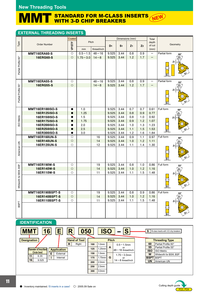## MMT STANDARD FOR M-CLASS INSERTS NEW WITH 3-D CHIP BREAKERS

## **EXTERNAL THREADING INSERTS**

|                        |                                | Coated                 |                             |                       |                | Dimensions (mm) |                |                | Total                            |                           |
|------------------------|--------------------------------|------------------------|-----------------------------|-----------------------|----------------|-----------------|----------------|----------------|----------------------------------|---------------------------|
| Type                   | <b>Order Number</b>            |                        | Pitch                       |                       |                |                 |                |                | depth                            | Geometry                  |
|                        |                                | VP15TF                 |                             | thread/inch           | D <sub>1</sub> | S <sub>1</sub>  | Z <sub>1</sub> | Z <sub>2</sub> | of cut                           |                           |
|                        |                                | $\circ$                | mm                          |                       |                |                 |                |                | (mm)<br>$\overline{\phantom{0}}$ |                           |
|                        | MMT16ERA60-S<br>16ERG60-S      | $\circ$                | $0.5 - 1.5$<br>$1.75 - 3.0$ | $48 - 16$<br>$14 - 8$ | 9.525<br>9.525 | 3.44<br>3.44    | 0.8<br>1.2     | 0.9<br>1.7     |                                  | Partial form<br>60°<br>Z2 |
|                        |                                |                        |                             |                       |                |                 |                |                | -                                |                           |
|                        |                                |                        |                             |                       |                |                 |                |                |                                  |                           |
|                        |                                |                        |                             |                       |                |                 |                |                |                                  |                           |
| Partial Profile 60°    |                                |                        |                             |                       |                |                 |                |                |                                  |                           |
|                        |                                |                        |                             |                       |                |                 |                |                |                                  |                           |
|                        | MMT16ERA55-S                   | $\circ$                |                             | $48 - 16$             | 9.525          | 3.44            | 0.8            | 0.9            | —                                | Partial form<br>55°       |
|                        | <b>16ERG55-S</b>               | $\circ$                |                             | $14 - 8$              | 9.525          | 3.44            | 1.2            | 1.7            | —                                |                           |
| Partial Profile 55°    |                                |                        |                             |                       |                |                 |                |                |                                  | z.                        |
|                        |                                |                        |                             |                       |                |                 |                |                |                                  |                           |
|                        |                                |                        |                             |                       |                |                 |                |                |                                  |                           |
|                        |                                |                        |                             |                       |                |                 |                |                |                                  | $ {\bf S_1} $             |
|                        |                                |                        |                             |                       |                |                 |                |                |                                  |                           |
|                        | <b>MMT16ER100ISO-S</b>         | $\bullet$              | 1.0                         |                       | 9.525          | 3.44            | 0.7            | 0.7            | 0.61                             | Full form<br>60°          |
|                        | 16ER125ISO-S                   | $\bullet$              | 1.25                        |                       | 9.525          | 3.44            | 0.8            | 0.9            | 0.77                             |                           |
| SO Metric              | 16ER150ISO-S                   | ●                      | 1.5                         |                       | 9.525          | 3.44            | 0.8            | 1.0            | 0.92                             |                           |
|                        | 16ER175ISO-S                   | $\bullet$              | 1.75                        |                       | 9.525          | 3.44            | 0.9            | 1.2            | 1.07                             |                           |
|                        | 16ER200ISO-S                   | $\bullet$              | 2.0                         |                       | 9.525          | 3.44            | 1.0            | 1.3            | 1.23                             |                           |
|                        | 16ER250ISO-S                   | $\bullet$<br>$\bullet$ | 2.5<br>3.0                  |                       | 9.525<br>9.525 | 3.44<br>3.44    | 1.1<br>1.2     | 1.5<br>1.6     | 1.53<br>1.84                     |                           |
|                        | 16ER300ISO-S<br>MMT16ER160UN-S | $\circ$                |                             | 16                    | 9.525          | 3.44            | 0.9            | 1.1            | 0.97                             | Full form                 |
|                        | 16ER140UN-S                    | $\circ$                |                             | 14                    | 9.525          | 3.44            | 1.0            | 1.2            | 1.11                             | $60^\circ$                |
|                        | 16ER120UN-S                    | $\circ$                |                             | 12                    | 9.525          | 3.44            | 1.1            | 1.4            | 1.30                             |                           |
| American UN            |                                |                        |                             |                       |                |                 |                |                |                                  |                           |
|                        |                                |                        |                             |                       |                |                 |                |                |                                  |                           |
|                        |                                |                        |                             |                       |                |                 |                |                |                                  |                           |
|                        |                                |                        |                             |                       |                |                 |                |                |                                  | ۱S۱                       |
|                        | <b>MMT16ER190W-S</b>           | $\circ$                |                             | 19                    | 9.525          | 3.44            | 0.8            | 1.0            | 0.86                             | Full form<br>55°          |
|                        | 16ER140W-S                     | $\circ$                |                             | 14                    | 9.525          | 3.44            | 1.0            | 1.2            | 1.16                             |                           |
|                        | 16ER110W-S                     | $\circ$                |                             | 11                    | 9.525          | 3.44            | 1.1            | 1.5            | 1.48                             |                           |
| Whitworth for BSW, BSP |                                |                        |                             |                       |                |                 |                |                |                                  |                           |
|                        |                                |                        |                             |                       |                |                 |                |                |                                  |                           |
|                        |                                |                        |                             |                       |                |                 |                |                |                                  | S <sub>1</sub>            |
|                        |                                |                        |                             |                       |                |                 |                |                |                                  |                           |
|                        | MMT16ER190BSPT-S               | $\circ$                |                             | 19                    | 9.525          | 3.44            | 0.8            | 0.9            | 0.86                             | Full form<br>55°          |
|                        | 16ER140BSPT-S                  | $\circ$<br>O           |                             | 14                    | 9.525          | 3.44            | 1.0            | 1.2<br>1.5     | 1.16                             |                           |
| <b>BSPT</b>            | 16ER110BSPT-S                  |                        |                             | 11                    | 9.525          | 3.44            | 1.1            |                | 1.48                             | z                         |
|                        |                                |                        |                             |                       |                |                 |                |                |                                  |                           |
|                        |                                |                        |                             |                       |                |                 |                |                |                                  |                           |
|                        |                                |                        |                             |                       |                |                 |                |                |                                  |                           |
|                        |                                |                        |                             |                       |                |                 |                |                |                                  |                           |



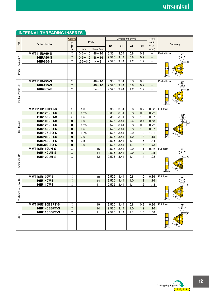## **INTERNAL THREADING INSERTS**

|                        |                                       | Coated               |              |             |                | Dimensions (mm) |                |                | Total                    |                         |
|------------------------|---------------------------------------|----------------------|--------------|-------------|----------------|-----------------|----------------|----------------|--------------------------|-------------------------|
| Type                   | <b>Order Number</b>                   | VP15TF               | Pitch        |             |                |                 |                |                | depth                    | Geometry                |
|                        |                                       |                      | mm           | thread/inch | D <sub>1</sub> | S <sub>1</sub>  | Z <sub>1</sub> | Z <sub>2</sub> | of cut<br>(mm)           |                         |
|                        | <b>MMT11IRA60-S</b>                   | $\circ$              | $0.5 - 1.5$  | $48 - 16$   | 6.35           | 3.04            | 0.8            | 0.9            |                          | Partial form<br>60°     |
|                        | <b>16IRA60-S</b>                      | $\circ$              | $0.5 - 1.5$  | $48 - 16$   | 9.525          | 3.44            | 0.8            | 0.9            | $\qquad \qquad -$        |                         |
|                        | 16IRG60-S                             | $\circ$              | $1.75 - 3.0$ | $14 - 8$    | 9.525          | 3.44            | 1.2            | 1.7            |                          |                         |
| Partial Profile 60°    |                                       |                      |              |             |                |                 |                |                |                          |                         |
|                        |                                       |                      |              |             |                |                 |                |                |                          |                         |
|                        |                                       |                      |              |             |                |                 |                |                |                          | ۱S۰                     |
|                        |                                       |                      |              |             |                |                 |                |                |                          |                         |
|                        | <b>MMT11IRA55-S</b>                   | $\circ$              |              | $48 - 16$   | 6.35           | 3.04            | 0.8            | 0.9            | $\overline{\phantom{0}}$ | Partial form<br>55°     |
|                        | <b>16IRA55-S</b><br>16IRG55-S         | $\circ$<br>$\circ$   |              | $48 - 16$   | 9.525          | 3.44<br>3.44    | 0.8<br>1.2     | 0.9<br>1.7     | —<br>-                   |                         |
|                        |                                       |                      |              | $14 - 8$    | 9.525          |                 |                |                |                          |                         |
| Partial Profile 55°    |                                       |                      |              |             |                |                 |                |                |                          |                         |
|                        |                                       |                      |              |             |                |                 |                |                |                          |                         |
|                        |                                       |                      |              |             |                |                 |                |                |                          | S1                      |
|                        | <b>MMT11IR100ISO-S</b>                | $\circ$              | 1.0          |             | 6.35           | 3.04            | 0.6            | 0.7            | 0.58                     | Full form               |
|                        | 11IR125ISO-S                          | $\circ$              | 1.25         |             | 6.35           | 3.04            | 0.8            | 0.9            | 0.72                     | 60°                     |
|                        | 11IR150ISO-S                          | $\circ$              | 1.5          |             | 6.35           | 3.04            | 0.8            | 1.0            | 0.87                     | Z2                      |
|                        | 16IR100ISO-S                          | $\bullet$            | 1.0          |             | 9.525          | 3.44            | 0.6            | 0.7            | 0.58                     |                         |
| <b>SO Metric</b>       | 16IR125ISO-S                          | $\bullet$            | 1.25         |             | 9.525          | 3.44            | 0.8            | 0.9            | 0.72                     |                         |
|                        | 16IR150ISO-S                          | $\bullet$            | 1.5          |             | 9.525          | 3.44            | 0.8            | 1.0            | 0.87                     |                         |
|                        | 16IR175ISO-S                          |                      | 1.75         |             | 9.525          | 3.44            | 0.9            | 1.2            | 1.01                     |                         |
|                        | 16IR200ISO-S                          | $\bullet$            | 2.0          |             | 9.525          | 3.44            | 1.0            | 1.3            | 1.15                     | <u>S1</u>               |
|                        | 16IR250ISO-S                          | $\bullet$            | 2.5          |             | 9.525          | 3.44            | 1.1            | 1.5<br>1.5     | 1.44                     |                         |
|                        | 16IR300ISO-S<br><b>MMT16IR160UN-S</b> | $\bullet$<br>$\circ$ | 3.0          | 16          | 9.525<br>9.525 | 3.44<br>3.44    | 1.1<br>0.9     | 1.1            | 1.73<br>0.92             | Full form               |
|                        | 16IR140UN-S                           | $\circ$              |              | 14          | 9.525          | 3.44            | 0.9            | 1.2            | 1.05                     | 60°                     |
|                        | 16IR120UN-S                           | $\circ$              |              | 12          | 9.525          | 3.44            | 1.1            | 1.4            | 1.22                     |                         |
| American UN            |                                       |                      |              |             |                |                 |                |                |                          |                         |
|                        |                                       |                      |              |             |                |                 |                |                |                          |                         |
|                        |                                       |                      |              |             |                |                 |                |                |                          |                         |
|                        |                                       |                      |              |             |                |                 |                |                |                          | $ S_1 $                 |
|                        | <b>MMT16IR190W-S</b>                  | $\circ$              |              | 19          | 9.525          | 3.44            | 0.8            | 1.0            | 0.86                     | Full form<br>55°        |
|                        | 16IR140W-S                            | $\circ$              |              | 14          | 9.525          | 3.44            | 1.0            | 1.2            | 1.16                     | Z <sub>2</sub>          |
|                        | 16IR110W-S                            | $\circ$              |              | 11          | 9.525          | 3.44            | 1.1            | 1.5            | 1.48                     |                         |
|                        |                                       |                      |              |             |                |                 |                |                |                          |                         |
|                        |                                       |                      |              |             |                |                 |                |                |                          |                         |
| Whitworth for BSW, BSP |                                       |                      |              |             |                |                 |                |                |                          | $\sqrt{S_1}$            |
|                        | MMT16IR190BSPT-S                      | $\circ$              |              | 19          | 9.525          | 3.44            | 0.8            | 0.9            | 0.86                     | Full form               |
|                        | 16IR140BSPT-S                         | $\circ$              |              | 14          | 9.525          | 3.44            | 1.0            | 1.2            | 1.16                     | 55°<br>$\overline{z_2}$ |
|                        | 16IR110BSPT-S                         | $\circ$              |              | 11          | 9.525          | 3.44            | 1.1            | 1.5            | 1.48                     |                         |
| <b>BSPT</b>            |                                       |                      |              |             |                |                 |                |                |                          |                         |
|                        |                                       |                      |              |             |                |                 |                |                |                          |                         |
|                        |                                       |                      |              |             |                |                 |                |                |                          | $\mathbf{S}_1$          |
|                        |                                       |                      |              |             |                |                 |                |                |                          |                         |

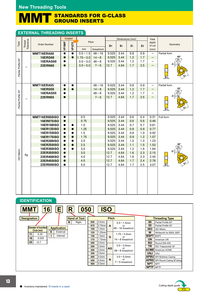#### $\mathbf N$ STANDARDS FOR G-CLASS GROUND INSERTS

## **EXTERNAL THREADING INSERTS**

|                     |                     |                      |           | Coated          |                   |             |                | Dimensions (mm) |                |                | Total                            |              |
|---------------------|---------------------|----------------------|-----------|-----------------|-------------------|-------------|----------------|-----------------|----------------|----------------|----------------------------------|--------------|
| Type                |                     | <b>Order Number</b>  |           |                 |                   | Pitch       |                |                 |                |                | depth                            | Geometry     |
|                     | Thread<br>Tolerance |                      | VP10MF    | $VPI5TF_{\sim}$ |                   | thread/inch | D <sub>1</sub> | S <sub>1</sub>  | Z <sub>1</sub> | Z <sub>2</sub> | of cut                           |              |
|                     |                     | MMT16ERA60           | $\bullet$ | $\bullet$       | mm<br>$0.5 - 1.5$ | $48 - 16$   | 9.525          | 3.44            | 0.8            | 0.9            | (mm)<br>$\overline{\phantom{m}}$ | Partial form |
|                     |                     | <b>16ERG60</b>       | $\bullet$ |                 | $1.75 - 3.0$      | $14 - 8$    | 9.525          | 3.44            | 1.2            | 1.7            |                                  | 60°          |
|                     |                     |                      |           |                 |                   |             | 9.525          |                 |                | 1.7            | -<br>$\overline{\phantom{0}}$    | Z2           |
|                     |                     | <b>16ERAG60</b>      | $\bullet$ |                 | $0.5 - 3.0$       | $48 - 8$    |                | 3.44<br>4.64    | 1.2<br>1.7     | 2.5            |                                  |              |
| Partial Profile 60° |                     | <b>22ERN60</b>       | $\bullet$ |                 | $3.5 - 5.0$       | $7 - 5$     | 12.7           |                 |                |                | -                                |              |
|                     |                     |                      |           |                 |                   |             |                |                 |                |                |                                  |              |
|                     |                     |                      |           |                 |                   |             |                |                 |                |                |                                  |              |
|                     |                     |                      |           |                 |                   |             |                |                 |                |                |                                  | S1           |
|                     |                     | MMT16ERA55           | $\bullet$ | $\bullet$       |                   | $48 - 16$   | 9.525          | 3.44            | 0.8            | 0.9            | $\qquad \qquad$                  | Partial form |
|                     |                     | <b>16ERG55</b>       | $\bullet$ | $\bullet$       |                   | $14 - 8$    | 9.525          | 3.44            | 1.2            | 1.7            | —                                | $55^{\circ}$ |
|                     |                     | <b>16ERAG55</b>      |           |                 |                   | $48 - 8$    | 9.525          | 3.44            | 1.2            | 1.7            |                                  |              |
| Partial Profile 55° |                     | <b>22ERN55</b>       | $\bullet$ |                 |                   | $7 - 5$     | 12.7           | 4.64            | 1.7            | 2.5            | -                                |              |
|                     |                     |                      |           |                 |                   |             |                |                 |                |                |                                  |              |
|                     |                     |                      |           |                 |                   |             |                |                 |                |                |                                  |              |
|                     |                     |                      |           |                 |                   |             |                |                 |                |                |                                  | lS1          |
|                     |                     |                      |           |                 |                   |             |                |                 |                |                |                                  |              |
|                     |                     | <b>MMT16ER050ISO</b> | $\bullet$ |                 | 0.5               |             | 9.525          | 3.44            | 0.6            | 0.4            | 0.31                             | Full form    |
|                     |                     | <b>16ER075ISO</b>    | $\bullet$ |                 | 0.75              |             | 9.525          | 3.44            | 0.6            | 0.6            | 0.46                             |              |
|                     |                     | 16ER100ISO           | $\bullet$ |                 | 1.0               |             | 9.525          | 3.44            | 0.7            | 0.7            | 0.61                             |              |
|                     |                     | 16ER125ISO           | $\bullet$ |                 | 1.25              |             | 9.525          | 3.44            | 0.8            | 0.9            | 0.77                             |              |
|                     |                     | 16ER150ISO           | 0         |                 | 1.5               |             | 9.525          | 3.44            | 0.8            | 1.0            | 0.92                             |              |
|                     |                     | 16ER175ISO           | $\bullet$ |                 | 1.75              |             | 9.525          | 3.44            | 0.9            | 1.2            | 1.07                             |              |
|                     |                     | 16ER200ISO           | $\bullet$ |                 | 2.0               |             | 9.525          | 3.44            | 1.0            | 1.3            | 1.23                             |              |
|                     |                     | 16ER250ISO           | $\bullet$ | $\bullet$       | 2.5               |             | 9.525          | 3.44            | 1.1            | 1.5            | 1.53                             | $60^\circ$   |
|                     |                     | 16ER300ISO           | $\bullet$ |                 | 3.0               |             | 9.525          | 3.44            | 1.2            | 1.6            | 1.84                             |              |
| SO Metric           | 6g                  | 22ER350ISO           | $\bullet$ |                 | 3.5               |             | 12.7           | 4.64            | 1.6            | 2.3            | 2.15                             | Z1           |
|                     |                     | 22ER400ISO           | $\bullet$ |                 | 4.0               |             | 12.7           | 4.64            | 1.6            | 2.3            | 2.45                             |              |
|                     |                     | 22ER450ISO           | $\bullet$ |                 | 4.5               |             | 12.7           | 4.64            | 1.7            | 2.4            | 2.76                             |              |
|                     |                     | 22ER500ISO           | $\bullet$ |                 | 5.0               |             | 12.7           | 4.64            | 1.7            | 2.5            | 3.07                             | <u>S1</u>    |
|                     |                     |                      |           |                 |                   |             |                |                 |                |                |                                  |              |
|                     |                     |                      |           |                 |                   |             |                |                 |                |                |                                  |              |
|                     |                     |                      |           |                 |                   |             |                |                 |                |                |                                  |              |
|                     |                     |                      |           |                 |                   |             |                |                 |                |                |                                  |              |
|                     |                     |                      |           |                 |                   |             |                |                 |                |                |                                  |              |
|                     |                     |                      |           |                 |                   |             |                |                 |                |                |                                  |              |

## **IDENTIFICATION**



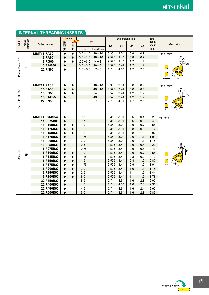|                     |                     |                                 | Coated         |               |              |             |                | Dimensions (mm) |                |                | Total           |                              |
|---------------------|---------------------|---------------------------------|----------------|---------------|--------------|-------------|----------------|-----------------|----------------|----------------|-----------------|------------------------------|
| Туре                | Thread<br>Tolerance | <b>Order Number</b>             |                |               | Pitch        |             |                |                 |                |                | depth<br>of cut | Geometry                     |
|                     |                     |                                 | VP10MF         | <b>VP15TF</b> | mm           | thread/inch | D <sub>1</sub> | S <sub>1</sub>  | Z <sub>1</sub> | Z <sub>2</sub> | (mm)            |                              |
|                     |                     | <b>MMT11IRA60</b>               | $\bullet$      | $\bullet$     | $0.5 - 1.5$  | $48 - 16$   | 6.35           | 3.04            | 0.8            | 0.9            |                 | Partial form                 |
|                     |                     | <b>16IRA60</b>                  | $\bullet$      | $\bullet$     | $0.5 - 1.5$  | $48 - 16$   | 9.525          | 3.44            | 0.8            | 0.9            | —               | $60^\circ$                   |
|                     |                     | <b>16IRG60</b>                  |                | 0             | $1.75 - 3.0$ | $14 - 8$    | 9.525          | 3.44            | 1.2            | 1.7            | -               | Z <sub>2</sub>               |
|                     |                     | <b>16IRAG60</b>                 | $\bullet$      |               | $0.5 - 3.0$  | $48 - 8$    | 9.525          | 3.44            | 1.2            | 1.7            |                 | Z <sub>1</sub>               |
|                     |                     | <b>22IRN60</b>                  | $\bullet$      |               | $3.5 - 5.0$  | $7 - 5$     | 12.7           | 4.64            | 1.7            | 2.5            | -               |                              |
| Partial Profile 60° |                     |                                 |                |               |              |             |                |                 |                |                |                 |                              |
|                     |                     |                                 |                |               |              |             |                |                 |                |                |                 | ۱S                           |
|                     |                     | <b>MMT11IRA55</b>               | $\bullet$      | $\bullet$     |              | $48 - 16$   | 6.35           | 3.04            | 0.8            | 0.9            | -               |                              |
|                     |                     | <b>16IRA55</b>                  | $\bullet$      |               |              | $48 - 16$   | 9.525          | 3.44            | 0.8            | 0.9            | —               | Partial form<br>$55^{\circ}$ |
|                     |                     | <b>16IRG55</b>                  |                |               |              | $14 - 8$    | 9.525          | 3.44            | 1.2            | 1.7            | -               | $\overline{Z_2}$             |
|                     |                     | <b>16IRAG55</b>                 | $\bullet$      |               |              | $48 - 8$    | 9.525          | 3.44            | 1.2            | 1.7            |                 | Z <sub>1</sub>               |
|                     |                     | <b>22IRN55</b>                  | ●              |               |              | $7 - 5$     | 12.7           | 4.64            | 1.7            | 2.5            | -               |                              |
| Partial Profile 55° |                     |                                 |                |               |              |             |                |                 |                |                |                 |                              |
|                     |                     |                                 |                |               |              |             |                |                 |                |                |                 | $ S_1 $                      |
|                     |                     |                                 |                |               |              |             |                |                 |                |                |                 |                              |
|                     |                     | <b>MMT11IR050ISO</b>            | $\bullet$      |               | 0.5          |             | 6.35           | 3.04            | 0.6            | 0.4            | 0.29            | Full form                    |
|                     |                     | 11IR075ISO                      | $\bullet$      |               | 0.75         |             | 6.35           | 3.04            | 0.6            | 0.6            | 0.43            |                              |
|                     |                     | 11IR100ISO                      | 0              | e             | 1.0          |             | 6.35           | 3.04            | 0.6            | 0.7            | 0.58            |                              |
|                     |                     | 11IR125ISO                      | $\bullet$      | $\bullet$     | 1.25         |             | 6.35           | 3.04            | 0.8            | 0.9            | 0.72            |                              |
|                     |                     | 11IR150ISO                      | $\bullet$      |               | 1.5          |             | 6.35           | 3.04            | 0.8            | 1.0            | 0.87            |                              |
|                     |                     | 11IR175ISO                      | $\bullet$      |               | 1.75         |             | 6.35           | 3.04            | 0.9            | 1.1            | 1.01            |                              |
|                     |                     | <b>11IR200ISO</b>               | $\bullet$      |               | 2.0          |             | 6.35           | 3.04            | 0.9            | 1.1            | 1.15            |                              |
|                     |                     | <b>16IR050ISO</b>               | $\bullet$      |               | 0.5          |             | 9.525          | 3.44            | 0.6            | 0.4            | 0.29            | $60^\circ$                   |
|                     |                     | 16IR075ISO                      | $\bullet$      |               | 0.75         |             | 9.525          | 3.44            | 0.6            | 0.6            | 0.43            |                              |
| SO Metric           | 6H                  | <b>16IR100ISO</b>               | $\bullet$      | 0             | 1.0          |             | 9.525          | 3.44            | 0.6            | 0.7            | 0.58            |                              |
|                     |                     | 16IR125ISO                      | 0              |               | 1.25         |             | 9.525          | 3.44            | 0.8            | 0.9            | 0.72            |                              |
|                     |                     | <b>16IR150ISO</b>               | $\bullet$      | $\bullet$     | 1.5          |             | 9.525          | 3.44            | 0.8            | 1.0            | 0.87            |                              |
|                     |                     | <b>16IR175ISO</b>               | $\bullet$      |               | 1.75         |             | 9.525          | 3.44            | 0.9            | 1.2            | 1.01            |                              |
|                     |                     | <b>16IR200ISO</b>               | $\bullet$      | $\bullet$     | 2.0          |             | 9.525          | 3.44            | 1.0            | 1.3            | 1.15            |                              |
|                     |                     | 16IR250ISO                      | $\bullet$      | 0             | 2.5          |             | 9.525          | 3.44            | 1.1            | 1.5            | 1.44            |                              |
|                     |                     | <b>16IR300ISO</b>               | $\bullet$      | $\bullet$     | 3.0          |             | 9.525          | 3.44            | 1.1            | 1.5            | 1.73            |                              |
|                     |                     | 22IR350ISO                      | $\bullet$      |               | 3.5<br>4.0   |             | 12.7<br>12.7   | 4.64<br>4.64    | 1.6            | 2.3<br>2.3     | 2.02<br>2.31    |                              |
|                     |                     | 22IR400ISO<br><b>22IR450ISO</b> | $\bullet$      |               | 4.5          |             | 12.7           | 4.64            | 1.6<br>1.6     | 2.4            | 2.60            |                              |
|                     |                     | <b>22IR500ISO</b>               | 0<br>$\bullet$ |               | 5.0          |             | 12.7           | 4.64            | 1.6            | 2.3            | 2.89            |                              |
|                     |                     |                                 |                |               |              |             |                |                 |                |                |                 |                              |

## **INTERNAL THREADING INSERTS**

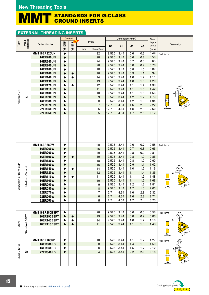#### MMT STANDARDS FOR G-CLASS GROUND INSERTS

## **EXTERNAL THREADING INSERTS**

|                        |                     |                      | Coated    |               |    |                   |                | Dimensions (mm) |                |                | Total        |                           |
|------------------------|---------------------|----------------------|-----------|---------------|----|-------------------|----------------|-----------------|----------------|----------------|--------------|---------------------------|
| Type                   | Thread<br>Tolerance | <b>Order Number</b>  |           |               |    | Pitch             |                |                 |                |                | depth        | Geometry                  |
|                        |                     |                      | VP10MF    | <b>VP15TF</b> |    |                   | D <sub>1</sub> | S <sub>1</sub>  | Z <sub>1</sub> | Z <sub>2</sub> | of cut       |                           |
|                        |                     | MMT16ER320UN         | $\bullet$ |               | mm | thread/inch<br>32 | 9.525          | 3.44            | 0.6            | 0.6            | (mm)<br>0.49 |                           |
|                        |                     | <b>16ER280UN</b>     | $\bullet$ |               |    | 28                | 9.525          | 3.44            | 0.6            | 0.7            | 0.56         | Full form                 |
|                        |                     | <b>16ER240UN</b>     | $\bullet$ |               |    | 24                | 9.525          | 3.44            | 0.7            | 0.8            | 0.65         |                           |
|                        |                     | <b>16ER200UN</b>     | $\bullet$ |               |    | 20                | 9.525          | 3.44            | 0.8            | 0.9            | 0.78         |                           |
|                        |                     | <b>16ER180UN</b>     | $\bullet$ |               |    | 18                | 9.525          | 3.44            | 0.8            | 1.0            | 0.87         |                           |
|                        |                     | <b>16ER160UN</b>     | $\bullet$ | $\bullet$     |    | 16                | 9.525          | 3.44            | 0.9            | 1.1            | 0.97         |                           |
|                        |                     | <b>16ER140UN</b>     | $\bullet$ |               |    | 14                | 9.525          | 3.44            | 1.0            | 1.2            | 1.11         |                           |
|                        |                     | <b>16ER130UN</b>     | $\bullet$ |               |    | 13                | 9.525          | 3.44            | 1.0            | 1.3            | 1.20         |                           |
|                        |                     | <b>16ER120UN</b>     | $\bullet$ |               |    | 12                | 9.525          | 3.44            | 1.1            | 1.4            | 1.30         |                           |
|                        |                     | <b>16ER110UN</b>     | $\bullet$ |               |    | 11                | 9.525          | 3.44            | 1.1            | 1.5            | 1.42         | 60°<br>Z2                 |
| American UN            |                     | <b>16ER100UN</b>     | $\bullet$ |               |    | 10                | 9.525          | 3.44            | 1.1            | 1.5            | 1.56         | Ζ1                        |
|                        | 2A                  | <b>16ER090UN</b>     | $\bullet$ |               |    | 9                 | 9.525          | 3.44            | 1.2            | 1.7            | 1.73         |                           |
|                        |                     | <b>16ER080UN</b>     | $\bullet$ |               |    | 8                 | 9.525          | 3.44            | 1.2            | 1.6            | 1.95         |                           |
|                        |                     | <b>22ER070UN</b>     | $\bullet$ |               |    | $\overline{7}$    | 12.7           | 4.64            | 1.6            | 2.3            | 2.22         |                           |
|                        |                     | <b>22ER060UN</b>     | $\bullet$ |               |    | 6                 | 12.7           | 4.64            | 1.6            | 2.3            | 2.60         | <u>S1</u>                 |
|                        |                     | <b>22ER050UN</b>     | $\bullet$ |               |    | 5                 | 12.7           | 4.64            | 1.7            | 2.5            | 3.12         |                           |
|                        |                     |                      |           |               |    |                   |                |                 |                |                |              |                           |
|                        |                     | <b>MMT16ER280W</b>   | $\bullet$ |               |    | 28                | 9.525          | 3.44            | 0.6            | 0.7            | 0.58         | Full form                 |
|                        |                     | 16ER260W             | $\bullet$ |               |    | 26                | 9.525          | 3.44            | 0.7            | 0.8            | 0.63         |                           |
|                        |                     | 16ER200W             | $\bullet$ |               |    | 20                | 9.525          | 3.44            | 0.8            | 0.9            | 0.81         |                           |
|                        |                     | 16ER190W             | $\bullet$ | $\bullet$     |    | 19                | 9.525          | 3.44            | 0.8            | 1.0            | 0.86         |                           |
|                        |                     | 16ER180W             | $\bullet$ |               |    | 18                | 9.525          | 3.44            | 0.8            | 1.0            | 0.90         |                           |
|                        | ⋖                   | 16ER160W             | $\bullet$ |               |    | 16                | 9.525          | 3.44            | 0.9            | 1.1            | 1.02         | 55°                       |
|                        |                     | 16ER140W             | $\bullet$ |               |    | 14                | 9.525          | 3.44            | 1.0            | 1.2            | 1.16         |                           |
|                        |                     | 16ER120W             | ●         |               |    | 12                | 9.525          | 3.44            | 1.1            | 1.4            | 1.36         | Z1                        |
| Whitworth for BSW, BSP | Medium Class        | 16ER110W             | $\bullet$ |               |    | 11                | 9.525          | 3.44            | 1.1            | 1.5            | 1.48         |                           |
|                        |                     | 16ER100W             | $\bullet$ |               |    | 10                | 9.525          | 3.44            | 1.1            | 1.5            | 1.63         |                           |
|                        |                     | 16ER090W             | $\bullet$ |               |    | 9                 | 9.525          | 3.44            | 1.2            | 1.7            | 1.81         |                           |
|                        |                     | <b>16ER080W</b>      | $\bullet$ |               |    | 8                 | 9.525          | 3.44            | 1.2            | 1.5            | 2.03         |                           |
|                        |                     | 22ER070W             | $\bullet$ |               |    | 7                 | 12.7           | 4.64            | $1.6\,$        | 2.3<br>2.3     | 2.32<br>2.71 |                           |
|                        |                     | 22ER060W<br>22ER050W | $\bullet$ |               |    | 6<br>5            | 12.7<br>12.7   | 4.64<br>4.64    | 1.6<br>1.7     | 2.4            | 3.25         |                           |
|                        |                     |                      |           |               |    |                   |                |                 |                |                |              |                           |
|                        |                     | MMT16ER280BSPT       | $\bullet$ |               |    | 28                | 9.525          | 3.44            | 0.6            | 0.6            | 0.58         | Full form<br>$55^{\circ}$ |
|                        |                     | 16ER190BSPT          | $\bullet$ | $\bullet$     |    | 19                | 9.525          | 3.44            | 0.8            | 0.9            | 0.86         |                           |
|                        |                     | 16ER140BSPT          | $\bullet$ |               |    | 14                | 9.525          | 3.44            | 1.0            | 1.2            | 1.16         | Z1                        |
| <b>BSPT</b>            | Standard BSPT       | 16ER110BSPT          | $\bullet$ | $\bullet$     |    | 11                | 9.525          | 3.44            | 1.1            | 1.5            | 1.48         | $\mathsf{S}_1$            |
|                        |                     | MMT16ER100RD         | $\bullet$ |               |    | 10                | 9.525          | 3.44            | 1.1            | 1.2            | 1.27         | 30°<br>Full form          |
|                        |                     | <b>16ER080RD</b>     | $\bullet$ |               |    | 8                 | 9.525          | 3.44            | 1.4            | 1.3            | 1.59         |                           |
|                        |                     | 16ER060RD            | $\bullet$ |               |    | 6                 | 9.525          | 3.44            | 1.5            | 1.7            | 2.12         | Z1                        |
|                        | 7h                  | 22ER040RD            | $\bullet$ |               |    | $\overline{4}$    | 9.525          | 3.44            | 2.2            | 2.3            | 3.18         |                           |
| Round DIN405           |                     |                      |           |               |    |                   |                |                 |                |                |              | $\sqrt{S_1}$              |

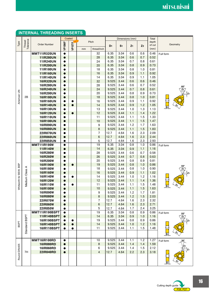| Tolerance<br>Thread<br>Pitch<br>depth<br>Type<br>VP10MF<br>VP15TF<br><b>Order Number</b><br>Geometry<br>of cut<br>S <sub>1</sub><br>Z <sub>2</sub><br>D <sub>1</sub><br>Z <sub>1</sub><br>(mm)<br>thread/inch<br>mm<br>0.6<br>0.6<br>32<br>6.35<br>3.04<br>0.46<br><b>MMT11IR320UN</b><br>$\bullet$<br>Full form<br>28<br>6.35<br>3.04<br>0.6<br>0.7<br>0.52<br>11IR280UN<br>$\bullet$<br>24<br>0.7<br>0.8<br><b>11IR240UN</b><br>6.35<br>3.04<br>0.61<br>$\bullet$<br>20<br>6.35<br>3.04<br>0.8<br>0.9<br>0.73<br><b>11IR200UN</b><br>$\bullet$<br>0.81<br>18<br>6.35<br>3.04<br>0.8<br>1.0<br><b>11IR180UN</b><br>$\bullet$<br>16<br>6.35<br>3.04<br>0.9<br>1.1<br>0.92<br><b>11IR160UN</b><br>$\bullet$<br>14<br>6.35<br>3.04<br>0.9<br>1.1<br>1.05<br>11IR140UN<br>$\bullet$<br>32<br>9.525<br>3.44<br>0.6<br>0.6<br>0.46<br><b>16IR320UN</b><br>$\bullet$<br>9.525<br>3.44<br>0.6<br>0.7<br>0.52<br>28<br><b>16IR280UN</b><br>$\bullet$<br>$60^\circ$<br>24<br>9.525<br>0.7<br>3.44<br>0.8<br>0.61<br><b>16IR240UN</b><br>$\bullet$<br>Z <sub>2</sub><br>American UN<br>20<br>9.525<br>0.8<br>0.9<br>0.73<br><b>16IR200UN</b><br>3.44<br>$\bullet$<br>2Β<br>9.525<br>0.8<br>1.0<br>0.81<br><b>16IR180UN</b><br>18<br>3.44<br>$\bullet$<br>9.525<br>0.9<br>3.44<br>1.1<br>0.92<br><b>16IR160UN</b><br>16<br>$\bullet$<br>e<br>9.525<br>1.2<br>14<br>3.44<br>0.9<br>1.05<br><b>16IR140UN</b><br>$\bullet$<br>S1<br>13<br>9.525<br>1.3<br><b>16IR130UN</b><br>3.44<br>1.0<br>1.13<br>$\bullet$<br>12<br>9.525<br>3.44<br>1.1<br>1.4<br>1.22<br><b>16IR120UN</b><br>$\bullet$<br>9.525<br>1.1<br>1.5<br>1.33<br>16IR110UN<br>11<br>3.44<br>$\bullet$<br>9.525<br>1.1<br>1.5<br>1.47<br>10<br>3.44<br><b>16IR100UN</b><br>$\bullet$<br>9.525<br>9<br>3.44<br>1.2<br>1.7<br>1.63<br><b>16IR090UN</b><br>$\bullet$<br>8<br>9.525<br>3.44<br>1.1<br>1.5<br>1.83<br><b>16IR080UN</b><br>$\bullet$<br>1.6<br>2.3<br>2.09<br><b>22IR070UN</b><br>$\overline{7}$<br>12.7<br>4.64<br>$\bullet$<br>2.3<br>12.7<br>4.64<br>2.44<br><b>22IR060UN</b><br>6<br>1.6<br>$\bullet$<br>12.7<br>2.3<br>2.93<br>5<br>4.64<br>1.6<br>22IR050UN<br>$\bullet$<br><b>MMT11IR190W</b><br>19<br>6.35<br>3.04<br>0.8<br>1.0<br>0.86<br>$\bullet$<br>Full form<br>14<br>6.35<br>3.04<br>0.9<br>1.1<br>1.16<br><b>11IR140W</b><br>$\bullet$<br>28<br>9.525<br>0.7<br>16IR280W<br>3.44<br>0.6<br>0.58<br>$\bullet$<br>26<br>9.525<br>0.7<br>0.8<br>0.63<br><b>16IR260W</b><br>3.44<br>$\bullet$<br>16IR200W<br>20<br>9.525<br>0.8<br>0.9<br>0.81<br>3.44<br>0<br>Whitworth for BSW, BSP<br>19<br>9.525<br>0.8<br>1.0<br>0.86<br><b>16IR190W</b><br>3.44<br>$\bullet$<br>$\bullet$<br>$55^{\circ}$<br>Medium Class A<br>0.8<br>1.0<br>0.90<br><b>16IR180W</b><br>18<br>9.525<br>3.44<br>$\bullet$<br>16<br>9.525<br>0.9<br>1.1<br><b>16IR160W</b><br>3.44<br>1.02<br>$\bullet$<br>16IR140W<br>9.525<br>1.2<br>14<br>3.44<br>1.0<br>1.16<br>$\bullet$<br>12<br>9.525<br><b>16IR120W</b><br>3.44<br>1.1<br>1.4<br>1.36<br>0<br>11<br>9.525<br>1.1<br>1.5<br>16IR110W<br>3.44<br>1.48<br>0<br>10<br>9.525<br>1.1<br>1.5<br>3.44<br>1.63<br><b>16IR100W</b><br>$\bullet$<br>9.525<br>1.2<br>1.7<br>9<br>3.44<br>1.81<br><b>16IR090W</b><br>8<br>9.525<br><b>16IR080W</b><br>3.44<br>1.2<br>1.5<br>2.03<br>$\bullet$<br><b>22IR070W</b><br>$\overline{7}$<br>12.7<br>4.64<br>2.3<br>2.32<br>1.6<br>0<br>6<br>12.7<br>1.6<br>2.3<br>2.71<br><b>22IR060W</b><br>4.64<br>$\bullet$<br><b>22IR050W</b><br>12.7<br>4.64<br>1.7<br>2.4<br>3.25<br>5<br>$\bullet$<br>19<br>6.35<br>3.04<br>MMT11IR190BSPT<br>0.8<br>0.9<br>0.86<br>$\bullet$<br>Full form<br>$55^\circ$<br>Standard BSPT<br>6.35<br>3.04<br><b>11IR140BSPT</b><br>14<br>0.9<br>1.0<br>1.16<br>$\overline{z_2}$<br>$\bullet$<br>16IR190BSPT<br>19<br>9.525<br>3.44<br>0.8<br>0.9<br>0.86<br>0<br><b>BSPT</b><br><b>16IR140BSPT</b><br>1.2<br>14<br>9.525<br>3.44<br>1.0<br>1.16<br>$\bullet$<br>9.525<br>16IR110BSPT<br>11<br>3.44<br>1.5<br>1.1<br>1.48<br>$\bullet$<br>●<br>S <sub>1</sub><br>MMT16IR100RD<br>9.525<br>3.44<br>1.1<br>1.2<br>1.27<br>10<br>$\bullet$<br>Full form<br>30°<br>16IR080RD<br>$\bf 8$<br>9.525<br>3.44<br>1.4<br>1.4<br>1.59<br>$\bullet$<br>Round DIN405<br>9.525<br>1.5<br>2.12<br>16IR060RD<br>3.44<br>1.4<br>6<br>$\bullet$<br>7H<br>12.7<br>4.64<br>2.2<br>2.3<br>3.18<br>22IR040RD<br>$\overline{4}$<br>$\bullet$<br><u> S1</u> |  |  | Coated |  | Dimensions (mm) |  | Total |  |
|-----------------------------------------------------------------------------------------------------------------------------------------------------------------------------------------------------------------------------------------------------------------------------------------------------------------------------------------------------------------------------------------------------------------------------------------------------------------------------------------------------------------------------------------------------------------------------------------------------------------------------------------------------------------------------------------------------------------------------------------------------------------------------------------------------------------------------------------------------------------------------------------------------------------------------------------------------------------------------------------------------------------------------------------------------------------------------------------------------------------------------------------------------------------------------------------------------------------------------------------------------------------------------------------------------------------------------------------------------------------------------------------------------------------------------------------------------------------------------------------------------------------------------------------------------------------------------------------------------------------------------------------------------------------------------------------------------------------------------------------------------------------------------------------------------------------------------------------------------------------------------------------------------------------------------------------------------------------------------------------------------------------------------------------------------------------------------------------------------------------------------------------------------------------------------------------------------------------------------------------------------------------------------------------------------------------------------------------------------------------------------------------------------------------------------------------------------------------------------------------------------------------------------------------------------------------------------------------------------------------------------------------------------------------------------------------------------------------------------------------------------------------------------------------------------------------------------------------------------------------------------------------------------------------------------------------------------------------------------------------------------------------------------------------------------------------------------------------------------------------------------------------------------------------------------------------------------------------------------------------------------------------------------------------------------------------------------------------------------------------------------------------------------------------------------------------------------------------------------------------------------------------------------------------------------------------------------------------------------------------------------------------------------------------------------------------------------------------------------------------------------------------------------------------------------------------------------------------------------------------------------------------------------------------------------------------------------------------------------------------------------------------------------------------------------------------------------------------------------------------------------------------------------------------------------------------------------------------------------------------------------------------------------------------------------------------------------------------------------------------------------------------|--|--|--------|--|-----------------|--|-------|--|
|                                                                                                                                                                                                                                                                                                                                                                                                                                                                                                                                                                                                                                                                                                                                                                                                                                                                                                                                                                                                                                                                                                                                                                                                                                                                                                                                                                                                                                                                                                                                                                                                                                                                                                                                                                                                                                                                                                                                                                                                                                                                                                                                                                                                                                                                                                                                                                                                                                                                                                                                                                                                                                                                                                                                                                                                                                                                                                                                                                                                                                                                                                                                                                                                                                                                                                                                                                                                                                                                                                                                                                                                                                                                                                                                                                                                                                                                                                                                                                                                                                                                                                                                                                                                                                                                                                                                                                                         |  |  |        |  |                 |  |       |  |
|                                                                                                                                                                                                                                                                                                                                                                                                                                                                                                                                                                                                                                                                                                                                                                                                                                                                                                                                                                                                                                                                                                                                                                                                                                                                                                                                                                                                                                                                                                                                                                                                                                                                                                                                                                                                                                                                                                                                                                                                                                                                                                                                                                                                                                                                                                                                                                                                                                                                                                                                                                                                                                                                                                                                                                                                                                                                                                                                                                                                                                                                                                                                                                                                                                                                                                                                                                                                                                                                                                                                                                                                                                                                                                                                                                                                                                                                                                                                                                                                                                                                                                                                                                                                                                                                                                                                                                                         |  |  |        |  |                 |  |       |  |
|                                                                                                                                                                                                                                                                                                                                                                                                                                                                                                                                                                                                                                                                                                                                                                                                                                                                                                                                                                                                                                                                                                                                                                                                                                                                                                                                                                                                                                                                                                                                                                                                                                                                                                                                                                                                                                                                                                                                                                                                                                                                                                                                                                                                                                                                                                                                                                                                                                                                                                                                                                                                                                                                                                                                                                                                                                                                                                                                                                                                                                                                                                                                                                                                                                                                                                                                                                                                                                                                                                                                                                                                                                                                                                                                                                                                                                                                                                                                                                                                                                                                                                                                                                                                                                                                                                                                                                                         |  |  |        |  |                 |  |       |  |
|                                                                                                                                                                                                                                                                                                                                                                                                                                                                                                                                                                                                                                                                                                                                                                                                                                                                                                                                                                                                                                                                                                                                                                                                                                                                                                                                                                                                                                                                                                                                                                                                                                                                                                                                                                                                                                                                                                                                                                                                                                                                                                                                                                                                                                                                                                                                                                                                                                                                                                                                                                                                                                                                                                                                                                                                                                                                                                                                                                                                                                                                                                                                                                                                                                                                                                                                                                                                                                                                                                                                                                                                                                                                                                                                                                                                                                                                                                                                                                                                                                                                                                                                                                                                                                                                                                                                                                                         |  |  |        |  |                 |  |       |  |
|                                                                                                                                                                                                                                                                                                                                                                                                                                                                                                                                                                                                                                                                                                                                                                                                                                                                                                                                                                                                                                                                                                                                                                                                                                                                                                                                                                                                                                                                                                                                                                                                                                                                                                                                                                                                                                                                                                                                                                                                                                                                                                                                                                                                                                                                                                                                                                                                                                                                                                                                                                                                                                                                                                                                                                                                                                                                                                                                                                                                                                                                                                                                                                                                                                                                                                                                                                                                                                                                                                                                                                                                                                                                                                                                                                                                                                                                                                                                                                                                                                                                                                                                                                                                                                                                                                                                                                                         |  |  |        |  |                 |  |       |  |
|                                                                                                                                                                                                                                                                                                                                                                                                                                                                                                                                                                                                                                                                                                                                                                                                                                                                                                                                                                                                                                                                                                                                                                                                                                                                                                                                                                                                                                                                                                                                                                                                                                                                                                                                                                                                                                                                                                                                                                                                                                                                                                                                                                                                                                                                                                                                                                                                                                                                                                                                                                                                                                                                                                                                                                                                                                                                                                                                                                                                                                                                                                                                                                                                                                                                                                                                                                                                                                                                                                                                                                                                                                                                                                                                                                                                                                                                                                                                                                                                                                                                                                                                                                                                                                                                                                                                                                                         |  |  |        |  |                 |  |       |  |
|                                                                                                                                                                                                                                                                                                                                                                                                                                                                                                                                                                                                                                                                                                                                                                                                                                                                                                                                                                                                                                                                                                                                                                                                                                                                                                                                                                                                                                                                                                                                                                                                                                                                                                                                                                                                                                                                                                                                                                                                                                                                                                                                                                                                                                                                                                                                                                                                                                                                                                                                                                                                                                                                                                                                                                                                                                                                                                                                                                                                                                                                                                                                                                                                                                                                                                                                                                                                                                                                                                                                                                                                                                                                                                                                                                                                                                                                                                                                                                                                                                                                                                                                                                                                                                                                                                                                                                                         |  |  |        |  |                 |  |       |  |
|                                                                                                                                                                                                                                                                                                                                                                                                                                                                                                                                                                                                                                                                                                                                                                                                                                                                                                                                                                                                                                                                                                                                                                                                                                                                                                                                                                                                                                                                                                                                                                                                                                                                                                                                                                                                                                                                                                                                                                                                                                                                                                                                                                                                                                                                                                                                                                                                                                                                                                                                                                                                                                                                                                                                                                                                                                                                                                                                                                                                                                                                                                                                                                                                                                                                                                                                                                                                                                                                                                                                                                                                                                                                                                                                                                                                                                                                                                                                                                                                                                                                                                                                                                                                                                                                                                                                                                                         |  |  |        |  |                 |  |       |  |
|                                                                                                                                                                                                                                                                                                                                                                                                                                                                                                                                                                                                                                                                                                                                                                                                                                                                                                                                                                                                                                                                                                                                                                                                                                                                                                                                                                                                                                                                                                                                                                                                                                                                                                                                                                                                                                                                                                                                                                                                                                                                                                                                                                                                                                                                                                                                                                                                                                                                                                                                                                                                                                                                                                                                                                                                                                                                                                                                                                                                                                                                                                                                                                                                                                                                                                                                                                                                                                                                                                                                                                                                                                                                                                                                                                                                                                                                                                                                                                                                                                                                                                                                                                                                                                                                                                                                                                                         |  |  |        |  |                 |  |       |  |
|                                                                                                                                                                                                                                                                                                                                                                                                                                                                                                                                                                                                                                                                                                                                                                                                                                                                                                                                                                                                                                                                                                                                                                                                                                                                                                                                                                                                                                                                                                                                                                                                                                                                                                                                                                                                                                                                                                                                                                                                                                                                                                                                                                                                                                                                                                                                                                                                                                                                                                                                                                                                                                                                                                                                                                                                                                                                                                                                                                                                                                                                                                                                                                                                                                                                                                                                                                                                                                                                                                                                                                                                                                                                                                                                                                                                                                                                                                                                                                                                                                                                                                                                                                                                                                                                                                                                                                                         |  |  |        |  |                 |  |       |  |
|                                                                                                                                                                                                                                                                                                                                                                                                                                                                                                                                                                                                                                                                                                                                                                                                                                                                                                                                                                                                                                                                                                                                                                                                                                                                                                                                                                                                                                                                                                                                                                                                                                                                                                                                                                                                                                                                                                                                                                                                                                                                                                                                                                                                                                                                                                                                                                                                                                                                                                                                                                                                                                                                                                                                                                                                                                                                                                                                                                                                                                                                                                                                                                                                                                                                                                                                                                                                                                                                                                                                                                                                                                                                                                                                                                                                                                                                                                                                                                                                                                                                                                                                                                                                                                                                                                                                                                                         |  |  |        |  |                 |  |       |  |
|                                                                                                                                                                                                                                                                                                                                                                                                                                                                                                                                                                                                                                                                                                                                                                                                                                                                                                                                                                                                                                                                                                                                                                                                                                                                                                                                                                                                                                                                                                                                                                                                                                                                                                                                                                                                                                                                                                                                                                                                                                                                                                                                                                                                                                                                                                                                                                                                                                                                                                                                                                                                                                                                                                                                                                                                                                                                                                                                                                                                                                                                                                                                                                                                                                                                                                                                                                                                                                                                                                                                                                                                                                                                                                                                                                                                                                                                                                                                                                                                                                                                                                                                                                                                                                                                                                                                                                                         |  |  |        |  |                 |  |       |  |
|                                                                                                                                                                                                                                                                                                                                                                                                                                                                                                                                                                                                                                                                                                                                                                                                                                                                                                                                                                                                                                                                                                                                                                                                                                                                                                                                                                                                                                                                                                                                                                                                                                                                                                                                                                                                                                                                                                                                                                                                                                                                                                                                                                                                                                                                                                                                                                                                                                                                                                                                                                                                                                                                                                                                                                                                                                                                                                                                                                                                                                                                                                                                                                                                                                                                                                                                                                                                                                                                                                                                                                                                                                                                                                                                                                                                                                                                                                                                                                                                                                                                                                                                                                                                                                                                                                                                                                                         |  |  |        |  |                 |  |       |  |
|                                                                                                                                                                                                                                                                                                                                                                                                                                                                                                                                                                                                                                                                                                                                                                                                                                                                                                                                                                                                                                                                                                                                                                                                                                                                                                                                                                                                                                                                                                                                                                                                                                                                                                                                                                                                                                                                                                                                                                                                                                                                                                                                                                                                                                                                                                                                                                                                                                                                                                                                                                                                                                                                                                                                                                                                                                                                                                                                                                                                                                                                                                                                                                                                                                                                                                                                                                                                                                                                                                                                                                                                                                                                                                                                                                                                                                                                                                                                                                                                                                                                                                                                                                                                                                                                                                                                                                                         |  |  |        |  |                 |  |       |  |
|                                                                                                                                                                                                                                                                                                                                                                                                                                                                                                                                                                                                                                                                                                                                                                                                                                                                                                                                                                                                                                                                                                                                                                                                                                                                                                                                                                                                                                                                                                                                                                                                                                                                                                                                                                                                                                                                                                                                                                                                                                                                                                                                                                                                                                                                                                                                                                                                                                                                                                                                                                                                                                                                                                                                                                                                                                                                                                                                                                                                                                                                                                                                                                                                                                                                                                                                                                                                                                                                                                                                                                                                                                                                                                                                                                                                                                                                                                                                                                                                                                                                                                                                                                                                                                                                                                                                                                                         |  |  |        |  |                 |  |       |  |
|                                                                                                                                                                                                                                                                                                                                                                                                                                                                                                                                                                                                                                                                                                                                                                                                                                                                                                                                                                                                                                                                                                                                                                                                                                                                                                                                                                                                                                                                                                                                                                                                                                                                                                                                                                                                                                                                                                                                                                                                                                                                                                                                                                                                                                                                                                                                                                                                                                                                                                                                                                                                                                                                                                                                                                                                                                                                                                                                                                                                                                                                                                                                                                                                                                                                                                                                                                                                                                                                                                                                                                                                                                                                                                                                                                                                                                                                                                                                                                                                                                                                                                                                                                                                                                                                                                                                                                                         |  |  |        |  |                 |  |       |  |
|                                                                                                                                                                                                                                                                                                                                                                                                                                                                                                                                                                                                                                                                                                                                                                                                                                                                                                                                                                                                                                                                                                                                                                                                                                                                                                                                                                                                                                                                                                                                                                                                                                                                                                                                                                                                                                                                                                                                                                                                                                                                                                                                                                                                                                                                                                                                                                                                                                                                                                                                                                                                                                                                                                                                                                                                                                                                                                                                                                                                                                                                                                                                                                                                                                                                                                                                                                                                                                                                                                                                                                                                                                                                                                                                                                                                                                                                                                                                                                                                                                                                                                                                                                                                                                                                                                                                                                                         |  |  |        |  |                 |  |       |  |
|                                                                                                                                                                                                                                                                                                                                                                                                                                                                                                                                                                                                                                                                                                                                                                                                                                                                                                                                                                                                                                                                                                                                                                                                                                                                                                                                                                                                                                                                                                                                                                                                                                                                                                                                                                                                                                                                                                                                                                                                                                                                                                                                                                                                                                                                                                                                                                                                                                                                                                                                                                                                                                                                                                                                                                                                                                                                                                                                                                                                                                                                                                                                                                                                                                                                                                                                                                                                                                                                                                                                                                                                                                                                                                                                                                                                                                                                                                                                                                                                                                                                                                                                                                                                                                                                                                                                                                                         |  |  |        |  |                 |  |       |  |
|                                                                                                                                                                                                                                                                                                                                                                                                                                                                                                                                                                                                                                                                                                                                                                                                                                                                                                                                                                                                                                                                                                                                                                                                                                                                                                                                                                                                                                                                                                                                                                                                                                                                                                                                                                                                                                                                                                                                                                                                                                                                                                                                                                                                                                                                                                                                                                                                                                                                                                                                                                                                                                                                                                                                                                                                                                                                                                                                                                                                                                                                                                                                                                                                                                                                                                                                                                                                                                                                                                                                                                                                                                                                                                                                                                                                                                                                                                                                                                                                                                                                                                                                                                                                                                                                                                                                                                                         |  |  |        |  |                 |  |       |  |
|                                                                                                                                                                                                                                                                                                                                                                                                                                                                                                                                                                                                                                                                                                                                                                                                                                                                                                                                                                                                                                                                                                                                                                                                                                                                                                                                                                                                                                                                                                                                                                                                                                                                                                                                                                                                                                                                                                                                                                                                                                                                                                                                                                                                                                                                                                                                                                                                                                                                                                                                                                                                                                                                                                                                                                                                                                                                                                                                                                                                                                                                                                                                                                                                                                                                                                                                                                                                                                                                                                                                                                                                                                                                                                                                                                                                                                                                                                                                                                                                                                                                                                                                                                                                                                                                                                                                                                                         |  |  |        |  |                 |  |       |  |
|                                                                                                                                                                                                                                                                                                                                                                                                                                                                                                                                                                                                                                                                                                                                                                                                                                                                                                                                                                                                                                                                                                                                                                                                                                                                                                                                                                                                                                                                                                                                                                                                                                                                                                                                                                                                                                                                                                                                                                                                                                                                                                                                                                                                                                                                                                                                                                                                                                                                                                                                                                                                                                                                                                                                                                                                                                                                                                                                                                                                                                                                                                                                                                                                                                                                                                                                                                                                                                                                                                                                                                                                                                                                                                                                                                                                                                                                                                                                                                                                                                                                                                                                                                                                                                                                                                                                                                                         |  |  |        |  |                 |  |       |  |
|                                                                                                                                                                                                                                                                                                                                                                                                                                                                                                                                                                                                                                                                                                                                                                                                                                                                                                                                                                                                                                                                                                                                                                                                                                                                                                                                                                                                                                                                                                                                                                                                                                                                                                                                                                                                                                                                                                                                                                                                                                                                                                                                                                                                                                                                                                                                                                                                                                                                                                                                                                                                                                                                                                                                                                                                                                                                                                                                                                                                                                                                                                                                                                                                                                                                                                                                                                                                                                                                                                                                                                                                                                                                                                                                                                                                                                                                                                                                                                                                                                                                                                                                                                                                                                                                                                                                                                                         |  |  |        |  |                 |  |       |  |
|                                                                                                                                                                                                                                                                                                                                                                                                                                                                                                                                                                                                                                                                                                                                                                                                                                                                                                                                                                                                                                                                                                                                                                                                                                                                                                                                                                                                                                                                                                                                                                                                                                                                                                                                                                                                                                                                                                                                                                                                                                                                                                                                                                                                                                                                                                                                                                                                                                                                                                                                                                                                                                                                                                                                                                                                                                                                                                                                                                                                                                                                                                                                                                                                                                                                                                                                                                                                                                                                                                                                                                                                                                                                                                                                                                                                                                                                                                                                                                                                                                                                                                                                                                                                                                                                                                                                                                                         |  |  |        |  |                 |  |       |  |
|                                                                                                                                                                                                                                                                                                                                                                                                                                                                                                                                                                                                                                                                                                                                                                                                                                                                                                                                                                                                                                                                                                                                                                                                                                                                                                                                                                                                                                                                                                                                                                                                                                                                                                                                                                                                                                                                                                                                                                                                                                                                                                                                                                                                                                                                                                                                                                                                                                                                                                                                                                                                                                                                                                                                                                                                                                                                                                                                                                                                                                                                                                                                                                                                                                                                                                                                                                                                                                                                                                                                                                                                                                                                                                                                                                                                                                                                                                                                                                                                                                                                                                                                                                                                                                                                                                                                                                                         |  |  |        |  |                 |  |       |  |
|                                                                                                                                                                                                                                                                                                                                                                                                                                                                                                                                                                                                                                                                                                                                                                                                                                                                                                                                                                                                                                                                                                                                                                                                                                                                                                                                                                                                                                                                                                                                                                                                                                                                                                                                                                                                                                                                                                                                                                                                                                                                                                                                                                                                                                                                                                                                                                                                                                                                                                                                                                                                                                                                                                                                                                                                                                                                                                                                                                                                                                                                                                                                                                                                                                                                                                                                                                                                                                                                                                                                                                                                                                                                                                                                                                                                                                                                                                                                                                                                                                                                                                                                                                                                                                                                                                                                                                                         |  |  |        |  |                 |  |       |  |
|                                                                                                                                                                                                                                                                                                                                                                                                                                                                                                                                                                                                                                                                                                                                                                                                                                                                                                                                                                                                                                                                                                                                                                                                                                                                                                                                                                                                                                                                                                                                                                                                                                                                                                                                                                                                                                                                                                                                                                                                                                                                                                                                                                                                                                                                                                                                                                                                                                                                                                                                                                                                                                                                                                                                                                                                                                                                                                                                                                                                                                                                                                                                                                                                                                                                                                                                                                                                                                                                                                                                                                                                                                                                                                                                                                                                                                                                                                                                                                                                                                                                                                                                                                                                                                                                                                                                                                                         |  |  |        |  |                 |  |       |  |
|                                                                                                                                                                                                                                                                                                                                                                                                                                                                                                                                                                                                                                                                                                                                                                                                                                                                                                                                                                                                                                                                                                                                                                                                                                                                                                                                                                                                                                                                                                                                                                                                                                                                                                                                                                                                                                                                                                                                                                                                                                                                                                                                                                                                                                                                                                                                                                                                                                                                                                                                                                                                                                                                                                                                                                                                                                                                                                                                                                                                                                                                                                                                                                                                                                                                                                                                                                                                                                                                                                                                                                                                                                                                                                                                                                                                                                                                                                                                                                                                                                                                                                                                                                                                                                                                                                                                                                                         |  |  |        |  |                 |  |       |  |
|                                                                                                                                                                                                                                                                                                                                                                                                                                                                                                                                                                                                                                                                                                                                                                                                                                                                                                                                                                                                                                                                                                                                                                                                                                                                                                                                                                                                                                                                                                                                                                                                                                                                                                                                                                                                                                                                                                                                                                                                                                                                                                                                                                                                                                                                                                                                                                                                                                                                                                                                                                                                                                                                                                                                                                                                                                                                                                                                                                                                                                                                                                                                                                                                                                                                                                                                                                                                                                                                                                                                                                                                                                                                                                                                                                                                                                                                                                                                                                                                                                                                                                                                                                                                                                                                                                                                                                                         |  |  |        |  |                 |  |       |  |
|                                                                                                                                                                                                                                                                                                                                                                                                                                                                                                                                                                                                                                                                                                                                                                                                                                                                                                                                                                                                                                                                                                                                                                                                                                                                                                                                                                                                                                                                                                                                                                                                                                                                                                                                                                                                                                                                                                                                                                                                                                                                                                                                                                                                                                                                                                                                                                                                                                                                                                                                                                                                                                                                                                                                                                                                                                                                                                                                                                                                                                                                                                                                                                                                                                                                                                                                                                                                                                                                                                                                                                                                                                                                                                                                                                                                                                                                                                                                                                                                                                                                                                                                                                                                                                                                                                                                                                                         |  |  |        |  |                 |  |       |  |
|                                                                                                                                                                                                                                                                                                                                                                                                                                                                                                                                                                                                                                                                                                                                                                                                                                                                                                                                                                                                                                                                                                                                                                                                                                                                                                                                                                                                                                                                                                                                                                                                                                                                                                                                                                                                                                                                                                                                                                                                                                                                                                                                                                                                                                                                                                                                                                                                                                                                                                                                                                                                                                                                                                                                                                                                                                                                                                                                                                                                                                                                                                                                                                                                                                                                                                                                                                                                                                                                                                                                                                                                                                                                                                                                                                                                                                                                                                                                                                                                                                                                                                                                                                                                                                                                                                                                                                                         |  |  |        |  |                 |  |       |  |
|                                                                                                                                                                                                                                                                                                                                                                                                                                                                                                                                                                                                                                                                                                                                                                                                                                                                                                                                                                                                                                                                                                                                                                                                                                                                                                                                                                                                                                                                                                                                                                                                                                                                                                                                                                                                                                                                                                                                                                                                                                                                                                                                                                                                                                                                                                                                                                                                                                                                                                                                                                                                                                                                                                                                                                                                                                                                                                                                                                                                                                                                                                                                                                                                                                                                                                                                                                                                                                                                                                                                                                                                                                                                                                                                                                                                                                                                                                                                                                                                                                                                                                                                                                                                                                                                                                                                                                                         |  |  |        |  |                 |  |       |  |
|                                                                                                                                                                                                                                                                                                                                                                                                                                                                                                                                                                                                                                                                                                                                                                                                                                                                                                                                                                                                                                                                                                                                                                                                                                                                                                                                                                                                                                                                                                                                                                                                                                                                                                                                                                                                                                                                                                                                                                                                                                                                                                                                                                                                                                                                                                                                                                                                                                                                                                                                                                                                                                                                                                                                                                                                                                                                                                                                                                                                                                                                                                                                                                                                                                                                                                                                                                                                                                                                                                                                                                                                                                                                                                                                                                                                                                                                                                                                                                                                                                                                                                                                                                                                                                                                                                                                                                                         |  |  |        |  |                 |  |       |  |
|                                                                                                                                                                                                                                                                                                                                                                                                                                                                                                                                                                                                                                                                                                                                                                                                                                                                                                                                                                                                                                                                                                                                                                                                                                                                                                                                                                                                                                                                                                                                                                                                                                                                                                                                                                                                                                                                                                                                                                                                                                                                                                                                                                                                                                                                                                                                                                                                                                                                                                                                                                                                                                                                                                                                                                                                                                                                                                                                                                                                                                                                                                                                                                                                                                                                                                                                                                                                                                                                                                                                                                                                                                                                                                                                                                                                                                                                                                                                                                                                                                                                                                                                                                                                                                                                                                                                                                                         |  |  |        |  |                 |  |       |  |
|                                                                                                                                                                                                                                                                                                                                                                                                                                                                                                                                                                                                                                                                                                                                                                                                                                                                                                                                                                                                                                                                                                                                                                                                                                                                                                                                                                                                                                                                                                                                                                                                                                                                                                                                                                                                                                                                                                                                                                                                                                                                                                                                                                                                                                                                                                                                                                                                                                                                                                                                                                                                                                                                                                                                                                                                                                                                                                                                                                                                                                                                                                                                                                                                                                                                                                                                                                                                                                                                                                                                                                                                                                                                                                                                                                                                                                                                                                                                                                                                                                                                                                                                                                                                                                                                                                                                                                                         |  |  |        |  |                 |  |       |  |
|                                                                                                                                                                                                                                                                                                                                                                                                                                                                                                                                                                                                                                                                                                                                                                                                                                                                                                                                                                                                                                                                                                                                                                                                                                                                                                                                                                                                                                                                                                                                                                                                                                                                                                                                                                                                                                                                                                                                                                                                                                                                                                                                                                                                                                                                                                                                                                                                                                                                                                                                                                                                                                                                                                                                                                                                                                                                                                                                                                                                                                                                                                                                                                                                                                                                                                                                                                                                                                                                                                                                                                                                                                                                                                                                                                                                                                                                                                                                                                                                                                                                                                                                                                                                                                                                                                                                                                                         |  |  |        |  |                 |  |       |  |
|                                                                                                                                                                                                                                                                                                                                                                                                                                                                                                                                                                                                                                                                                                                                                                                                                                                                                                                                                                                                                                                                                                                                                                                                                                                                                                                                                                                                                                                                                                                                                                                                                                                                                                                                                                                                                                                                                                                                                                                                                                                                                                                                                                                                                                                                                                                                                                                                                                                                                                                                                                                                                                                                                                                                                                                                                                                                                                                                                                                                                                                                                                                                                                                                                                                                                                                                                                                                                                                                                                                                                                                                                                                                                                                                                                                                                                                                                                                                                                                                                                                                                                                                                                                                                                                                                                                                                                                         |  |  |        |  |                 |  |       |  |
|                                                                                                                                                                                                                                                                                                                                                                                                                                                                                                                                                                                                                                                                                                                                                                                                                                                                                                                                                                                                                                                                                                                                                                                                                                                                                                                                                                                                                                                                                                                                                                                                                                                                                                                                                                                                                                                                                                                                                                                                                                                                                                                                                                                                                                                                                                                                                                                                                                                                                                                                                                                                                                                                                                                                                                                                                                                                                                                                                                                                                                                                                                                                                                                                                                                                                                                                                                                                                                                                                                                                                                                                                                                                                                                                                                                                                                                                                                                                                                                                                                                                                                                                                                                                                                                                                                                                                                                         |  |  |        |  |                 |  |       |  |
|                                                                                                                                                                                                                                                                                                                                                                                                                                                                                                                                                                                                                                                                                                                                                                                                                                                                                                                                                                                                                                                                                                                                                                                                                                                                                                                                                                                                                                                                                                                                                                                                                                                                                                                                                                                                                                                                                                                                                                                                                                                                                                                                                                                                                                                                                                                                                                                                                                                                                                                                                                                                                                                                                                                                                                                                                                                                                                                                                                                                                                                                                                                                                                                                                                                                                                                                                                                                                                                                                                                                                                                                                                                                                                                                                                                                                                                                                                                                                                                                                                                                                                                                                                                                                                                                                                                                                                                         |  |  |        |  |                 |  |       |  |
|                                                                                                                                                                                                                                                                                                                                                                                                                                                                                                                                                                                                                                                                                                                                                                                                                                                                                                                                                                                                                                                                                                                                                                                                                                                                                                                                                                                                                                                                                                                                                                                                                                                                                                                                                                                                                                                                                                                                                                                                                                                                                                                                                                                                                                                                                                                                                                                                                                                                                                                                                                                                                                                                                                                                                                                                                                                                                                                                                                                                                                                                                                                                                                                                                                                                                                                                                                                                                                                                                                                                                                                                                                                                                                                                                                                                                                                                                                                                                                                                                                                                                                                                                                                                                                                                                                                                                                                         |  |  |        |  |                 |  |       |  |
|                                                                                                                                                                                                                                                                                                                                                                                                                                                                                                                                                                                                                                                                                                                                                                                                                                                                                                                                                                                                                                                                                                                                                                                                                                                                                                                                                                                                                                                                                                                                                                                                                                                                                                                                                                                                                                                                                                                                                                                                                                                                                                                                                                                                                                                                                                                                                                                                                                                                                                                                                                                                                                                                                                                                                                                                                                                                                                                                                                                                                                                                                                                                                                                                                                                                                                                                                                                                                                                                                                                                                                                                                                                                                                                                                                                                                                                                                                                                                                                                                                                                                                                                                                                                                                                                                                                                                                                         |  |  |        |  |                 |  |       |  |
|                                                                                                                                                                                                                                                                                                                                                                                                                                                                                                                                                                                                                                                                                                                                                                                                                                                                                                                                                                                                                                                                                                                                                                                                                                                                                                                                                                                                                                                                                                                                                                                                                                                                                                                                                                                                                                                                                                                                                                                                                                                                                                                                                                                                                                                                                                                                                                                                                                                                                                                                                                                                                                                                                                                                                                                                                                                                                                                                                                                                                                                                                                                                                                                                                                                                                                                                                                                                                                                                                                                                                                                                                                                                                                                                                                                                                                                                                                                                                                                                                                                                                                                                                                                                                                                                                                                                                                                         |  |  |        |  |                 |  |       |  |
|                                                                                                                                                                                                                                                                                                                                                                                                                                                                                                                                                                                                                                                                                                                                                                                                                                                                                                                                                                                                                                                                                                                                                                                                                                                                                                                                                                                                                                                                                                                                                                                                                                                                                                                                                                                                                                                                                                                                                                                                                                                                                                                                                                                                                                                                                                                                                                                                                                                                                                                                                                                                                                                                                                                                                                                                                                                                                                                                                                                                                                                                                                                                                                                                                                                                                                                                                                                                                                                                                                                                                                                                                                                                                                                                                                                                                                                                                                                                                                                                                                                                                                                                                                                                                                                                                                                                                                                         |  |  |        |  |                 |  |       |  |
|                                                                                                                                                                                                                                                                                                                                                                                                                                                                                                                                                                                                                                                                                                                                                                                                                                                                                                                                                                                                                                                                                                                                                                                                                                                                                                                                                                                                                                                                                                                                                                                                                                                                                                                                                                                                                                                                                                                                                                                                                                                                                                                                                                                                                                                                                                                                                                                                                                                                                                                                                                                                                                                                                                                                                                                                                                                                                                                                                                                                                                                                                                                                                                                                                                                                                                                                                                                                                                                                                                                                                                                                                                                                                                                                                                                                                                                                                                                                                                                                                                                                                                                                                                                                                                                                                                                                                                                         |  |  |        |  |                 |  |       |  |
|                                                                                                                                                                                                                                                                                                                                                                                                                                                                                                                                                                                                                                                                                                                                                                                                                                                                                                                                                                                                                                                                                                                                                                                                                                                                                                                                                                                                                                                                                                                                                                                                                                                                                                                                                                                                                                                                                                                                                                                                                                                                                                                                                                                                                                                                                                                                                                                                                                                                                                                                                                                                                                                                                                                                                                                                                                                                                                                                                                                                                                                                                                                                                                                                                                                                                                                                                                                                                                                                                                                                                                                                                                                                                                                                                                                                                                                                                                                                                                                                                                                                                                                                                                                                                                                                                                                                                                                         |  |  |        |  |                 |  |       |  |
|                                                                                                                                                                                                                                                                                                                                                                                                                                                                                                                                                                                                                                                                                                                                                                                                                                                                                                                                                                                                                                                                                                                                                                                                                                                                                                                                                                                                                                                                                                                                                                                                                                                                                                                                                                                                                                                                                                                                                                                                                                                                                                                                                                                                                                                                                                                                                                                                                                                                                                                                                                                                                                                                                                                                                                                                                                                                                                                                                                                                                                                                                                                                                                                                                                                                                                                                                                                                                                                                                                                                                                                                                                                                                                                                                                                                                                                                                                                                                                                                                                                                                                                                                                                                                                                                                                                                                                                         |  |  |        |  |                 |  |       |  |
|                                                                                                                                                                                                                                                                                                                                                                                                                                                                                                                                                                                                                                                                                                                                                                                                                                                                                                                                                                                                                                                                                                                                                                                                                                                                                                                                                                                                                                                                                                                                                                                                                                                                                                                                                                                                                                                                                                                                                                                                                                                                                                                                                                                                                                                                                                                                                                                                                                                                                                                                                                                                                                                                                                                                                                                                                                                                                                                                                                                                                                                                                                                                                                                                                                                                                                                                                                                                                                                                                                                                                                                                                                                                                                                                                                                                                                                                                                                                                                                                                                                                                                                                                                                                                                                                                                                                                                                         |  |  |        |  |                 |  |       |  |
|                                                                                                                                                                                                                                                                                                                                                                                                                                                                                                                                                                                                                                                                                                                                                                                                                                                                                                                                                                                                                                                                                                                                                                                                                                                                                                                                                                                                                                                                                                                                                                                                                                                                                                                                                                                                                                                                                                                                                                                                                                                                                                                                                                                                                                                                                                                                                                                                                                                                                                                                                                                                                                                                                                                                                                                                                                                                                                                                                                                                                                                                                                                                                                                                                                                                                                                                                                                                                                                                                                                                                                                                                                                                                                                                                                                                                                                                                                                                                                                                                                                                                                                                                                                                                                                                                                                                                                                         |  |  |        |  |                 |  |       |  |
|                                                                                                                                                                                                                                                                                                                                                                                                                                                                                                                                                                                                                                                                                                                                                                                                                                                                                                                                                                                                                                                                                                                                                                                                                                                                                                                                                                                                                                                                                                                                                                                                                                                                                                                                                                                                                                                                                                                                                                                                                                                                                                                                                                                                                                                                                                                                                                                                                                                                                                                                                                                                                                                                                                                                                                                                                                                                                                                                                                                                                                                                                                                                                                                                                                                                                                                                                                                                                                                                                                                                                                                                                                                                                                                                                                                                                                                                                                                                                                                                                                                                                                                                                                                                                                                                                                                                                                                         |  |  |        |  |                 |  |       |  |
|                                                                                                                                                                                                                                                                                                                                                                                                                                                                                                                                                                                                                                                                                                                                                                                                                                                                                                                                                                                                                                                                                                                                                                                                                                                                                                                                                                                                                                                                                                                                                                                                                                                                                                                                                                                                                                                                                                                                                                                                                                                                                                                                                                                                                                                                                                                                                                                                                                                                                                                                                                                                                                                                                                                                                                                                                                                                                                                                                                                                                                                                                                                                                                                                                                                                                                                                                                                                                                                                                                                                                                                                                                                                                                                                                                                                                                                                                                                                                                                                                                                                                                                                                                                                                                                                                                                                                                                         |  |  |        |  |                 |  |       |  |
|                                                                                                                                                                                                                                                                                                                                                                                                                                                                                                                                                                                                                                                                                                                                                                                                                                                                                                                                                                                                                                                                                                                                                                                                                                                                                                                                                                                                                                                                                                                                                                                                                                                                                                                                                                                                                                                                                                                                                                                                                                                                                                                                                                                                                                                                                                                                                                                                                                                                                                                                                                                                                                                                                                                                                                                                                                                                                                                                                                                                                                                                                                                                                                                                                                                                                                                                                                                                                                                                                                                                                                                                                                                                                                                                                                                                                                                                                                                                                                                                                                                                                                                                                                                                                                                                                                                                                                                         |  |  |        |  |                 |  |       |  |
|                                                                                                                                                                                                                                                                                                                                                                                                                                                                                                                                                                                                                                                                                                                                                                                                                                                                                                                                                                                                                                                                                                                                                                                                                                                                                                                                                                                                                                                                                                                                                                                                                                                                                                                                                                                                                                                                                                                                                                                                                                                                                                                                                                                                                                                                                                                                                                                                                                                                                                                                                                                                                                                                                                                                                                                                                                                                                                                                                                                                                                                                                                                                                                                                                                                                                                                                                                                                                                                                                                                                                                                                                                                                                                                                                                                                                                                                                                                                                                                                                                                                                                                                                                                                                                                                                                                                                                                         |  |  |        |  |                 |  |       |  |
|                                                                                                                                                                                                                                                                                                                                                                                                                                                                                                                                                                                                                                                                                                                                                                                                                                                                                                                                                                                                                                                                                                                                                                                                                                                                                                                                                                                                                                                                                                                                                                                                                                                                                                                                                                                                                                                                                                                                                                                                                                                                                                                                                                                                                                                                                                                                                                                                                                                                                                                                                                                                                                                                                                                                                                                                                                                                                                                                                                                                                                                                                                                                                                                                                                                                                                                                                                                                                                                                                                                                                                                                                                                                                                                                                                                                                                                                                                                                                                                                                                                                                                                                                                                                                                                                                                                                                                                         |  |  |        |  |                 |  |       |  |

## **INTERNAL THREADING INSERTS**

guide<br> $P26, P27$ Cutting depth  $g$ uide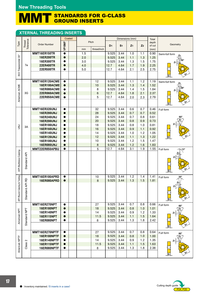#### MMT STANDARDS FOR G-CLASS GROUND INSERTS

## **XTERNAL THREADING INSERTS**

|                            |                     |                     |           | Coated |            |             |                |                | Dimensions (mm) |                | Total        |                                  |
|----------------------------|---------------------|---------------------|-----------|--------|------------|-------------|----------------|----------------|-----------------|----------------|--------------|----------------------------------|
| Type                       | Thread<br>Tolerance | <b>Order Number</b> |           |        |            | Pitch       |                |                |                 |                | depth        | Geometry                         |
|                            |                     |                     | VP10MF    |        |            | thread/inch | D <sub>1</sub> | S <sub>1</sub> | Z <sub>1</sub>  | Z <sub>2</sub> | of cut       |                                  |
|                            |                     | MMT16ER150TR        | $\bullet$ |        | mm         |             | 9.525          |                |                 |                | (mm)         |                                  |
|                            |                     | <b>16ER200TR</b>    | $\bullet$ |        | 1.5<br>2.0 |             | 9.525          | 3.44<br>3.44   | 1.0<br>1.1      | 1.1<br>1.3     | 0.90<br>1.25 | Semi-full form<br>Z <sub>2</sub> |
|                            |                     | <b>16ER300TR</b>    | $\bullet$ |        | 3.0        |             | 9.525          | 3.44           | 1.3             | 1.5            | 1.75         |                                  |
|                            | 7e                  | <b>22ER400TR</b>    | $\bullet$ |        | 4.0        |             | 12.7           | 4.64           | 1.7             | 1.9            | 2.25         | Z۱                               |
|                            |                     | 22ER500TR           | 0         |        | 5.0        |             | 12.7           | 4.64           | 2.1             | 2.5            | 2.75         |                                  |
| ISO Trapezoidal 30°        |                     |                     |           |        |            |             |                |                |                 |                |              |                                  |
|                            |                     |                     |           |        |            |             |                |                |                 |                |              | S1                               |
|                            |                     | MMT16ER120ACME      | $\bullet$ |        |            | 12          | 9.525          | 3.44           | 1.1             | 1.2            | 1.19         | Semi-full form<br>Z2             |
|                            |                     | 16ER100ACME         | $\bullet$ |        |            | 10          | 9.525          | 3.44           | 1.3             | 1.4            | 1.52         |                                  |
|                            |                     | 16ER080ACME         | $\bullet$ |        |            | 8           | 9.525          | 3.44           | 1.4             | 1.5            | 1.84         | Z1                               |
|                            | 3G                  | 22ER060ACME         | $\bullet$ |        |            | 6           | 12.7           | 4.64           | 1.8             | 2.1            | 2.37         |                                  |
| American ACME              |                     | 22ER050ACME         | $\bullet$ |        |            | 5           | 12.7           | 4.64           | 2.0             | 2.3            | 2.79         |                                  |
|                            |                     |                     |           |        |            |             |                |                |                 |                |              | ۱S۱                              |
|                            |                     | MMT16ER320UNJ       | $\bullet$ |        |            | 32          | 9.525          | 3.44           | 0.6             | 0.7            | 0.46         |                                  |
|                            |                     | <b>16ER280UNJ</b>   | $\bullet$ |        |            | 28          | 9.525          | 3.44           | 0.7             | 0.7            | 0.52         | Full form                        |
|                            |                     | <b>16ER240UNJ</b>   | $\bullet$ |        |            | 24          | 9.525          | 3.44           | 0.7             | 0.8            | 0.61         | 60°                              |
|                            |                     | <b>16ER200UNJ</b>   | $\bullet$ |        |            | 20          | 9.525          | 3.44           | 0.8             | 0.9            | 0.73         |                                  |
|                            |                     | <b>16ER180UNJ</b>   | $\bullet$ |        |            | 18          | 9.525          | 3.44           | 0.8             | 1.0            | 0.81         | z                                |
| $\vec{a}$                  | 3A                  | <b>16ER160UNJ</b>   | $\bullet$ |        |            | 16          | 9.525          | 3.44           | 0.9             | 1.1            | 0.92         |                                  |
|                            |                     | <b>16ER140UNJ</b>   | $\bullet$ |        |            | 14          | 9.525          | 3.44           | 1.0             | 1.2            | 1.05         |                                  |
|                            |                     | <b>16ER120UNJ</b>   | $\bullet$ |        |            | 12          | 9.525          | 3.44           | 1.1             | 1.3            | 1.22         |                                  |
|                            |                     | <b>16ER100UNJ</b>   |           |        |            | 10          | 9.525          | 3.44           | 1.2             | 1.5            | 1.47         |                                  |
|                            |                     | <b>16ER080UNJ</b>   | $\bullet$ |        |            | 8           | 9.525          | 3.44           | 1.2             | 1.6            | 1.83         |                                  |
|                            |                     | MMT22ER050APBU      | $\bullet$ |        |            | 5           | 12.7           | 4.64           | 3.1             | 1.9            | 1.55         | Full form<br>13°                 |
| <b>API Buttress Casing</b> |                     |                     |           |        |            |             |                |                |                 |                |              |                                  |
|                            | Standard API        |                     |           |        |            |             |                |                |                 |                |              | z                                |
|                            |                     |                     |           |        |            |             |                |                |                 |                |              |                                  |
|                            |                     |                     |           |        |            |             |                |                |                 |                |              |                                  |
|                            |                     |                     |           |        |            |             |                |                |                 |                |              | $ S_1 $                          |
|                            |                     | MMT16ER100APRD      | $\bullet$ |        |            | 10          | 9.525          | 3.44           | 1.2             | 1.4            | 1.41         | $30^{\circ}$<br>Full form        |
| Casing & Tubing            | B                   | 16ER080APRD         | $\bullet$ |        |            | 8           | 9.525          | 3.44           | 1.3             | 1.5            | 1.81         |                                  |
|                            | ard API             |                     |           |        |            |             |                |                |                 |                |              |                                  |
|                            |                     |                     |           |        |            |             |                |                |                 |                |              |                                  |
|                            |                     |                     |           |        |            |             |                |                |                 |                |              |                                  |
| API Round                  | <b>Standa</b>       |                     |           |        |            |             |                |                |                 |                |              | $\sqrt{S_1}$                     |
|                            |                     | MMT16ER270NPT       | $\bullet$ |        |            | 27          | 9.525          | 3.44           | 0.7             | 0.8            | 0.66         |                                  |
|                            |                     | <b>16ER180NPT</b>   | $\bullet$ |        |            | 18          | 9.525          | 3.44           | 0.8             | 1.0            | 1.01         | Full form<br>$60^\circ$<br>Z2    |
|                            |                     | <b>16ER140NPT</b>   | $\bullet$ |        |            | 14          | 9.525          | 3.44           | 0.9             | 1.2            | 1.33         | Z1                               |
|                            |                     | <b>16ER115NPT</b>   | $\bullet$ |        |            | 11.5        | 9.525          | 3.44           | 1.1             | 1.5            | 1.64         |                                  |
| American NPT               | Standard NPT        | <b>16ER080NPT</b>   | $\bullet$ |        |            | 8           | 9.525          | 3.44           | 1.3             | 1.8            | 2.42         |                                  |
|                            |                     |                     |           |        |            |             |                |                |                 |                |              |                                  |
|                            |                     |                     |           |        |            |             |                |                |                 |                |              | $\mathbf{S}_1$                   |
|                            |                     | MMT16ER270NPTF      | $\bullet$ |        |            | 27          | 9.525          | 3.44           | 0.7             | 0.8            | 0.64         | Full form<br>$60^\circ$          |
|                            |                     | 16ER180NPTF         | $\bullet$ |        |            | 18          | 9.525          | 3.44           | 0.8             | 1.0            | 1.00         | Z2                               |
|                            | $\sim$              | 16ER140NPTF         | $\bullet$ |        |            | 14          | 9.525          | 3.44           | 0.9             | 1.2            | 1.35         | Z <sub>1</sub>                   |
|                            | Class               | 16ER115NPTF         | $\bullet$ |        |            | 11.5        | 9.525          | 3.44           | 1.1             | 1.5            | 1.63         |                                  |
| American NPTF              |                     | 16ER080NPTF         |           |        |            | 8           | 9.525          | 3.44           | 1.3             | 1.8            | 2.38         |                                  |
|                            |                     |                     |           |        |            |             |                |                |                 |                |              | S <sub>1</sub>                   |
|                            |                     |                     |           |        |            |             |                |                |                 |                |              |                                  |

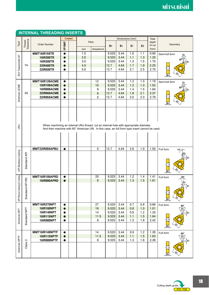|                           |                     |                                                                                               | Coated    |            |             |                | Dimensions (mm) |                |                | Total          |                           |
|---------------------------|---------------------|-----------------------------------------------------------------------------------------------|-----------|------------|-------------|----------------|-----------------|----------------|----------------|----------------|---------------------------|
| Type                      | Thread<br>Tolerance | <b>Order Number</b>                                                                           |           | Pitch      |             |                |                 |                |                | depth          | Geometry                  |
|                           |                     |                                                                                               | VP10MF    |            |             | D <sub>1</sub> | S <sub>1</sub>  | Z <sub>1</sub> | Z <sub>2</sub> | of cut<br>(mm) |                           |
|                           |                     |                                                                                               |           | mm         | thread/inch |                |                 |                |                |                |                           |
|                           |                     | MMT16IR150TR                                                                                  | $\bullet$ | 1.5        |             | 9.525<br>9.525 | 3.44<br>3.44    | 1.0<br>1.1     | 1.1<br>1.3     | 0.90<br>1.25   | Semi-full form            |
|                           |                     | <b>16IR200TR</b><br>16IR300TR                                                                 |           | 2.0<br>3.0 |             | 9.525          | 3.44            | 1.3            | 1.5            | 1.75           |                           |
|                           | 7H                  | <b>22IR400TR</b>                                                                              |           | 4.0        |             | 12.7           | 4.64            | 1.7            | 1.9            | 2.25           |                           |
|                           |                     | 22IR500TR                                                                                     | ●         | 5.0        |             | 12.7           | 4.64            | 2.1            | 2.5            | 2.75           |                           |
| ISO Trapezoidal 30°       |                     |                                                                                               |           |            |             |                |                 |                |                |                |                           |
|                           |                     |                                                                                               |           |            |             |                |                 |                |                |                |                           |
|                           |                     | MMT16IR120ACME                                                                                | 0         |            | 12          | 9.525          | 3.44            | 1.2            | 1.3            | 1.19           | Semi-full form            |
|                           |                     | <b>16IR100ACME</b>                                                                            |           |            | 10          | 9.525          | 3.44            | 1.2            | 1.3            | 1.52           |                           |
| American ACME             |                     | 16IR080ACME                                                                                   |           |            | 8           | 9.525          | 3.44            | 1.4            | 1.5            | 1.84           |                           |
|                           | 3G                  | 22IR060ACME                                                                                   | $\bullet$ |            | 6           | 12.7           | 4.64            | 1.8            | 2.1            | 2.37           |                           |
|                           |                     | 22IR050ACME                                                                                   | $\bullet$ |            | 5           | 12.7           | 4.64            | 2.0            | 2.3            | 2.79           |                           |
|                           |                     |                                                                                               |           |            |             |                |                 |                |                |                |                           |
|                           |                     |                                                                                               |           |            |             |                |                 |                |                |                |                           |
|                           |                     |                                                                                               |           |            |             |                |                 |                |                |                |                           |
|                           |                     |                                                                                               |           |            |             |                |                 |                |                |                |                           |
|                           |                     |                                                                                               |           |            |             |                |                 |                |                |                |                           |
|                           |                     |                                                                                               |           |            |             |                |                 |                |                |                |                           |
| $\overline{5}$            |                     | When machining an internal UNJ thread, cut an internal hole with appropriate diameter.        |           |            |             |                |                 |                |                |                |                           |
|                           |                     | And then machine with 60° American UN. In this case, an full form type insert cannot be used. |           |            |             |                |                 |                |                |                |                           |
|                           |                     |                                                                                               |           |            |             |                |                 |                |                |                |                           |
|                           |                     |                                                                                               |           |            |             |                |                 |                |                |                |                           |
|                           |                     |                                                                                               |           |            |             |                |                 |                |                |                |                           |
|                           |                     |                                                                                               |           |            |             |                |                 |                |                |                |                           |
|                           |                     | MMT22IR050APBU                                                                                | $\bullet$ |            | $\sqrt{5}$  | 12.7           | 4.64            | 2.8            | 1.9            | 1.55           | Full form<br>13           |
| API Buttress Casing       |                     |                                                                                               |           |            |             |                |                 |                |                |                |                           |
|                           |                     |                                                                                               |           |            |             |                |                 |                |                |                |                           |
|                           |                     |                                                                                               |           |            |             |                |                 |                |                |                |                           |
|                           | Standard API        |                                                                                               |           |            |             |                |                 |                |                |                |                           |
|                           |                     |                                                                                               |           |            |             |                |                 |                |                |                |                           |
|                           |                     | MMT16IR100APRD                                                                                | $\bullet$ |            | 20          | 9.525          | 3.44            | 1.2            | 1.4            | 1.41           |                           |
| API Round Casing & Tubing |                     | <b>16IR080APRD</b>                                                                            |           |            | 8           | 9.525          | 3.44            | 1.3            | 1.5            | 1.81           | Full form                 |
|                           | ard API RD          |                                                                                               |           |            |             |                |                 |                |                |                |                           |
|                           |                     |                                                                                               |           |            |             |                |                 |                |                |                |                           |
|                           |                     |                                                                                               |           |            |             |                |                 |                |                |                |                           |
|                           | Stand               |                                                                                               |           |            |             |                |                 |                |                |                |                           |
|                           |                     |                                                                                               |           |            |             |                |                 |                |                |                | $\overline{\mathbf{s}}_1$ |
|                           |                     | MMT16IR270NPT                                                                                 | $\bullet$ |            | 27          | 9.525          | 3.44            | 0.7            | 0.8            | 0.66           | Full form                 |
|                           |                     | <b>16IR180NPT</b>                                                                             | $\bullet$ |            | 18          | 9.525          | 3.44            | 0.8            | 1.0            | 1.01           | 60°<br>$Z_{2}$            |
| American NPT              | Standard NPT        | <b>16IR140NPT</b>                                                                             |           |            | 14          | 9.525          | 3.44            | 0.9            | 1.2            | 1.33           | Z <sub>1</sub>            |
|                           |                     | <b>16IR115NPT</b>                                                                             | $\bullet$ |            | 11.5        | 9.525          | 3.44            | 1.1            | 1.5            | 1.64           |                           |
|                           |                     | 16IR080NPT                                                                                    |           |            | 8           | 9.525          | 3.44            | 1.3            | 1.8            | 2.42           |                           |
|                           |                     |                                                                                               |           |            |             |                |                 |                |                |                |                           |
|                           |                     |                                                                                               |           |            |             |                |                 |                |                |                | S1                        |
|                           |                     | MMT16IR140NPTF                                                                                | $\bullet$ |            | 14          | 9.525          | 3.44            | 0.9            | 1.2            | 1.35           | Full form<br>60°          |
|                           |                     | <b>16IR115NPTF</b>                                                                            | $\bullet$ |            | 11.5        | 9.525          | 3.44            | 1.1            | 1.5            | 1.63           | $\overline{z_2}$          |
|                           | $\mathbf{z}$        | 16IR080NPTF                                                                                   | $\bullet$ |            | 8           | 9.525          | 3.44            | 1.3            | 1.8            | 2.38           | Z <sub>1</sub>            |
|                           | Class               |                                                                                               |           |            |             |                |                 |                |                |                |                           |
| American NPTF             |                     |                                                                                               |           |            |             |                |                 |                |                |                |                           |
|                           |                     |                                                                                               |           |            |             |                |                 |                |                |                |                           |
|                           |                     |                                                                                               |           |            |             |                |                 |                |                |                |                           |

## **INTERNAL THREADING INSERTS**

guide<br> $\left(\frac{P27}{P28}\right)$ Cutting depth  $g$ uide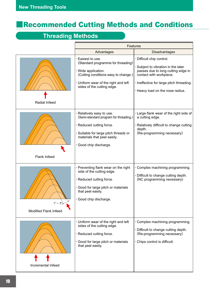# ǗRecommended Cutting Methods and Conditions

# **Threading Methods**

|                                                         | <b>Features</b>                                                                                                                                                                                   |                                                                                                                                                                                                                 |  |  |  |  |  |  |  |
|---------------------------------------------------------|---------------------------------------------------------------------------------------------------------------------------------------------------------------------------------------------------|-----------------------------------------------------------------------------------------------------------------------------------------------------------------------------------------------------------------|--|--|--|--|--|--|--|
|                                                         | Advantages                                                                                                                                                                                        | <b>Disadvantages</b>                                                                                                                                                                                            |  |  |  |  |  |  |  |
| Radial Infeed                                           | Easiest to use.<br>(Standard programme for threading)<br>· Wide application.<br>(Cutting conditions easy to change.)<br>· Uniform wear of the right and left<br>sides of the cutting edge.        | · Difficult chip control.<br>Subject to vibration in the later<br>passes due to long cutting edge in<br>contact with workpiece.<br>· Ineffective for large pitch threading.<br>· Heavy load on the nose radius. |  |  |  |  |  |  |  |
| Flank Infeed                                            | · Relatively easy to use.<br>(Semi-standard program for threading.)<br>· Reduced cutting force.<br>· Suitable for large pitch threads or<br>materials that peel easily.<br>· Good chip discharge. | · Large flank wear of the right side of<br>a cutting edge.<br>· Relatively difficult to change cutting<br>depth.<br>(Re-programming necessary)                                                                  |  |  |  |  |  |  |  |
| $1^{\circ} - 5^{\circ}$<br><b>Modified Flank Infeed</b> | · Preventing flank wear on the right<br>side of the cutting edge.<br>· Reduced cutting force.<br>· Good for large pitch or materials<br>that peel easily.<br>· Good chip discharge                | Complex machining programming.<br>· Difficult to change cutting depth.<br>(NC programming necessary)                                                                                                            |  |  |  |  |  |  |  |
| Incremental Infeed                                      | · Uniform wear of the right and left<br>sides of the cutting edge.<br>· Reduced cutting force.<br>· Good for large pitch or materials<br>that peel easily.                                        | · Complex machining programming.<br>. Difficult to change cutting depth.<br>(Re-programming necessary)<br>· Chips control is difficult.                                                                         |  |  |  |  |  |  |  |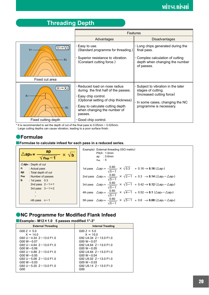## **Threading Depth**



 $*$  It is recommended to set the depth of cut of the final pass to 0.05mm  $\sim$  0.025mm.

Large cutting depths can cause vibration, leading to a poor surface finish.

## ǡ**Formulae**

**Formulae to calculate infeed for each pass in a reduced series.** 

| $\triangle$ apn= $\frac{ap}{\sqrt{ap}}$<br>$\times \sqrt{b}$<br>$\sqrt{\mathsf{n}_{\mathsf{ap}}-1}$                                                                                                                            | Example) External threading (ISO metric)<br>Pitch: 1.0mm<br>ap : 0.6mm<br>$n_{ap}$ : 5                                                                                                                                                                                                                                                                                                                                                                                                                                                                                                                                                                                                                                                                                                                            |
|--------------------------------------------------------------------------------------------------------------------------------------------------------------------------------------------------------------------------------|-------------------------------------------------------------------------------------------------------------------------------------------------------------------------------------------------------------------------------------------------------------------------------------------------------------------------------------------------------------------------------------------------------------------------------------------------------------------------------------------------------------------------------------------------------------------------------------------------------------------------------------------------------------------------------------------------------------------------------------------------------------------------------------------------------------------|
| $\triangle$ apn: Depth of cut<br>: Actual pass<br>n<br>ap<br>: Total depth of cut<br>: Number of passes<br><b>nap</b><br>b<br>: 1st pass $0.3$<br>2nd pass $2 - 1 = 1$<br>3rd pass $3-1=2$<br>$\blacksquare$<br>nth pass $n-1$ | 1st pass $\Delta$ ap <sub>1</sub> = $\frac{0.60}{\sqrt{5-1}} \times \sqrt{0.3}$ = 0.16 $\rightarrow$ <b>0.16</b> ( $\Delta$ ap <sub>1</sub> )<br>2nd pass $\triangle$ ap <sub>2</sub> = $\frac{0.60}{\sqrt{5-1}} \times \sqrt{2-1} = 0.3 \rightarrow 0.14 \ (\triangle$ ap <sub>2</sub> - $\triangle$ ap <sub>1</sub> )<br>3rd pass $\triangle$ ap <sub>3</sub> = $\frac{0.60}{\sqrt{5-1}} \times \sqrt{3-1} = 0.42 \rightarrow 0.12 \ (\triangle$ ap <sub>3</sub> - $\triangle$ ap <sub>2</sub> )<br>4th pass $\triangle$ ap <sub>4</sub> = $\frac{0.60}{\sqrt{5-1}} \times \sqrt{4-1} = 0.52 \rightarrow 0.1 \ (\triangle$ ap <sub>4</sub> - $\triangle$ ap <sub>3</sub> )<br>5th pass $\triangle$ aps = $\frac{0.60}{\sqrt{5-1}} \times \sqrt{5-1} = 0.6 \rightarrow 0.08 \ (\triangle$ aps - $\triangle$ ap4) |

## **• NC Programme for Modified Flank Infeed**

## Ǘ**Example:- M12**§**1.0 5 passes modified 1°-3°**

| <b>External Threading</b>    | Internal Treading             |
|------------------------------|-------------------------------|
| $G00 Z = 5.0$                | $G00 Z = 5.0$                 |
| $X = 14.0$                   | $X = 10.0$                    |
| G92 U $-4.34$ Z $-13.0$ F1.0 | G92 U4.34 Z-13.0 F1.0         |
| $G00 W - 0.07$               | $G00 W - 0.07$                |
| $G92 U - 4.64 Z - 13.0 F1.0$ | $G92 \cup 4.64$ 7 - 13.0 F1.0 |
| $G00 W - 0.06$               | $G00 W - 0.05$                |
| G92 U $-4.88$ Z $-13.0$ F1.0 | G92 U4.84 Z-13.0 F1.0         |
| $G00 W - 0.05$               | $G00 W - 0.04$                |
| G92 U $-5.08$ Z $-13.0$ F1.0 | $G92 \cup 5.02$ 7 - 13.0 F1.0 |
| $G00 W - 0.03$               | $G00 W - 0.03$                |
| G92 U $-5.20$ Z $-13.0$ F1.0 | G92 U5.14 Z-13.0 F1.0         |
| G00                          | G00                           |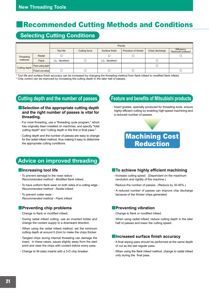# ǗRecommended Cutting Methods and Conditions

## **Selecting Cutting Conditions**

|               |                       | Priority                 |               |                          |                     |                 |                                |  |  |  |  |  |  |  |
|---------------|-----------------------|--------------------------|---------------|--------------------------|---------------------|-----------------|--------------------------------|--|--|--|--|--|--|--|
|               |                       | <b>Tool life</b>         | Cutting force | Surface finish           | Precision of thread | Chips discharge | Efficiency<br>(Reduced passes) |  |  |  |  |  |  |  |
| Threading     | Radial                |                          |               |                          |                     |                 |                                |  |  |  |  |  |  |  |
| methods       | Flank                 | $(\triangle :$ Modified) |               | $(\triangle :$ Modified) |                     |                 |                                |  |  |  |  |  |  |  |
| Cutting depth | Fixed cutting depth   |                          |               |                          |                     |                 |                                |  |  |  |  |  |  |  |
|               | <b>Fixed cut area</b> |                          |               |                          |                     |                 |                                |  |  |  |  |  |  |  |

\* Tool life and surface finish accuracy can be increased by changing the threading method from flank infeed to modified flank infeed.

\* Chip control can be improved by increasing the cutting depth in the later half of passes.

## **Cutting depth and the number of passes**

### **■Selection of the appropriate cutting depth and the right number of passes is vital for threading.**

- **·** For most threading, use a "threading cycle program," which has originally been installed on machines, and specify "total cutting depth" and "cutting depth in the first or final pass."
- **·** Cutting depth and the number of passes are easy to change for the radial infeed method, thus making it easy to determine the appropriate cutting conditions.

## **Advice on improved threading**

### Ǘ**Increasing tool life**

- **·** To prevent damage to the nose radius *Recommended method - Modified flank infeed.*
- **·** To have uniform flank wear on both sides of a cutting edge *Recommended method - Radial infeed*
- **·** To prevent crater wear *Recommended method - Flank infeed*

## Ǘ**Preventing chip problems**

- **·** Change to flank or modified infeed.
- **·** During radial infeed cutting, use an inverted holder and change the coolant supply to a downward direction.
- **·** When using the radial infeed method, set the minimum cutting depth at around 0.2mm to make the chips thicker.
- **·** Tangled chips during internal threading can damage the insert. In these cases, pause slightly away from the start point and clear the chips with coolant before every pass.
- **·** Change to M-class inserts with a 3-D chip breaker.

## **Feature and benefits of Mitsubishi products**

**·** Insert grades, specially produced for threading tools, ensure highly efficient cutting by enabling high-speed machining and a reduced number of passes.



## Ǘ**To achieve highly efficient machining**

- **·** Increase cutting speed. (Dependant on the maximum revolution and rigidity of the machine.)
- **·** Reduce the number of passes. (Reduce by 30-40%.)
- **·** A reduced number of passes can improve chip discharge because of the thicker chips generated.

## **Exercising vibration**

- **·** Change to flank or modified infeed.
- **·** When using radial infeed, reduce cutting depth in the later half of passes and lower the cutting speed.

## Ǘ**Increased surface finish accuracy**

- **·** A final wiping pass should be performed at the same depth of cut as the last regular pass.
- **·** When using the flank infeed method, change to radial infeed only during the final pass.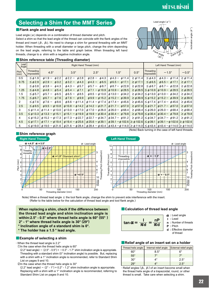# **MİTSUBİSHİ**

## **Selecting a Shim for the MMT Series**

#### Ǘ**Flank angle and lead angle**

Lead angle  $(\alpha)$  depends on a combination of thread diameter and pitch.

Select a shim so that the lead angle of the thread can coincide with the flank angles of the thread and insert ( $\beta_1$ ,  $\beta_2$ ). No need to change a shim for general threading with an MMT holder. When threading with a small diameter or large pitch, change the shim depending on the lead angle, referring to the table and graph below. When threading left hand threads, change to a shim with a negative inclination angle.





#### Ǘ**Shim reference table (Threading diameter)**

| Lead<br>Angle |                         |                              |                              | Right Hand Thread (mm)       |                                                               |                  |                                     | Left Hand Thread (mm)                          |                  |
|---------------|-------------------------|------------------------------|------------------------------|------------------------------|---------------------------------------------------------------|------------------|-------------------------------------|------------------------------------------------|------------------|
| Pitch<br>(mm) | Threading<br>impossible | $4.5^\circ$                  | $3.5^\circ$                  | $2.5^\circ$                  | $1.5^\circ$                                                   | $0.5^\circ$      | Threading<br>impossible             | $-1.5^\circ$                                   | $-0.5^\circ$     |
| 0.5           | $\leq \phi$ 1.9         | $\phi$ 2.2<br>$\phi$ 1.9 –   | $\phi$ 2.8<br>$\phi$ 2.2 $-$ | $\phi$ 2.8 $-$<br>$\phi$ 4.3 | $\phi$ 4.3 - $\phi$ 11.4                                      | $\geq \phi$ 11.4 | $\leq \phi$ 4.3                     | $\phi$ 4.3 - $\phi$ 11.4                       | $\geq \phi$ 11.4 |
| 0.75          | $\leq \phi$ 2.9         | $\phi$ 2.9 –<br>$\phi$ 3.2   | $\phi$ 3.2 - $\phi$ 4.3      | $\phi$ 4.3 - $\phi$ 6.5      | $\phi$ 6.5 - $\phi$ 17.1                                      | $\geq \phi$ 17.1 | $\leq \phi$ 6.5                     | $\phi$ 6.5 - $\phi$ 17.1                       | $\geq \phi$ 17.1 |
|               | $\leq \phi$ 3.8         | $\phi$ 3.8 $-$<br>$\phi$ 4.3 | $\phi$ 4.3 $-$<br>$\phi$ 5.7 | $\phi$ 5.7 –<br>$\phi$ 8.7   | $\phi$ 8.7 - $\phi$ 22.8                                      | $\geq \phi$ 22.8 | $\leq \phi$ 8.7                     | $\phi$ 8.7 - $\phi$ 22.8                       | $\geq \phi$ 22.8 |
| 1.25          | $\leq \phi$ 4.8         | $\phi$ 4.8 –<br>$\phi$ 5.4   | $\phi$ 5.4 –<br>$\phi$ 7.1   | $\phi$ 7.1 – $\phi$ 10.9     | $\phi$ 10.9 –<br>$\phi$ 28.5                                  |                  | $\geq \phi 28.5$ $\leq \phi 10.9$   | $\phi$ 10.9 - $\phi$ 28.5                      | $\geq \phi$ 28.5 |
| 1.5           | $\leq \phi$ 5.7         | $\phi$ 6.5<br>$\phi$ 5.7 –   | $\phi$ 6.5 - $\phi$ 8.5      | $\phi$ 8.5 – $\phi$ 13.0     | $\phi$ 13.0 - $\phi$ 34.2                                     |                  | $\geq \phi$ 34.2   $\leq \phi$ 13.0 | $\phi$ 13.0 - $\phi$ 34.2                      | $\geq \phi$ 34.2 |
| 1.75          | $\leq \phi$ 6.7         | $\phi$ 6.7 –<br>$\phi$ 7.6   | $\phi$ 7.6 - $\phi$ 9.9      | $\phi$ 9.9 – $\phi$ 15.2     | $\phi$ 15.2 - $\phi$ 39.9                                     |                  | $\geq \phi$ 39.9 $\leq \phi$ 15.2   | $\phi$ 15.2 - $\phi$ 39.9                      | $\geq \phi$ 39.9 |
| 2             | $\leq \phi$ 7.6         | $\phi$ 7.6 $-$<br>68.6       | $\phi$ 8.6 – $\phi$ 11.4     | $\phi$ 11.4 – $\phi$ 17.4    | $\phi$ 17.4 - $\phi$ 45.6                                     |                  | $\geq \phi$ 45.6   $\leq \phi$ 17.4 | $\phi$ 17.4 - $\phi$ 45.6                      | $\geq \phi$ 45.6 |
| 2.5           | $\leq \phi$ 9.5         | $\phi$ 9.5 – $\phi$ 10.8     | $\phi$ 10.8 – $\phi$ 14.2    | $\phi$ 14.2 – $\phi$ 21.7    | $\phi$ 21.7 - $\phi$ 57.0                                     |                  | $\geq \phi$ 57.0 $\leq \phi$ 21.7   | $\phi$ 21.7 - $\phi$ 57.0                      | $\geq \phi$ 57.0 |
| 3             | $\leq \phi$ 11.4        | $\phi$ 11.4 – $\phi$ 13.0    | $\phi$ 13.0 – $\phi$ 17.0    | $\phi$ 17.0 – $\phi$ 26.0    | $\phi$ 26.0 - $\phi$ 68.4                                     |                  | $\geq \phi$ 68.4   $\leq \phi$ 26.0 | $\phi$ 26.0 - $\phi$ 68.4                      | $\geq \phi$ 68.4 |
| 3.5           | $\leq \phi$ 13.3        | $\phi$ 13.3 – $\phi$ 15.1    | $\phi$ 15.1 – $\phi$ 19.9    | $\phi$ 19.9 – $\phi$ 30.4    | $\phi$ 30.4 - $\phi$ 79.8                                     |                  | $\geq \phi$ 79.8 $\leq \phi$ 30.4   | $\phi$ 30.4 - $\phi$ 79.8                      | $\geq \phi$ 79.8 |
| 4             | $\leq \phi$ 15.2        | $\phi$ 15.2 – $\phi$ 17.3    | $\phi$ 17.3 – $\phi$ 22.7    | $\phi$ 22.7 – $\phi$ 34.7    | $\phi$ 34.7 - $\phi$ 91.2                                     |                  | $\geq \phi 91.2$ $\leq \phi 34.7$   | $\phi$ 34.7 - $\phi$ 91.2                      | $\geq \phi$ 91.2 |
| 4.5           | $\leq \phi$ 17.1        | $\phi$ 17.1 – $\phi$ 19.4    | $\phi$ 19.4 – $\phi$ 25.6    | $\phi$ 25.6 – $\phi$ 39.1    | $\phi$ 39.1 – $\phi$ 102.6 $\geq \phi$ 102.6 $\leq \phi$ 39.1 |                  |                                     | $\phi$ 39.1 – $\phi$ 102.6 $\geq \phi$ 102.6   |                  |
| 5             | $\leq \phi$ 19.0        | $\phi$ 19.0 – $\phi$ 21.6    | $\phi$ 21.6 – $\phi$ 28.4    | $\phi$ 28.4 – $\phi$ 43.4    | $\phi$ 43.4 – $\phi$ 114.0 $\geq \phi$ 114.0 $\leq \phi$ 43.4 |                  |                                     | $ \phi$ 43.4 – $\phi$ 114.0 $ \geq \phi$ 114.0 |                  |

### Ǘ**Shim reference graph**

(Note) Back turning in the case of left hand threads.



Note) When a thread lead angle  $\leq$  the tool flank angle, change the shim to prevent side interference with the insert. (Refer to the table below for the calculation of thread lead angle and tool flank angle.)

**When replacing a shim, check if the difference between the thread lead angle and shim inclination angle is within:2.5° - 0.5° where thread helix angle is 60° (55° ) 2° - 1° where thread helix angle is 30° (29°) \* Inclination angle of a standard shim is 0°.**

**\* The holder has a 1.5 ° lead angle.**

#### **■Example of selecting a shim**

#### **·** When the thread lead angle is 2.2°

 $\Omega$ In the case when the thread helix angle is 60 $^{\circ}$ 

(2.2° lead angle)  $-$  (2.5° - 0.5°) =  $-0.3^\circ$  - 1.7° shim inclination angle is appropriate. Threading with a standard shim (0° inclination angle) is possible. But, replacing with a shim with a 1° inclination angle is recommended, refer to Standard Shim List on pages 9 and 10.

 $Q$ In the case when the thread helix angle is 30 $^{\circ}$ 

 $(2.2^{\circ}$  lead angle)  $- (2^{\circ} - 1^{\circ}) = 0.2^{\circ} - 1.2^{\circ}$  shim inclination angle is appropriate. Replacing with a shim with a 1° inclination angle is recommended, referring to Standard Shim List on pages 9 and 10.

#### **■ Calculation of thread lead angle**

$$
\tan \alpha = \frac{1}{\pi d} = \frac{nP}{\pi d}
$$
\n
$$
\alpha : \text{lead angle}
$$
\n
$$
P : \text{Plcth}
$$
\n
$$
P : \text{Pitch}
$$
\n
$$
d : \text{Effective diameter}
$$

of thread

## **■** Relief angle of an insert set on a holder

| Thread helix angle | Internal relief angle | <b>External relief angle</b> |
|--------------------|-----------------------|------------------------------|
| 60°                | $8.5^\circ$           | R٥                           |
| $55^{\circ}$       |                       | 70                           |
| $30^{\circ}$       | 1°                    | $2.5^\circ$                  |
| 9°,                | 1 O                   | ን 5°                         |

**·** Relief angles (Â2, Â1) of an insert become small when the thread helix angle of a trapezoidal, round, or other thread is small. Take care when selecting a shim.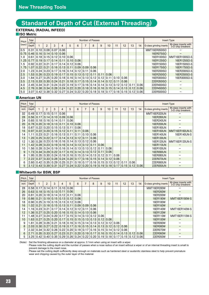# **Standard of Depth of Cut (External Threading)**

## **EXTERNAL (RADIAL INFEED)**

Ǘ**ISO Metric**

| Pitch | Total              |               |                            |                       |   |                | <b>Insert Type</b>                                                                                   |   |      |           |                |      |             |                      |      |                          |                                           |
|-------|--------------------|---------------|----------------------------|-----------------------|---|----------------|------------------------------------------------------------------------------------------------------|---|------|-----------|----------------|------|-------------|----------------------|------|--------------------------|-------------------------------------------|
| (mm)  | Cutting<br>Depth   |               | $\overline{2}$             | 3                     | 4 | 5              | 6                                                                                                    | 7 | 8    | 9         | 10             | 11   | 12          | 13                   | 14   | G-class grinding inserts | M-class inserts with<br>3-D chip breakers |
| l 0.5 | 0.31   0.10        |               | 0.08                       | $0.07$ 0.06           |   |                |                                                                                                      |   |      |           |                |      |             |                      |      | MMT16ER050ISO            |                                           |
| 0.75  | 0.46 0.16          |               | $0.14$   $0.10$   $0.06$   |                       |   |                |                                                                                                      |   |      |           |                |      |             |                      |      | 16ER075ISO               |                                           |
| 1.0   | 0.6110.181         |               | $0.15$ $0.12$ $0.10$ $ $   |                       |   | 0.06           |                                                                                                      |   |      |           |                |      |             |                      |      | 16ER100ISO               | MMT16ER100ISO-S                           |
|       | 1.2510.7710.19     |               | $0.17$   $0.14$   $0.11$   |                       |   |                | $0.10$ $0.06$                                                                                        |   |      |           |                |      |             |                      |      | 16ER125ISO               | 16ER125ISO-S                              |
| 1.5   | 0.9210.2210.21     |               |                            |                       |   | 0.17 0.14 0.12 | 0.06                                                                                                 |   |      |           |                |      |             |                      |      | 16ER150ISO               | 16ER150ISO-S                              |
| 1.75  | $11.07$ $0.22$ $ $ |               | 0.21                       | 0.16 0.13             |   | 0.11           | 0.09 0.09                                                                                            |   | 0.06 |           |                |      |             |                      |      | 16ER175ISO               | 16ER175ISO-S                              |
| 2.0   |                    |               |                            |                       |   |                | $1.23   0.24   0.23   0.17   0.16   0.14   0.12   0.11$                                              |   | 0.06 |           |                |      |             |                      |      | 16ER200ISO               | 16ER200ISO-S                              |
| 2.5   |                    | 1.53 0.26     |                            |                       |   |                | $0.23$   $0.19$   $0.17$   $0.15$   $0.13$   $0.12$                                                  |   | 0.11 | 0.11 0.06 |                |      |             |                      |      | 16ER250ISO               | 16ER250ISO-S                              |
| 3.0   |                    | $1.84$   0.27 |                            |                       |   |                | $\vert 0.25 \vert 0.20 \vert 0.18 \vert 0.16 \vert 0.14 \vert 0.13 \vert 0.12 \vert 0.12 \vert 0.11$ |   |      |           |                | 0.10 | 0.06        |                      |      | 16ER300ISO               | 16ER300ISO-S                              |
| 3.5   |                    | $2.15$   0.33 | $0.30 \mid 0.24 \mid 0.21$ |                       |   |                | 0.18 0.17 0.15                                                                                       |   |      |           | 0.14 0.14 0.12 | 0.11 | 0.06        |                      |      | 22ER350ISO               |                                           |
| 4.0   | $2.45$   0.34      |               | 0.31                       | $0.24 \mid 0.22 \mid$ |   |                | $\vert 0.19 \vert 0.17 \vert 0.16 \vert 0.14 \vert 0.14 \vert 0.13 \vert 0.12 \vert$                 |   |      |           |                |      | $0.12$ 0.11 |                      | 0.06 | 22ER400ISO               |                                           |
| 4.5   |                    | $2.76$   0.38 |                            |                       |   |                | $0.34$ $0.28$ $0.24$ $0.22$ $0.20$ $0.18$ $0.20$                                                     |   |      |           | 0.16 0.16 0.15 | 0.14 |             | $0.13$ $0.12$ $0.06$ |      | 22ER450ISO               |                                           |
| 5.0   | 3.07   0.42        |               |                            |                       |   |                | $0.38$   0.32   0.27   0.24   0.22   0.20   0.18   0.18   0.17                                       |   |      |           |                | 0.16 |             | 0.15 0.12 0.06       |      | 22ER500ISO               |                                           |

### **Example 7** American UN

| Pitch          | Total                     | Number of Passes |                      |                      |                            |      |                                                                                                          |      |                      |                     |    |      |               |    |    |                          | Insert Type                               |
|----------------|---------------------------|------------------|----------------------|----------------------|----------------------------|------|----------------------------------------------------------------------------------------------------------|------|----------------------|---------------------|----|------|---------------|----|----|--------------------------|-------------------------------------------|
| inch)          | (thread/ Cutting<br>Depth |                  | 2                    | 3                    | 4                          | 5    | 6                                                                                                        |      | 8                    | 9                   | 10 | 11   | 12            | 13 | 14 | G-class grinding inserts | M-class inserts with<br>3-D chip breakers |
| 32             | 0.4910.17                 |                  | $0.15$   0.11   0.06 |                      |                            |      |                                                                                                          |      |                      |                     |    |      |               |    |    | MMT16ER320UN             |                                           |
| 28             | 0.5610.17                 |                  |                      | $0.14$   0.10   0.09 |                            | 0.06 |                                                                                                          |      |                      |                     |    |      |               |    |    | 16ER280UN                |                                           |
| 24             |                           | $0.65$   $0.18$  | $0.16$ $0.14$ $0.11$ |                      |                            | 0.06 |                                                                                                          |      |                      |                     |    |      |               |    |    | 16ER240UN                |                                           |
| 20             |                           | 0.7810.20        | $0.18$ $0.13$ $0.11$ |                      |                            | 0.10 | 0.06                                                                                                     |      |                      |                     |    |      |               |    |    | 16ER200UN                |                                           |
| 18             |                           | 0.8710.22        | $0.20$ $0.15$        |                      | 0.13                       | 0.11 | 0.06                                                                                                     |      |                      |                     |    |      |               |    |    | 16ER180UN                |                                           |
| 16             | 0.97 0.22                 |                  | $0.20$ $0.15$        |                      | 0.12                       | 0.11 | 0.11                                                                                                     | 0.06 |                      |                     |    |      |               |    |    | 16ER160UN                | MMT16ER160UN-S                            |
| 14             | 1.111                     | 0.23             | 0.21                 | 0.16                 | 0.13                       | 0.11 | 0.11                                                                                                     | 0.10 | 0.06                 |                     |    |      |               |    |    | 16ER140UN                | 16ER140UN-S                               |
| 13             |                           | $1.20$ $0.25$    |                      |                      |                            |      | $\vert 0.22 \vert 0.17 \vert 0.14 \vert 0.13 \vert 0.12 \vert 0.11$                                      |      | 0.06                 |                     |    |      |               |    |    | 16ER130UN                |                                           |
| 12             |                           | 1.30   0.28      |                      |                      |                            |      | $0.23$ $0.18$ $0.16$ $0.14$ $0.13$ $0.12$                                                                |      | 0.06                 |                     |    |      |               |    |    | 16ER120UN                | MMT16ER120UN-S                            |
| 11             |                           | 1.42   0.28      |                      |                      |                            |      | $0.23$ $0.19$ $0.16$ $0.14$ $0.13$ $0.12$                                                                |      | 0.11                 | 0.06                |    |      |               |    |    | 16ER110UN                |                                           |
| 10             |                           | .5610.28         |                      |                      |                            |      | $\vert 0.24 \vert 0.19 \vert 0.16 \vert 0.14 \vert 0.13 \vert 0.13 \vert$                                |      | 0.12                 | $0.11 \,   \, 0.06$ |    |      |               |    |    | 16ER100UN                |                                           |
| 9              |                           | 1.73 0.34        | $0.29$ $0.22$        |                      |                            |      | 0.17 0.15 0.14 0.13                                                                                      |      | 0.12                 | 0.11 0.06           |    |      |               |    |    | 16ER090UN                |                                           |
| 8              | l .95 l                   | 0.35             | $0.30$ $0.24$        |                      |                            |      | 0.19 0.16 0.15 0.14                                                                                      |      | 0.13                 | $0.12$ 0.11         |    | 0.06 |               |    |    | 16ER080UN                |                                           |
| $\overline{7}$ | 2.2210.37                 |                  |                      |                      | $0.33 \mid 0.28 \mid 0.24$ |      | 0.20 0.17 0.16                                                                                           |      | $0.15$ $0.14$ $0.12$ |                     |    | 0.06 |               |    |    | 22ER070UN                |                                           |
| 6              |                           | 2.6010.42        |                      |                      | 0.35   0.29   0.25         | 0.21 | 0.18 0.17                                                                                                |      | 0.16 0.15 0.13       |                     |    | 0.12 | $0.11$ $0.06$ |    |    | 22ER060UN                |                                           |
| 5              |                           |                  |                      |                      |                            |      | $3.12$   0.43   0.39   0.31   0.27   0.24   0.22   0.20   0.19   0.19   0.18   0.17   0.15   0.12   0.06 |      |                      |                     |    |      |               |    |    | 22ER050UN                |                                           |

#### Ǘ**Whitworth for BSW, BSP**

| Pitch             | Total<br><b>Cutting</b> |               |                      |                      |                          |      |                                                                                                            |   | Number of Passes           |             |    |      |      |                          |      | Insert Type              |                                           |
|-------------------|-------------------------|---------------|----------------------|----------------------|--------------------------|------|------------------------------------------------------------------------------------------------------------|---|----------------------------|-------------|----|------|------|--------------------------|------|--------------------------|-------------------------------------------|
| (thread/<br>inch) | Depth                   |               | $\overline{2}$       | 3                    | 4                        | 5    | 6                                                                                                          | 7 | 8                          | 9           | 10 | 11   | 12   | 13                       | 14   | G-class grinding inserts | M-class inserts with<br>3-D chip breakers |
| 28                | 0.5810.17               |               | 0.14                 | 0.11                 | 0.10                     | 0.06 |                                                                                                            |   |                            |             |    |      |      |                          |      | MMT16ER280W              |                                           |
| 26                | $0.63$   0.18           |               |                      | $0.15$   0.13   0.11 |                          | 0.06 |                                                                                                            |   |                            |             |    |      |      |                          |      | 16ER260W                 |                                           |
| 20                | $0.81$   $0.20$         |               |                      | $0.18$   0.14   0.12 |                          | 0.11 | 0.06                                                                                                       |   |                            |             |    |      |      |                          |      | 16ER200W                 |                                           |
| 19                | $0.86$   $0.21$         |               | $0.19$ $0.15$ $0.13$ |                      |                          | 0.12 | 0.06                                                                                                       |   |                            |             |    |      |      |                          |      | 16ER190W                 | MMT16ER190W-S                             |
| 18                | 0.9010.25               |               |                      |                      | $0.19$   $0.15$   $0.13$ | 0.12 | 0.06                                                                                                       |   |                            |             |    |      |      |                          |      | 16ER180W                 |                                           |
| 16                | $1.02$ 0.21             |               |                      |                      | $0.18$ 0.15 0.13         |      | $0.11$ $0.09$ $0.09$                                                                                       |   | 0.06                       |             |    |      |      |                          |      | 16ER160W                 |                                           |
| 14                |                         | $1.16$   0.23 |                      |                      |                          |      | $0.21$   0.17   0.14   0.12   0.12   0.11                                                                  |   | 0.06                       |             |    |      |      |                          |      | 16ER140W                 | MMT16ER140W-S                             |
| 12                |                         | $1.36$   0.27 |                      |                      |                          |      | $0.25$   0.20   0.16   0.15   0.14   0.13                                                                  |   | 0.06                       |             |    |      |      |                          |      | 16ER120W                 |                                           |
| 11                |                         | 1.48 0.27     |                      |                      |                          |      | $0.24$   0.20   0.17   0.15   0.14   0.13                                                                  |   | $0.12 \, 0.06$             |             |    |      |      |                          |      | 16ER110W                 | MMT16ER110W-S                             |
| 10                |                         | $1.63$   0.27 |                      |                      |                          |      | $\vert 0.25 \, \vert 0.20 \, \vert 0.17 \, \vert 0.15 \, \vert 0.15 \, \vert 0.13 \, \vert$                |   | $0.13 \mid 0.12 \mid 0.06$ |             |    |      |      |                          |      | 16ER100W                 |                                           |
| 9                 |                         | $1.81$   0.28 |                      |                      |                          |      | $\vert 0.26 \vert 0.21 \vert 0.18 \vert 0.16 \vert 0.15 \vert 0.14 \vert 0.13 \vert 0.12 \vert 0.12 \vert$ |   |                            |             |    | 0.06 |      |                          |      | 16ER090W                 |                                           |
| 8                 |                         | 2.03   0.30   | 0.27                 |                      | $0.22$ 0.19              |      | $0.17$   0.16   0.15                                                                                       |   | $0.14$ $0.13$ $0.12$       |             |    | 0.12 | 0.06 |                          |      | 16ER080W                 |                                           |
| 7                 |                         | $2.32$   0.34 | 0.32                 |                      | $0.26$ 0.22              |      | $0.20$   0.18   0.17                                                                                       |   | 0.16                       | $0.15$ 0.14 |    | 0.12 | 0.06 |                          |      | 22ER070W                 |                                           |
| 6                 |                         | 2.71 0.35     | 0.33                 |                      | $0.27$ 0.23              | 0.21 | 0.20 0.19                                                                                                  |   | $0.17$   0.16   0.15       |             |    | 0.14 |      | $0.13$   $0.12$   $0.06$ |      | 22ER060W                 |                                           |
| 5                 |                         | $3.25$   0.42 |                      |                      |                          |      | $0.40$   $0.35$   $0.29$   $0.26$   $0.24$   $0.22$   $0.20$   $0.19$   $0.18$   $0.17$                    |   |                            |             |    |      |      | $0.15$ $0.12$            | 0.06 | 22ER050W                 |                                           |

(Note)  $\cdot$  Set the finishing allowance on a diameter at approx. 0.1mm when using an insert with a wiper.

 · Please note the cutting depth and the number of passes when a nose radius of an insert without a wiper or of an internal threading insert is small to prevent damage to the insert nose.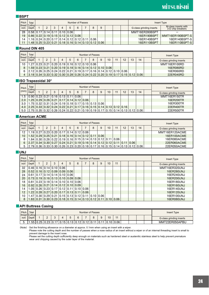# **MİTSUBİSHİ**

#### Ǘ**BSPT**

| Pitch | Total                                                                                |  |  |      | Number of Passes                                                      |  |  |  |                          | Insert Type                               |
|-------|--------------------------------------------------------------------------------------|--|--|------|-----------------------------------------------------------------------|--|--|--|--------------------------|-------------------------------------------|
| inch) | (thread/ Cutting https://<br>Depth                                                   |  |  |      |                                                                       |  |  |  | G-class grinding inserts | M-class inserts with<br>3-D chip breakers |
| -28   | 10.5810.1710.1410.1110.101                                                           |  |  | 0.06 |                                                                       |  |  |  | MMT16ER280BSPT           |                                           |
| 19    | $\vert 0.86 \vert 0.22 \vert 0.19 \vert 0.15 \vert 0.12 \vert 0.12 \vert 0.06 \vert$ |  |  |      |                                                                       |  |  |  | 16ER190BSPT              | MMT16ER190BSPT-S                          |
| 14    |                                                                                      |  |  |      | $1.16$   0.24   0.20   0.17   0.14   0.12   0.12   0.11   0.06        |  |  |  | 16ER140BSPT              | 16ER140BSPT-S                             |
|       |                                                                                      |  |  |      | $1.48$   0.25   0.23   0.21   0.18   0.16   0.14   0.13   0.12   0.06 |  |  |  | 16ER110BSPT              | 16ER110BSPT-S                             |

#### Ǘ**Round DIN 405**

| Pitch | Total<br>(thread/ Cutting |                                                                                                                                                                             |  |  |  |  |  |  | Number of Passes |  |  |  |  |  |  | <b>Insert Type</b>       |
|-------|---------------------------|-----------------------------------------------------------------------------------------------------------------------------------------------------------------------------|--|--|--|--|--|--|------------------|--|--|--|--|--|--|--------------------------|
| inch) | Depth                     | 10<br>13<br>14<br>12<br>11<br>9<br> 0.20 0.19 0.16 0.12 0.10 0.06                                                                                                           |  |  |  |  |  |  |                  |  |  |  |  |  |  | G-class grinding inserts |
| 10    |                           | 0.23 0.21                                                                                                                                                                   |  |  |  |  |  |  |                  |  |  |  |  |  |  | MMT16ER100RD             |
| 8     |                           | $.59$   0.23   0.21   0.20   0.19   0.18   0.16   0.14   0.12   0.10   0.06                                                                                                 |  |  |  |  |  |  |                  |  |  |  |  |  |  | 16ER080RD                |
|       |                           |                                                                                                                                                                             |  |  |  |  |  |  |                  |  |  |  |  |  |  | 16ER060RD                |
|       |                           | 2.12   0.26   0.25   0.24   0.22   0.21   0.19   0.17   0.16   0.14   0.12   0.10   0.06  <br>$13.1810.3410.3310.3210.3010.2810.2610.2410.2210.2010.1910.1710.1510.1210.06$ |  |  |  |  |  |  |                  |  |  |  |  |  |  | 22ER040RD                |
|       |                           |                                                                                                                                                                             |  |  |  |  |  |  |                  |  |  |  |  |  |  |                          |

#### Ǘ**ISO Trapezoidal 30°**

| Pitch | Total<br>Cutting                                                                                                                                                                            |                                                                             |  |  |  |  |  | Number of Passes                                                           |  |  |  |  |  |  |  | <b>Insert Type</b>       |
|-------|---------------------------------------------------------------------------------------------------------------------------------------------------------------------------------------------|-----------------------------------------------------------------------------|--|--|--|--|--|----------------------------------------------------------------------------|--|--|--|--|--|--|--|--------------------------|
| (mm)  | Depth                                                                                                                                                                                       | 14<br>10<br>13<br>11<br>12<br>4<br>b<br> 0.90 0.23 0.21 0.16 0.13 0.11 0.06 |  |  |  |  |  |                                                                            |  |  |  |  |  |  |  | G-class grinding inserts |
| 1.5   |                                                                                                                                                                                             |                                                                             |  |  |  |  |  |                                                                            |  |  |  |  |  |  |  | MMT16ER150TR             |
| 2.0   |                                                                                                                                                                                             |                                                                             |  |  |  |  |  | $1.25$   0.29   0.26   0.21   0.17   0.14   0.12   0.06                    |  |  |  |  |  |  |  | 16ER200TR                |
| 3.0   |                                                                                                                                                                                             |                                                                             |  |  |  |  |  | $\mid$ 1.75   0.32   0.31   0.24   0.19   0.18   0.17   0.15   0.13   0.06 |  |  |  |  |  |  |  | 16ER300TR                |
|       | 4.0 $\left[ 2.25 \right]$ 0.33 $\left[ 0.32 \right]$ 0.24 $\left[ 0.22 \right]$ 0.21 $\left[ 0.17 \right]$ 0.16 $\left[ 0.15 \right]$ 0.14 $\left[ 0.13 \right]$ 0.12 $\left[ 0.16 \right]$ |                                                                             |  |  |  |  |  |                                                                            |  |  |  |  |  |  |  | 22ER400TR                |
|       | $5.0$   2.75   0.35   0.32   0.26   0.24   0.22   0.21   0.19   0.19   0.17   0.15   0.14   0.13   0.12   0.06                                                                              |                                                                             |  |  |  |  |  |                                                                            |  |  |  |  |  |  |  | 22ER500TR                |

#### **Example 7 American ACME**

| Pitch | Total<br>(thread/ Cutting |                                                                                                                                                                                                             |  |  |  |  |                                                                               | Number of Passes |  |  |  |  |  |             |  | <b>Insert Type</b>       |
|-------|---------------------------|-------------------------------------------------------------------------------------------------------------------------------------------------------------------------------------------------------------|--|--|--|--|-------------------------------------------------------------------------------|------------------|--|--|--|--|--|-------------|--|--------------------------|
| inch) | Depth I                   | 14<br>11<br>13<br>12<br>10<br>5<br>8<br>4<br>$\vert 0.23 \, \vert 0.20 \, \vert 0.17 \, \vert 0.14 \, \vert 0.12 \, \vert 0.06 \, \vert$                                                                    |  |  |  |  |                                                                               |                  |  |  |  |  |  |             |  | G-class grinding inserts |
| 12    |                           | .1910.271                                                                                                                                                                                                   |  |  |  |  |                                                                               |                  |  |  |  |  |  |             |  | MMT16ER120ACME           |
| 10    |                           |                                                                                                                                                                                                             |  |  |  |  | 1.52   0.29   0.25   0.21   0.18   0.16   0.14   0.12   0.11   0.06           |                  |  |  |  |  |  |             |  | 16ER100ACME              |
| 8     |                           |                                                                                                                                                                                                             |  |  |  |  | $-0.30$   0.26   0.22   0.19   0.16   0.15   0.14   0.13   0.12   0.11   0.06 |                  |  |  |  |  |  |             |  | 16ER080ACME              |
| 6     |                           |                                                                                                                                                                                                             |  |  |  |  |                                                                               |                  |  |  |  |  |  |             |  | 22ER060ACME              |
| 5     |                           | 2.37   0.34   0.30   0.27   0.24   0.21   0.19   0.16   0.14   0.12   0.12   0.11   0.11   0.06<br>  2.79   0.36   0.33   0.30   0.26   0.23   0.20   0.18   0.17   0.16   0.15   0.14   0.13   0.12   0.06 |  |  |  |  |                                                                               |                  |  |  |  |  |  | 22ER050ACME |  |                          |

## Ǘ**UNJ**

| Pitch I | Total<br>(thread/ Cutting |                                           |           |      |      |                                                      | Number of Passes |           |    |    |  |  | <b>Insert Type</b>       |
|---------|---------------------------|-------------------------------------------|-----------|------|------|------------------------------------------------------|------------------|-----------|----|----|--|--|--------------------------|
| inch)   | Depth                     |                                           | 2         | 4    | 5    | 6                                                    | 8                | 9         | 10 | 11 |  |  | G-class grinding inserts |
| 32      |                           | $0.46$   $0.16$                           | 0.14 0.10 | 0.06 |      |                                                      |                  |           |    |    |  |  | MMT16ER320UNJ            |
| 28      |                           | $0.52$   0.16   0.12   0.09               |           | 0.09 | 0.06 |                                                      |                  |           |    |    |  |  | 16ER280UNJ               |
| 24      |                           | $0.61$   $0.17$   $0.14$   $0.14$         |           | 0.10 | 0.06 |                                                      |                  |           |    |    |  |  | 16ER240UNJ               |
| 20      |                           |                                           |           |      |      | 0.7310.1910.1610.1310.1010.0910.06                   |                  |           |    |    |  |  | 16ER200UNJ               |
| 18      |                           |                                           |           |      |      | $0.81$   0.23   0.18   0.14   0.10   0.10   0.06     |                  |           |    |    |  |  | 16ER180UNJ               |
| 16      |                           |                                           |           |      |      | $0.92$   0.26   0.21   0.14   0.12   0.10   0.09     |                  |           |    |    |  |  | 16ER160UNJ               |
| 14      |                           | ا 0.11   0.26   0.23   0.17   0.12   0.11 |           |      |      | 0.10 0.06                                            |                  |           |    |    |  |  | 16ER140UNJ               |
| 12      |                           | 1.22   0.28                               | 0.27 0.20 | 0.17 |      | 0.13 0.11 0.06                                       |                  |           |    |    |  |  | 16ER120UNJ               |
| 10      |                           | 1.47   0.30                               | 0.29 0.21 |      |      | $0.15$ $0.13$ $0.12$ $0.11$                          |                  | 0.1010.06 |    |    |  |  | 16ER100UNJ               |
| 8       |                           | 83   0.31                                 |           |      |      | $ 0.30 0.23 0.18 0.15 0.14 0.13 0.12 0.11 0.10 0.06$ |                  |           |    |    |  |  | 16ER080UNJ               |

### Ǘ**API Buttress Casing**

| Pitch | Total<br>(thread/ Cutting |                                      |      |  |      |      |           |  | Number of Passes |      |           |  |  |                          | Insert Type    |
|-------|---------------------------|--------------------------------------|------|--|------|------|-----------|--|------------------|------|-----------|--|--|--------------------------|----------------|
| inch) | Depth                     | 10<br>44<br>-<br>$\overline{ }$<br>- |      |  |      |      |           |  |                  |      |           |  |  | G-class grinding inserts |                |
|       | 551                       | 0.25                                 | 0.23 |  | 0.15 | 0.13 | 0.12 0.12 |  |                  | 0.11 | 0.10 0.06 |  |  |                          | MMT22ER050APBU |

(Note) · Set the finishing allowance on a diameter at approx. 0.1mm when using an insert with a wiper.

 · Please note the cutting depth and the number of passes when a nose radius of an insert without a wiper or of an internal threading insert is small to prevent damage to the insert nose.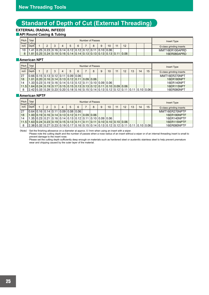# **Standard of Depth of Cut (External Threading)**

## **EXTERNAL (RADIAL INFEED)**

## ■ **API Round Casing & Tubing**

| Pitch             | Total<br>(thread/ Cutting h |                                                                           |  |  |  |  |  | Number of Passes |  |                                                                                            |  |  |      |  |  | Insert Type              |
|-------------------|-----------------------------|---------------------------------------------------------------------------|--|--|--|--|--|------------------|--|--------------------------------------------------------------------------------------------|--|--|------|--|--|--------------------------|
| inch <sub>i</sub> | Depth                       | 10<br>12<br>44<br>v                                                       |  |  |  |  |  |                  |  |                                                                                            |  |  |      |  |  | G-class grinding inserts |
| 10                |                             | .41   0.25   0.23   0.16   0.14   0.12   0.12   0.12   0.11   0.10   0.06 |  |  |  |  |  |                  |  |                                                                                            |  |  |      |  |  | MMT16ER100APRD           |
|                   |                             |                                                                           |  |  |  |  |  |                  |  | $1.81$   0.25   0.24   0.19   0.16   0.14   0.14   0.13   0.13   0.13   0.13   0.13   0.11 |  |  | 0.06 |  |  | 16ER080APRD              |

### **Example 7 American NPT**

| Pitch<br>(thread/ Cutting h | Total                                                                                           |                                                                                                                   |  |  |  |  |                                                                             | Number of Passes |  |  |  |  |  |  |            |    | <b>Insert Type</b>       |
|-----------------------------|-------------------------------------------------------------------------------------------------|-------------------------------------------------------------------------------------------------------------------|--|--|--|--|-----------------------------------------------------------------------------|------------------|--|--|--|--|--|--|------------|----|--------------------------|
| inch)                       | Depth                                                                                           | 14<br>11<br>5<br>12<br>13<br>10<br>4<br>$0.66$   0.15   0.13   0.12   0.11   0.09   0.06                          |  |  |  |  |                                                                             |                  |  |  |  |  |  |  |            | 15 | G-class grinding inserts |
| 27                          |                                                                                                 |                                                                                                                   |  |  |  |  |                                                                             |                  |  |  |  |  |  |  |            |    | MMT16ER270NPT            |
| 18                          |                                                                                                 |                                                                                                                   |  |  |  |  | $1.01$   0.20   0.16   0.14   0.13   0.12   0.11   0.09   0.06              |                  |  |  |  |  |  |  |            |    | 16ER180NPT               |
| 14                          |                                                                                                 |                                                                                                                   |  |  |  |  | $.33   0.23   0.19   0.16   0.14   0.13   0.12   0.11   0.10   0.09   0.06$ |                  |  |  |  |  |  |  |            |    | 16ER140NPT               |
|                             | 11.5   1.64   0.24   0.19   0.17   0.15   0.15   0.13   0.13   0.12   0.11   0.10   0.09   0.06 |                                                                                                                   |  |  |  |  |                                                                             |                  |  |  |  |  |  |  |            |    | 16ER115NPT               |
|                             |                                                                                                 | $(2.42   0.33   0.28   0.23   0.20   0.18   0.16   0.15   0.14   0.13   0.12   0.12   0.11   0.11   0.10   0.06)$ |  |  |  |  |                                                                             |                  |  |  |  |  |  |  | 16FR080NPT |    |                          |

#### Ǘ**American NPTF**

| Pitch<br>(thread/ Cutting  - | Total                                                                                                                                                              |                                                                                          |  |                                                                |  |  |  | Number of Passes |  |  |                                                                              |             |             |  |  |    | <b>Insert Type</b>       |
|------------------------------|--------------------------------------------------------------------------------------------------------------------------------------------------------------------|------------------------------------------------------------------------------------------|--|----------------------------------------------------------------|--|--|--|------------------|--|--|------------------------------------------------------------------------------|-------------|-------------|--|--|----|--------------------------|
| inch)                        | Depth                                                                                                                                                              | 14<br>12<br>11<br>13<br>6<br>10<br>4<br>$0.64$   0.16   0.14   0.11   0.09   0.08   0.06 |  |                                                                |  |  |  |                  |  |  |                                                                              |             |             |  |  | 15 | G-class grinding inserts |
| 27                           |                                                                                                                                                                    |                                                                                          |  |                                                                |  |  |  |                  |  |  |                                                                              |             |             |  |  |    | MMT16ER270NPTF           |
| 18                           |                                                                                                                                                                    |                                                                                          |  | $1.00$   0.19   0.16   0.14   0.13   0.12   0.11   0.09   0.06 |  |  |  |                  |  |  |                                                                              |             |             |  |  |    | 16ER180NPTF              |
| 14                           |                                                                                                                                                                    |                                                                                          |  |                                                                |  |  |  |                  |  |  | $1.35$   0.23   0.21   0.16   0.14   0.13   0.12   0.11   0.10   0.09   0.06 |             |             |  |  |    | 16ER140NPTF              |
| 11.5                         | $\mid$ 1.63 $\mid$ 0.24 $\mid$ 0.23 $\mid$ 0.19 $\mid$ 0.15 $\mid$ 0.13 $\mid$ 0.11 $\mid$ 0.11 $\mid$ 0.11 $\mid$ 0.10 $\mid$ 0.10 $\mid$ 0.10 $\mid$ 0.06 $\mid$ |                                                                                          |  |                                                                |  |  |  |                  |  |  |                                                                              |             |             |  |  |    | 16ER115NPTF              |
|                              | $\vert 2.38 \vert 0.32 \vert 0.27 \vert 0.23 \vert 0.19 \vert 0.17 \vert 0.16 \vert 0.15 \vert 0.14 \vert 0.13 \vert 0.12 \vert 0.12 \vert 0.11 \vert 0.11 \vert$  |                                                                                          |  |                                                                |  |  |  |                  |  |  |                                                                              | 0.10   0.06 | 16ER080NPTF |  |  |    |                          |

(Note) · Set the finishing allowance on a diameter at approx. 0.1mm when using an insert with a wiper.

 · Please note the cutting depth and the number of passes when a nose radius of an insert without a wiper or of an internal threading insert is small to prevent damage to the insert nose.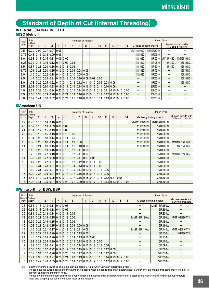# **Standard of Depth of Cut (Internal Threading)**

## **INTERNAL (RADIAL INFEED)**

 $\blacksquare$  ISO Metric

| Pitch      | Total                                                                                                    |                |   |   |   |   | Number of Passes |   |   |    |    |    |    |    |               |                          | <b>Insert Type</b> |                                           |
|------------|----------------------------------------------------------------------------------------------------------|----------------|---|---|---|---|------------------|---|---|----|----|----|----|----|---------------|--------------------------|--------------------|-------------------------------------------|
| (mm) Depth | <b>Cutting</b>                                                                                           | $\overline{2}$ | 3 | 4 | 5 | 6 |                  | 8 | 9 | 10 | 11 | 12 | 13 | 14 |               | G-class grinding inserts |                    | M-class inserts with<br>3-D chip breakers |
| 0.5        | 0.29   0.09   0.07   0.07   0.06                                                                         |                |   |   |   |   |                  |   |   |    |    |    |    |    | MMT11IR050ISO | MMT16IR050ISO            |                    |                                           |
|            | $0.75$   0.43   0.15   0.13   0.09   0.06                                                                |                |   |   |   |   |                  |   |   |    |    |    |    |    | 11IR075ISO    | 16IR075ISO               |                    |                                           |
| 1.0        | 0.58   0.17   0.15   0.11   0.09   0.06                                                                  |                |   |   |   |   |                  |   |   |    |    |    |    |    | 11IR100ISO    | 16IR100ISO               |                    | MMT11IR100ISO-S MMT16IR100ISO-S           |
|            | $1.25$   0.72   0.18   0.16   0.12   0.11   0.09   0.06                                                  |                |   |   |   |   |                  |   |   |    |    |    |    |    | 11IR125ISO    | 16IR125ISO               | 11IR125ISO-S       | 16IR125ISO-S                              |
| 1.5        | $0.87$ $0.21$ $0.20$ $0.16$ $0.13$ $0.11$ $0.06$                                                         |                |   |   |   |   |                  |   |   |    |    |    |    |    | 11IR150ISO    | 16IR150ISO               | 11IR150ISO-S       | 16 R150 SO-S                              |
| 1.75       | $1.01$ $0.21$ $0.20$ $0.15$ $0.12$ $0.10$ $0.09$ $0.08$ $0.06$                                           |                |   |   |   |   |                  |   |   |    |    |    |    |    | 11IR175ISO    | 16 R175 ISO              |                    | 16 R175 SO-S                              |
| 2.0        | $1.15$   0.24   0.22   0.18   0.14   0.12   0.10   0.09   0.06                                           |                |   |   |   |   |                  |   |   |    |    |    |    |    | 11IR200ISO    | 16IR200ISO               |                    | 16IR200ISO-S                              |
| 2.5        | $1.44$ $0.25$ $0.24$ $0.21$ $0.15$ $0.13$ $0.12$ $0.10$ $0.09$ $0.09$ $0.06$                             |                |   |   |   |   |                  |   |   |    |    |    |    |    |               | 16IR250ISO               |                    | 16IR250ISO-S                              |
| 3.0        | $1.73$   0.26   0.25   0.22   0.17   0.14   0.13   0.12   0.11   0.10   0.09   0.08   0.06               |                |   |   |   |   |                  |   |   |    |    |    |    |    |               | 16IR300ISO               |                    | 16IR300ISO-S                              |
| 3.5        | $2.02$   0.32   0.30   0.23   0.19   0.17   0.15   0.14   0.13   0.12   0.11   0.10   0.06               |                |   |   |   |   |                  |   |   |    |    |    |    |    |               | 22IR350ISO               |                    |                                           |
| 4.0        | $2.31$   0.33   0.31   0.24   0.22   0.18   0.15   0.14   0.13   0.12   0.12   0.11   0.10   0.10   0.06 |                |   |   |   |   |                  |   |   |    |    |    |    |    |               | 22IR400ISO               |                    |                                           |
| 4.5        | $2.60$   0.36   0.33   0.28   0.24   0.21   0.19   0.16   0.15   0.14   0.13   0.12   0.12   0.11   0.06 |                |   |   |   |   |                  |   |   |    |    |    |    |    |               | 22IR450ISO               |                    |                                           |
| 5.0        | $2.89$   0.41   0.38   0.32   0.27   0.24   0.21   0.18   0.16   0.15   0.14   0.13   0.12   0.12   0.06 |                |   |   |   |   |                  |   |   |    |    |    |    |    |               | 22IR500ISO               |                    |                                           |

#### **Example 7 American UN**

| Pitch          | Total                                                                                                    |   |   |   |   |   | <b>Number of Passes</b> |   |   |      |    |    |    |    |                          | <b>Insert Type</b>  |                                           |
|----------------|----------------------------------------------------------------------------------------------------------|---|---|---|---|---|-------------------------|---|---|------|----|----|----|----|--------------------------|---------------------|-------------------------------------------|
| inch)          | (thread/ Cutting<br>Depth                                                                                | 2 | 3 | 4 | 5 | 6 |                         | 8 | 9 | 10   | 11 | 12 | 13 | 14 | G-class grinding inserts |                     | M-class inserts with<br>3-D chip breakers |
| 32             | $0.46$ $0.16$ $0.14$ $0.10$ $0.06$                                                                       |   |   |   |   |   |                         |   |   |      |    |    |    |    | <b>MMT11IR320UN</b>      | <b>MMT16IR320UN</b> |                                           |
| 28             | 0.5210.1610.1310.0910.0810.06                                                                            |   |   |   |   |   |                         |   |   |      |    |    |    |    | 11IR280UN                | 16IR280UN           |                                           |
| 24             | $0.61$ 10.17 $ 0.15 0.13 0.10 0.06$                                                                      |   |   |   |   |   |                         |   |   |      |    |    |    |    | 11IR240UN                | 16IR240UN           |                                           |
| 20             | $0.73$ $0.18$ $0.15$ $0.13$ $0.11$ $0.10$ $0.06$                                                         |   |   |   |   |   |                         |   |   |      |    |    |    |    | 11IR200UN                | 16IR200UN           |                                           |
| 18             | $0.81$   0.20   0.18   0.14   0.12   0.11   0.06                                                         |   |   |   |   |   |                         |   |   |      |    |    |    |    | 11IR180UN                | 16IR180UN           |                                           |
| 16             | $0.92$   0.20   0.18   0.15   0.12   0.11   0.10   0.06                                                  |   |   |   |   |   |                         |   |   |      |    |    |    |    | 11IR160UN                | 16IR160UN           | MMT16IR160UN-S                            |
| 14             | $1.05$   0.21   0.18   0.15   0.13   0.11   0.11   0.10   0.06                                           |   |   |   |   |   |                         |   |   |      |    |    |    |    | 11IR140UN                | 16IR140UN           | 16IR140UN-S                               |
| 13             | $1.13$   0.22   0.19   0.16   0.14   0.13   0.12   0.11   0.06                                           |   |   |   |   |   |                         |   |   |      |    |    |    |    |                          | 16IR130UN           |                                           |
| 12             | $1.22$ $0.24$ $0.22$ $0.18$ $0.16$ $0.13$ $0.12$ $0.11$ $0.06$                                           |   |   |   |   |   |                         |   |   |      |    |    |    |    |                          | 16IR120UN           | MMT16IR120UN-S                            |
| 11             | 1.33 0.24 0.22 0.20 0.15 0.12 0.12 0.11 0.11 0.06                                                        |   |   |   |   |   |                         |   |   |      |    |    |    |    |                          | 16IR110UN           |                                           |
| 10             | 1.47 0.25 0.22 0.21 0.14 0.13 0.12 0.12 0.11 0.11                                                        |   |   |   |   |   |                         |   |   | 0.06 |    |    |    |    |                          | 16IR100UN           |                                           |
| 9              | $1.63$   0.31   0.23   0.21   0.17   0.15   0.14   0.13   0.12   0.11                                    |   |   |   |   |   |                         |   |   | 0.06 |    |    |    |    |                          | 16IR090UN           |                                           |
| 8              | 1.83 0.31 0.26 0.21 0.18 0.16 0.15 0.14 0.13 0.12 0.11 0.06                                              |   |   |   |   |   |                         |   |   |      |    |    |    |    |                          | 16IR080UN           |                                           |
| $\overline{7}$ | $2.09$ 0.36 0.30 0.24 0.21 0.18 0.17 0.16 0.15 0.14 0.12 0.06                                            |   |   |   |   |   |                         |   |   |      |    |    |    |    |                          | 22IR070UN           |                                           |
| 6              | $2.44$   0.40   0.33   0.25   0.23   0.19   0.17   0.16   0.15   0.14   0.13   0.12   0.11   0.06        |   |   |   |   |   |                         |   |   |      |    |    |    |    |                          | 22IR060UN           |                                           |
| 5              | $2.93$   0.41   0.35   0.31   0.26   0.23   0.21   0.20   0.19   0.17   0.15   0.14   0.13   0.12   0.06 |   |   |   |   |   |                         |   |   |      |    |    |    |    |                          | 22IR050UN           |                                           |

#### Ǘ**Whitworth for BSW, BSP**

| Pitch | Total                                                                                                                                                                                                                           |   |   |   |   |   | <b>Number of Passes</b> |   |   |    |    |    |    |    |                          | <b>Insert Type</b> |                                           |
|-------|---------------------------------------------------------------------------------------------------------------------------------------------------------------------------------------------------------------------------------|---|---|---|---|---|-------------------------|---|---|----|----|----|----|----|--------------------------|--------------------|-------------------------------------------|
| inch) | (thread/ Cutting<br>Depth                                                                                                                                                                                                       | 2 | 3 | 4 | 5 | 6 |                         | 8 | 9 | 10 | 11 | 12 | 13 | 14 | G-class grinding inserts |                    | M-class inserts with<br>3-D chip breakers |
| 28    | $0.58$ $0.17$ $0.14$ $0.11$ $0.10$ $0.06$                                                                                                                                                                                       |   |   |   |   |   |                         |   |   |    |    |    |    |    |                          | <b>MMT16IR280W</b> |                                           |
| 26    | $0.63$ $0.18$ $0.15$ $0.13$ $0.11$ $0.06$                                                                                                                                                                                       |   |   |   |   |   |                         |   |   |    |    |    |    |    |                          | 16IR260W           |                                           |
| 20    | $0.81$ $0.20$ $0.18$ $0.14$ $0.12$ $0.11$ $0.06$                                                                                                                                                                                |   |   |   |   |   |                         |   |   |    |    |    |    |    |                          | 16IR200W           |                                           |
| 19    | $\vert 0.86 \vert 0.21 \vert 0.19 \vert 0.15 \vert 0.13 \vert 0.12 \vert 0.06 \vert$                                                                                                                                            |   |   |   |   |   |                         |   |   |    |    |    |    |    | <b>MMT11IR190W</b>       | 16IR190W           | <b>MMT16IR190W-S</b>                      |
| 18    | 0.9010.2510.1910.1510.1310.1210.061                                                                                                                                                                                             |   |   |   |   |   |                         |   |   |    |    |    |    |    |                          | 16IR180W           |                                           |
| 16    | $1.02$ 0.21 0.18 0.15 0.13 0.11 0.09 0.09 0.06                                                                                                                                                                                  |   |   |   |   |   |                         |   |   |    |    |    |    |    |                          | 16IR160W           |                                           |
| 14    | $1.16$   0.23   0.21   0.17   0.14   0.12   0.12   0.11   0.06                                                                                                                                                                  |   |   |   |   |   |                         |   |   |    |    |    |    |    | <b>MMT11IR140W</b>       | 16IR140W           | <b>MMT16IR140W-S</b>                      |
| 12    | $1.36$ $0.27$ $0.25$ $0.20$ $0.16$ $0.15$ $0.14$ $0.13$ $0.06$                                                                                                                                                                  |   |   |   |   |   |                         |   |   |    |    |    |    |    |                          | 16IR120W           | 16IR120W-S                                |
| 11    | $1.48$   0.27   0.24   0.20   0.17   0.15   0.14   0.13   0.12   0.06                                                                                                                                                           |   |   |   |   |   |                         |   |   |    |    |    |    |    |                          | 16IR110W           |                                           |
| 10    | $1.63$   0.27   0.25   0.20   0.17   0.15   0.15   0.13   0.13   0.12   0.06                                                                                                                                                    |   |   |   |   |   |                         |   |   |    |    |    |    |    |                          | 16IR100W           |                                           |
| 9     | $1.81$   0.28   0.26   0.21   0.18   0.16   0.15   0.14   0.13   0.12   0.12   0.06                                                                                                                                             |   |   |   |   |   |                         |   |   |    |    |    |    |    |                          | 16IR090W           |                                           |
| 8     | $2.03 \left[ 0.30 \left[ 0.27 \left[ 0.22 \left[ 0.19 \left[ 0.17 \left[ 0.16 \left[ 0.15 \left[ 0.14 \left[ 0.13 \left[ 0.12 \left[ 0.12 \right] 0.06 \right] \right] \right. \right. \right. \right. \right. \right. \right.$ |   |   |   |   |   |                         |   |   |    |    |    |    |    |                          | 16IR080W           |                                           |
| 7     | $2.32$ 0.34 0.32 0.26 0.22 0.20 0.18 0.17 0.16 0.15 0.14 0.12 0.06                                                                                                                                                              |   |   |   |   |   |                         |   |   |    |    |    |    |    |                          | 22IR070W           |                                           |
| 6     | $2.71$ $0.35$ $0.33$ $0.27$ $0.23$ $0.21$ $0.20$ $0.19$ $0.17$ $0.16$ $0.15$ $0.14$ $0.13$ $0.12$ $0.06$                                                                                                                        |   |   |   |   |   |                         |   |   |    |    |    |    |    |                          | 22IR060W           |                                           |
| 5     | $3.25$ $0.42$ $0.40$ $0.35$ $0.29$ $0.26$ $0.24$ $0.22$ $0.20$ $0.19$ $0.18$ $0.17$ $0.15$ $0.12$ $0.06$                                                                                                                        |   |   |   |   |   |                         |   |   |    |    |    |    |    |                          | 22IR050W           |                                           |

(Note) · Set the finishing allowance on a diameter at approx. 0.1mm when using an insert with a wiper.

 · Please note the cutting depth and the number of passes when a nose radius of an insert without a wiper or of an internal threading insert is small to prevent damage to the insert nose.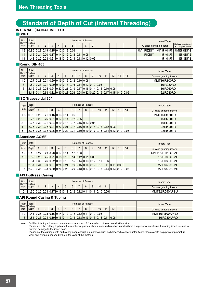# **Standard of Depth of Cut (Internal Threading)**

## **INTERNAL (RADIAL INFEED)**

Ǘ**BSPT**

| Pitch | Total                                            |   |   |             |   | Number of Passes                                 |   |   |  |  |  |                | Insert Type              |                                           |
|-------|--------------------------------------------------|---|---|-------------|---|--------------------------------------------------|---|---|--|--|--|----------------|--------------------------|-------------------------------------------|
| inch) | (thread/ Cutting-<br>Depth                       | C | 4 | $\mathbf b$ | 6 |                                                  | 8 | 9 |  |  |  |                | G-class grinding inserts | M-class inserts with<br>3-D chip breakers |
|       | 19 0.86 0.22 0.19 0.15 0.12 0.12 0.06            |   |   |             |   |                                                  |   |   |  |  |  | MMT11IR190BSPT | MMT16IR190BSPT           | MMT16IR190BSPT-S                          |
| 14    | $11.1610.2410.2010.1710.1410.1210.1210.1110.061$ |   |   |             |   |                                                  |   |   |  |  |  | 11IR140BSPT    | 16IR140BSPT              | 16 R140BSPT-S                             |
|       |                                                  |   |   |             |   | .48 0.25 0.23 0.21 0.18 0.16 0.14 0.13 0.12 0.06 |   |   |  |  |  |                | 16IR110BSPT              | 16 R110 BSPT S                            |

## Ǘ**Round DIN 405**

| Pitch           | Total<br>(thread/ Cutting                                                                                                    |  |   |   |                                                       | Number of Passes |   |   |    |    |    |    |    | Insert Type              |
|-----------------|------------------------------------------------------------------------------------------------------------------------------|--|---|---|-------------------------------------------------------|------------------|---|---|----|----|----|----|----|--------------------------|
| inch)           | Depth                                                                                                                        |  | 4 | 5 | 6                                                     |                  | 8 | 9 | 10 | 11 | 12 | 13 | 14 | G-class grinding inserts |
| 10 <sup>°</sup> | $\vert$ 1.27 $\vert$ 0.23 $\vert$ 0.21 $\vert$ 0.20 $\vert$ 0.19 $\vert$ 0.16 $\vert$ 0.12 $\vert$ 0.10 $\vert$ 0.06 $\vert$ |  |   |   |                                                       |                  |   |   |    |    |    |    |    | MMT16IR100RD             |
| 8               |                                                                                                                              |  |   |   | .59 0.23 0.21 0.20 0.19 0.18 0.16 0.14 0.12 0.10 0.06 |                  |   |   |    |    |    |    |    | 16IR080RD                |
| 6               | <u>  2.12   0.26   0.25   0.24   0.22   0.21   0.19   0.17   0.16   0.14   0.12   0.10   0.06  </u>                          |  |   |   |                                                       |                  |   |   |    |    |    |    |    | 16IR060RD                |
|                 | $(3.18)0.34 0.33 0.32 0.30 0.28 0.26 0.24 0.22 0.20 0.19 0.17 0.15 0.12 0.06)$                                               |  |   |   |                                                       |                  |   |   |    |    |    |    |    | 22IR040RD                |

#### Ǘ**ISO Trapezoidal 30°**

| Pitch | Total<br><b>Cutting</b>                                                                                        |  |   |   |   | Number of Passes |   |   |    |    |    |    |    | Insert Type              |
|-------|----------------------------------------------------------------------------------------------------------------|--|---|---|---|------------------|---|---|----|----|----|----|----|--------------------------|
| (mm)  | Depth                                                                                                          |  | 4 | 5 | 6 |                  | 8 | 9 | 10 | 11 | 12 | 13 | 14 | G-class grinding inserts |
|       | 1.5 $\vert 0.90 \vert 0.23 \vert 0.21 \vert 0.16 \vert 0.13 \vert 0.11 \vert 0.06 \vert$                       |  |   |   |   |                  |   |   |    |    |    |    |    | MMT16IR150TR             |
|       | 1.25 $\vert 0.29 \vert 0.26 \vert 0.21 \vert 0.17 \vert 0.14 \vert 0.12 \vert 0.06 \vert$                      |  |   |   |   |                  |   |   |    |    |    |    |    | 16IR200TR                |
| 3     | $1.75$   0.32   0.31   0.24   0.19   0.18   0.17   0.15   0.13   0.06                                          |  |   |   |   |                  |   |   |    |    |    |    |    | 16IR300TR                |
|       |                                                                                                                |  |   |   |   |                  |   |   |    |    |    |    |    | 22IR400TR                |
|       | $\vert$ 2.75   0.35   0.32   0.26   0.24   0.22   0.21   0.19   0.19   0.17   0.15   0.14   0.13   0.12   0.06 |  |   |   |   |                  |   |   |    |    |    |    |    | 22IR500TR                |

#### **Example 7 American ACME**

| Pitch | Total<br>(thread/ Cutting  -                                                                                                                                                                  |   |   |   |   |   | Number of Passes |   |   |    |    |    |    |    | Insert Type              |
|-------|-----------------------------------------------------------------------------------------------------------------------------------------------------------------------------------------------|---|---|---|---|---|------------------|---|---|----|----|----|----|----|--------------------------|
| inch) | Depth                                                                                                                                                                                         | 2 | 3 | 4 | 5 | 6 |                  | 8 | 9 | 10 | 11 | 12 | 13 | 14 | G-class grinding inserts |
| 12    | $1.19$   0.27   0.23   0.20   0.17   0.14   0.12   0.06                                                                                                                                       |   |   |   |   |   |                  |   |   |    |    |    |    |    | MMT16IR120ACME           |
| 10    | $1.52$ 0.29 0.25 0.21 0.18 0.16 0.14 0.12 0.11 0.06                                                                                                                                           |   |   |   |   |   |                  |   |   |    |    |    |    |    | 16IR100ACME              |
| 8     | $1.84$   0.30   0.26   0.22   0.19   0.16   0.15   0.14   0.13   0.12   0.11   0.06                                                                                                           |   |   |   |   |   |                  |   |   |    |    |    |    |    | 16IR080ACME              |
| 6     | $\vert$ 2.37 $\vert$ 0.34 $\vert$ 0.30 $\vert$ 0.27 $\vert$ 0.24 $\vert$ 0.21 $\vert$ 0.19 $\vert$ 0.16 $\vert$ 0.14 $\vert$ 0.12 $\vert$ 0.12 $\vert$ 0.11 $\vert$ 0.11 $\vert$ 0.06 $\vert$ |   |   |   |   |   |                  |   |   |    |    |    |    |    | 22IR060ACME              |
| 5     | $(2.79)0.36 0.33 0.30 0.26 0.23 0.20 0.18 0.17 0.16 0.15 0.14 0.13 0.12 0.06)$                                                                                                                |   |   |   |   |   |                  |   |   |    |    |    |    |    | 22IR050ACME              |

#### Ǘ**API Buttress Casing**

| Pitch | Total<br>(thread/ Cutting |                                                                                                                                                                                                                                                                                |                   |       |                     | Number of Passes |       |                |      |  |  | Insert Type              |
|-------|---------------------------|--------------------------------------------------------------------------------------------------------------------------------------------------------------------------------------------------------------------------------------------------------------------------------|-------------------|-------|---------------------|------------------|-------|----------------|------|--|--|--------------------------|
| inch) | Depth                     |                                                                                                                                                                                                                                                                                | $\sqrt{2}$<br>-   |       |                     |                  |       | 1 <sup>c</sup> | 11   |  |  | G-class grinding inserts |
|       |                           | $\sim$ 10.25 $\sim$ 10.44 $\sim$ 10.45 $\sim$ 10.45 $\sim$ 10.45 $\sim$ 10.45 $\sim$ 10.45 $\sim$ 10.45 $\sim$ 10.45 $\sim$ 10.45 $\sim$ 10.45 $\sim$ 10.45 $\sim$ 10.45 $\sim$ 10.45 $\sim$ 10.45 $\sim$ 10.45 $\sim$ 10.45 $\sim$ 10.45 $\sim$ 10.45 $\sim$ 10.45<br>⊺∪.∠ט ⊢ | า.23   0.<br>U.ZJ | 10.15 | 0.13 0.12 0.12 0.11 |                  | 10.11 |                | 0.06 |  |  | MMT22IR050APBU           |

## Ǘ**API Round Casing & Tubing**

| Pitch | Total<br>(thread/ Cutting                                                                                                                              |  |  |   | Number of Passes |  |                 |    |    |  | Insert Type              |
|-------|--------------------------------------------------------------------------------------------------------------------------------------------------------|--|--|---|------------------|--|-----------------|----|----|--|--------------------------|
| inch) | I Depth                                                                                                                                                |  |  | 6 |                  |  | 10 <sup>°</sup> | 11 | 12 |  | G-class grinding inserts |
| 10    | $\vert$ 1.41 $\vert$ 0.25 $\vert$ 0.23 $\vert$ 0.16 $\vert$ 0.14 $\vert$ 0.12 $\vert$ 0.12 $\vert$ 0.12 $\vert$ 0.11 $\vert$ 0.10 $\vert$ 0.06 $\vert$ |  |  |   |                  |  |                 |    |    |  | MMT16IR100APRD           |
|       | $8   1.81   0.25   0.24   0.19   0.16   0.14   0.14   0.13   0.13   0.13   0.13   0.11   0.06  $                                                       |  |  |   |                  |  |                 |    |    |  | 16IR080APRD              |

(Note) · Set the finishing allowance on a diameter at approx. 0.1mm when using an insert with a wiper.

 · Please note the cutting depth and the number of passes when a nose radius of an insert without a wiper or of an internal threading insert is small to prevent damage to the insert nose.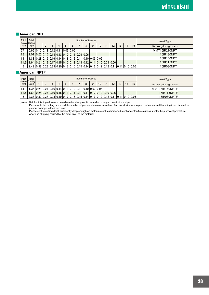## Ǘ**American NPT**

| Pitch | Total<br>(thread/ Cutting                                                                                       |  |   |   |   |   | Number of Passes |   |   |    |     |    |    |    |    | Insert Type              |
|-------|-----------------------------------------------------------------------------------------------------------------|--|---|---|---|---|------------------|---|---|----|-----|----|----|----|----|--------------------------|
| inch) | Depth                                                                                                           |  | 3 | 4 | 5 | 6 |                  | 8 | 9 | 10 | -11 | 12 | 13 | 14 | 15 | G-class grinding inserts |
| 127   | $0.66$ $0.15$ $0.13$ $0.12$ $0.11$ $0.09$ $0.06$                                                                |  |   |   |   |   |                  |   |   |    |     |    |    |    |    | MMT16IR270NPT            |
| 18    | $1.01$   0.20   0.16   0.14   0.13   0.12   0.11   0.09   0.06                                                  |  |   |   |   |   |                  |   |   |    |     |    |    |    |    | 16IR180NPT               |
| 14    | $1.33$ 0.23 0.19 0.16 0.14 0.13 0.12 0.11 0.10 0.09 0.06                                                        |  |   |   |   |   |                  |   |   |    |     |    |    |    |    | 16IR140NPT               |
|       | $11.5$   1.64   0.24   0.19   0.17   0.15   0.15   0.13   0.13   0.12   0.11   0.10   0.09   0.06               |  |   |   |   |   |                  |   |   |    |     |    |    |    |    | 16IR115NPT               |
| 8     | $2.42$   0.33   0.28   0.23   0.20   0.18   0.16   0.15   0.14   0.13   0.12   0.12   0.11   0.11   0.10   0.06 |  |   |   |   |   |                  |   |   |    |     |    |    |    |    | 16IR080NPT               |

## Ǘ**American NPTF**

| Pitch<br>(thread/ Cutting- | Total                                                                                                                                                                                                  |  |   |   |                                                                               | Number of Passes |   |   |                 |    |    |    |    |    | Insert Type              |
|----------------------------|--------------------------------------------------------------------------------------------------------------------------------------------------------------------------------------------------------|--|---|---|-------------------------------------------------------------------------------|------------------|---|---|-----------------|----|----|----|----|----|--------------------------|
| inch)                      | Depth                                                                                                                                                                                                  |  | ◠ | 5 | 6                                                                             |                  | 8 | 9 | 10 <sup>°</sup> | 11 | 12 | 13 | 14 | 15 | G-class grinding inserts |
| 14                         |                                                                                                                                                                                                        |  |   |   | $.35   0.23   0.21   0.16   0.14   0.13   0.12   0.11   0.10   0.09   0.06  $ |                  |   |   |                 |    |    |    |    |    | MMT16IR140NPTF           |
|                            | <u>  11.5   1.63  0.24   0.23   0.19   0.15   0.13   0.11   0.11   0.11   0.10   0.10   0.10   0.06  </u>                                                                                              |  |   |   |                                                                               |                  |   |   |                 |    |    |    |    |    | 16IR115NPTF              |
| 8                          | $\mid$ 2.38 $\mid$ 0.32 $\mid$ 0.27 $\mid$ 0.23 $\mid$ 0.19 $\mid$ 0.17 $\mid$ 0.16 $\mid$ 0.15 $\mid$ 0.14 $\mid$ 0.13 $\mid$ 0.12 $\mid$ 0.12 $\mid$ 0.11 $\mid$ 0.11 $\mid$ 0.10 $\mid$ 0.06 $\mid$ |  |   |   |                                                                               |                  |   |   |                 |    |    |    |    |    | 16IR080NPTF              |

(Note) · Set the finishing allowance on a diameter at approx. 0.1mm when using an insert with a wiper.

 · Please note the cutting depth and the number of passes when a nose radius of an insert without a wiper or of an internal threading insert is small to prevent damage to the insert nose.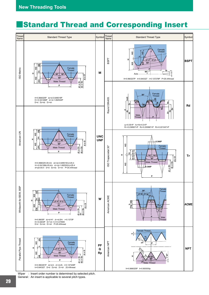# **Standard Thread and Corresponding Insert**



Wiper : Insert order number is determined by selected pitch. General : An insert is applicable to several pitch types.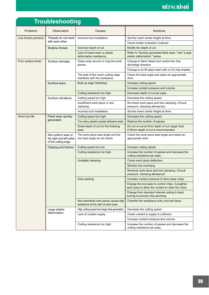# **Troubleshooting**

| Problems              | Observation                                                             | Causes                                                                         | Solutions                                                                                              |
|-----------------------|-------------------------------------------------------------------------|--------------------------------------------------------------------------------|--------------------------------------------------------------------------------------------------------|
| Low thread precision. | Threads do not mesh                                                     | Incorrect tool installation.                                                   | Set the insert centre height at 0mm.                                                                   |
|                       | with each other.                                                        |                                                                                | Check holder inclination (Lateral).                                                                    |
|                       | Shallow thread.                                                         | Incorrect depth of cut.                                                        | Modify the depth of cut.                                                                               |
|                       |                                                                         | Lack of insert wear or plastic<br>deformation resistance.                      | Refer to "Quickly generated flank wear." and "Large<br>plastic deformation." below.                    |
| Poor surface finish.  | Surface damage.                                                         | Chips wrap around or clog the work<br>pieces.                                  | Change to flank infeed and control the chip<br>discharge direction.                                    |
|                       |                                                                         |                                                                                | Change to an M-class insert with a 3-D chip breaker.                                                   |
|                       |                                                                         | The side of the insert cutting edge<br>interferes with the workpiece.          | Check the lead angle and select an appropriate<br>shim.                                                |
|                       | Surface tears.                                                          | Built-up edge (Welding).                                                       | Increase cutting speed.                                                                                |
|                       |                                                                         |                                                                                | Increase coolant pressure and volume.                                                                  |
|                       |                                                                         | Cutting resistance too high.                                                   | Decrease depth of cut per pass.                                                                        |
|                       | Surface vibrations.                                                     | Cutting speed too high.                                                        | Decrease the cutting speed.                                                                            |
|                       |                                                                         | Insufficient work piece or tool<br>clamping.                                   | Re-check work piece and tool clamping. (Chuck<br>pressure, clamping allowance)                         |
|                       |                                                                         | Incorrect tool installation.                                                   | Set the insert centre height at 0mm.                                                                   |
| Short tool life.      | Flank wear quickly                                                      | Cutting speed too high.                                                        | Decrease the cutting speed.                                                                            |
|                       | generated.                                                              | Too many passes causes abrasive wear.                                          | Reduce the number of passes.                                                                           |
|                       |                                                                         | Small depth of cut for the finishing<br>pass.                                  | Do not re-cut at 0mm depth of cut, larger than<br>0.05mm depth of cut is recommended.                  |
|                       | Non-uniform wear of<br>the right and left sides<br>of the cutting edge. | The work piece lead angle and the<br>tool lead angle do not match.             | Check the work piece lead angle and select an<br>appropriate shim.                                     |
|                       | Chipping and fracture.                                                  | Cutting speed too low.                                                         | Increase cutting speed.                                                                                |
|                       |                                                                         | Cutting resistance too high.                                                   | Increase the number of passes and decrease the<br>cutting resistance per pass.                         |
|                       |                                                                         | Unstable clamping.                                                             | Check work piece deflection.                                                                           |
|                       |                                                                         |                                                                                | Shorten tool overhang.                                                                                 |
|                       |                                                                         |                                                                                | Recheck work piece and tool clamping. (Chuck<br>pressure, clamping allowance)                          |
|                       |                                                                         | Chip packing.                                                                  | Increase coolant pressure to blow away chips.                                                          |
|                       |                                                                         |                                                                                | Change the tool pass to control chips. (Lengthen<br>each pass to allow the coolant to clear the chips. |
|                       |                                                                         |                                                                                | Change from standard internal cutting to back<br>turning to prevent chip jamming.                      |
|                       |                                                                         | Non-chamfered work pieces causes high<br>resistance at the start of each pass. | Chamfer the workpiece entry and exit faces.                                                            |
|                       | Large plastic                                                           | High cutting speed and large heat generation.                                  | Decrease the cutting speed.                                                                            |
|                       | deformation.                                                            | Lack of coolant supply.                                                        | Check coolant is supply is sufficient.                                                                 |
|                       |                                                                         |                                                                                | Increase coolant pressure and volume.                                                                  |
|                       |                                                                         | Cutting resistance too high.                                                   | Increase the number of passes and decrease the<br>cutting resistance per pass.                         |